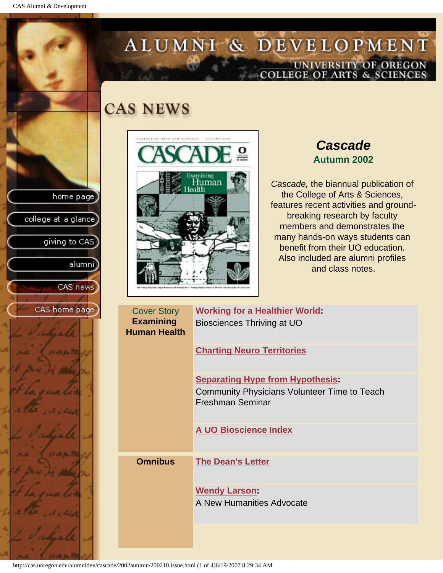CAS Alumni & Development

home page

college at a glance

giving to CAS

alumni

CAS news

CAS home page

# ALUMNI & DEVELOPMENT UNIVERSITY OF OREGON<br>COLLEGE OF ARTS & SCIENCES

## **CAS NEWS**



*Cascade* **Autumn 2002**

*Cascade,* the biannual publication of the College of Arts & Sciences, features recent activities and groundbreaking research by faculty members and demonstrates the many hands-on ways students can benefit from their UO education. Also included are alumni profiles and class notes.

| <b>Cover Story</b><br><b>Examining</b><br><b>Human Health</b> | <b>Working for a Healthier World:</b><br>Biosciences Thriving at UO            |
|---------------------------------------------------------------|--------------------------------------------------------------------------------|
|                                                               | <b>Charting Neuro Territories</b>                                              |
|                                                               | <b>Separating Hype from Hypothesis:</b>                                        |
|                                                               | <b>Community Physicians Volunteer Time to Teach</b><br><b>Freshman Seminar</b> |
|                                                               | A UO Bioscience Index                                                          |
| <b>Omnibus</b>                                                | <b>The Dean's Letter</b>                                                       |
|                                                               | <b>Wendy Larson:</b>                                                           |
|                                                               | A New Humanities Advocate                                                      |
|                                                               |                                                                                |

http://cas.uoregon.edu/alumnidev/cascade/2002autumn/200210.issue.html (1 of 4)6/19/2007 8:29:34 AM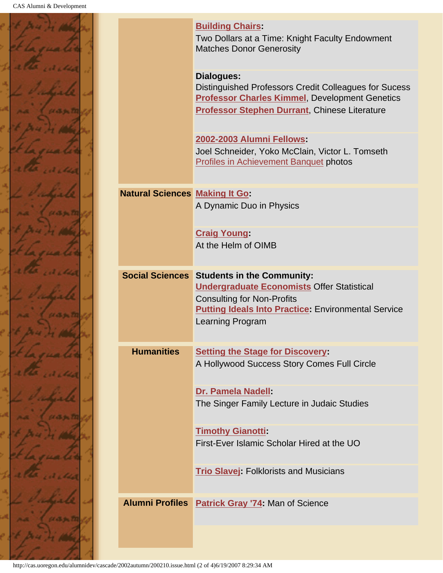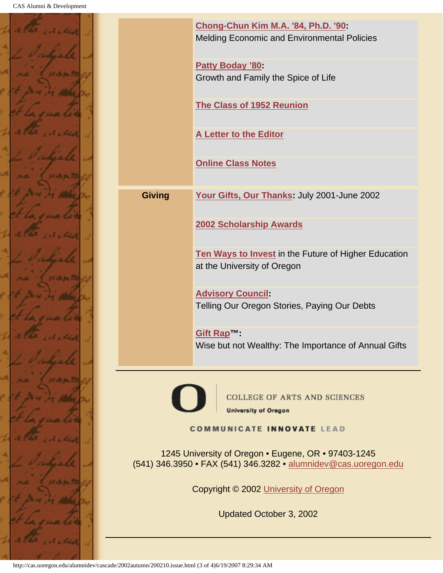

|                                                                                                                        | Chong-Chun Kim M.A. '84, Ph.D. '90:<br><b>Melding Economic and Environmental Policies</b> |  |
|------------------------------------------------------------------------------------------------------------------------|-------------------------------------------------------------------------------------------|--|
|                                                                                                                        | <b>Patty Boday '80</b><br>Growth and Family the Spice of Life                             |  |
|                                                                                                                        | <b>The Class of 1952 Reunion</b>                                                          |  |
|                                                                                                                        | A Letter to the Editor                                                                    |  |
|                                                                                                                        | <b>Online Class Notes</b>                                                                 |  |
| <b>Giving</b>                                                                                                          | Your Gifts, Our Thanks: July 2001-June 2002                                               |  |
|                                                                                                                        | 2002 Scholarship Awards                                                                   |  |
|                                                                                                                        | Ten Ways to Invest in the Future of Higher Education<br>at the University of Oregon       |  |
|                                                                                                                        | <b>Advisory Council:</b><br>Telling Our Oregon Stories, Paying Our Debts                  |  |
|                                                                                                                        | Gift Rap™:<br>Wise but not Wealthy: The Importance of Annual Gifts                        |  |
| <b>COLLEGE OF ARTS AND SCIENCES</b><br><b>University of Oregon</b><br><b>COMMUNICATE INNOVATE LEAD</b>                 |                                                                                           |  |
| 1245 University of Oregon • Eugene, OR • 97403-1245<br>(541) 346.3950 • FAX (541) 346.3282 • alumnidev@cas.uoregon.edu |                                                                                           |  |
| Copyright © 2002 University of Oregon                                                                                  |                                                                                           |  |
| Updated October 3, 2002                                                                                                |                                                                                           |  |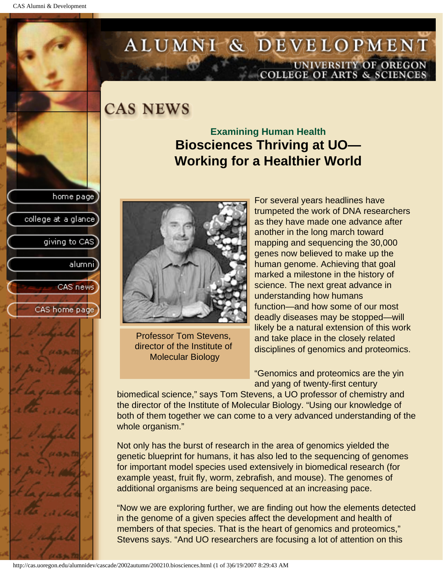college at a glance

giving to CAS

alumni

CAS news

CAS home page

# <span id="page-3-0"></span>ALUMNI & DEVELOPMENT UNIVERSITY OF OREGON<br>COLLEGE OF ARTS & SCIENCES

## **CAS NEWS**

## **Examining Human Health Biosciences Thriving at UO— Working for a Healthier World**



Professor Tom Stevens, director of the Institute of Molecular Biology

For several years headlines have trumpeted the work of DNA researchers as they have made one advance after another in the long march toward mapping and sequencing the 30,000 genes now believed to make up the human genome. Achieving that goal marked a milestone in the history of science. The next great advance in understanding how humans function—and how some of our most deadly diseases may be stopped—will likely be a natural extension of this work and take place in the closely related disciplines of genomics and proteomics.

"Genomics and proteomics are the yin and yang of twenty-first century

biomedical science," says Tom Stevens, a UO professor of chemistry and the director of the Institute of Molecular Biology. "Using our knowledge of both of them together we can come to a very advanced understanding of the whole organism."

Not only has the burst of research in the area of genomics yielded the genetic blueprint for humans, it has also led to the sequencing of genomes for important model species used extensively in biomedical research (for example yeast, fruit fly, worm, zebrafish, and mouse). The genomes of additional organisms are being sequenced at an increasing pace.

"Now we are exploring further, we are finding out how the elements detected in the genome of a given species affect the development and health of members of that species. That is the heart of genomics and proteomics," Stevens says. "And UO researchers are focusing a lot of attention on this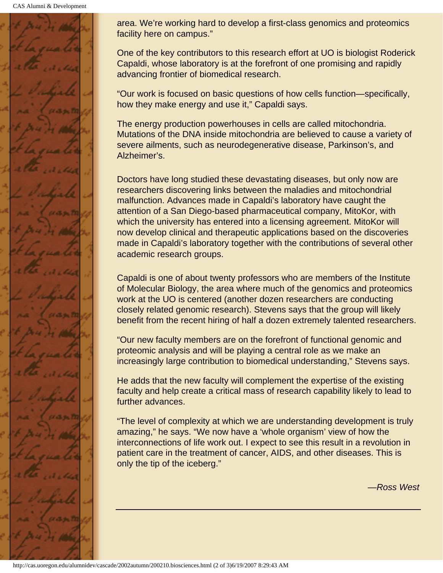

area. We're working hard to develop a first-class genomics and proteomics facility here on campus."

One of the key contributors to this research effort at UO is biologist Roderick Capaldi, whose laboratory is at the forefront of one promising and rapidly advancing frontier of biomedical research.

"Our work is focused on basic questions of how cells function—specifically, how they make energy and use it," Capaldi says.

The energy production powerhouses in cells are called mitochondria. Mutations of the DNA inside mitochondria are believed to cause a variety of severe ailments, such as neurodegenerative disease, Parkinson's, and Alzheimer's.

Doctors have long studied these devastating diseases, but only now are researchers discovering links between the maladies and mitochondrial malfunction. Advances made in Capaldi's laboratory have caught the attention of a San Diego-based pharmaceutical company, MitoKor, with which the university has entered into a licensing agreement. MitoKor will now develop clinical and therapeutic applications based on the discoveries made in Capaldi's laboratory together with the contributions of several other academic research groups.

Capaldi is one of about twenty professors who are members of the Institute of Molecular Biology, the area where much of the genomics and proteomics work at the UO is centered (another dozen researchers are conducting closely related genomic research). Stevens says that the group will likely benefit from the recent hiring of half a dozen extremely talented researchers.

"Our new faculty members are on the forefront of functional genomic and proteomic analysis and will be playing a central role as we make an increasingly large contribution to biomedical understanding," Stevens says.

He adds that the new faculty will complement the expertise of the existing faculty and help create a critical mass of research capability likely to lead to further advances.

"The level of complexity at which we are understanding development is truly amazing," he says. "We now have a 'whole organism' view of how the interconnections of life work out. I expect to see this result in a revolution in patient care in the treatment of cancer, AIDS, and other diseases. This is only the tip of the iceberg."

*—Ross West*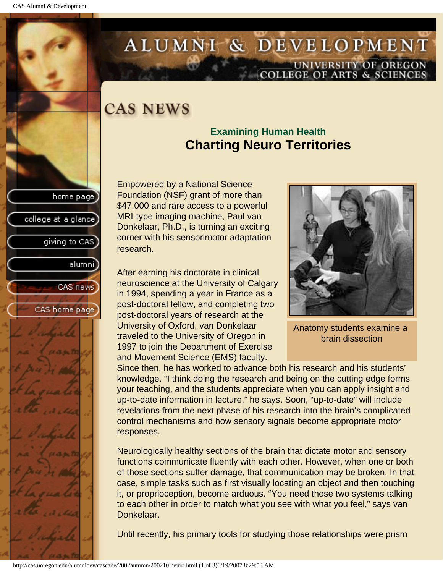college at a glance

giving to CAS

alumni

CAS news

CAS home page

# <span id="page-5-0"></span>ALUMNI & DEVELOPMENT UNIVERSITY OF OREGON<br>COLLEGE OF ARTS & SCIENCES

# **CAS NEWS**

### **Examining Human Health Charting Neuro Territories**

Empowered by a National Science Foundation (NSF) grant of more than \$47,000 and rare access to a powerful MRI-type imaging machine, Paul van Donkelaar, Ph.D., is turning an exciting corner with his sensorimotor adaptation research.

After earning his doctorate in clinical neuroscience at the University of Calgary in 1994, spending a year in France as a post-doctoral fellow, and completing two post-doctoral years of research at the University of Oxford, van Donkelaar traveled to the University of Oregon in 1997 to join the Department of Exercise and Movement Science (EMS) faculty.



Anatomy students examine a brain dissection

Since then, he has worked to advance both his research and his students' knowledge. "I think doing the research and being on the cutting edge forms your teaching, and the students appreciate when you can apply insight and up-to-date information in lecture," he says. Soon, "up-to-date" will include revelations from the next phase of his research into the brain's complicated control mechanisms and how sensory signals become appropriate motor responses.

Neurologically healthy sections of the brain that dictate motor and sensory functions communicate fluently with each other. However, when one or both of those sections suffer damage, that communication may be broken. In that case, simple tasks such as first visually locating an object and then touching it, or proprioception, become arduous. "You need those two systems talking to each other in order to match what you see with what you feel," says van Donkelaar.

Until recently, his primary tools for studying those relationships were prism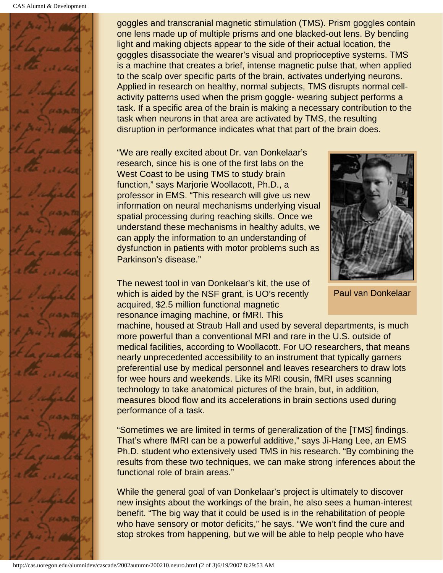

goggles and transcranial magnetic stimulation (TMS). Prism goggles contain one lens made up of multiple prisms and one blacked-out lens. By bending light and making objects appear to the side of their actual location, the goggles disassociate the wearer's visual and proprioceptive systems. TMS is a machine that creates a brief, intense magnetic pulse that, when applied to the scalp over specific parts of the brain, activates underlying neurons. Applied in research on healthy, normal subjects, TMS disrupts normal cellactivity patterns used when the prism goggle- wearing subject performs a task. If a specific area of the brain is making a necessary contribution to the task when neurons in that area are activated by TMS, the resulting disruption in performance indicates what that part of the brain does.

"We are really excited about Dr. van Donkelaar's research, since his is one of the first labs on the West Coast to be using TMS to study brain function," says Marjorie Woollacott, Ph.D., a professor in EMS. "This research will give us new information on neural mechanisms underlying visual spatial processing during reaching skills. Once we understand these mechanisms in healthy adults, we can apply the information to an understanding of dysfunction in patients with motor problems such as Parkinson's disease."

The newest tool in van Donkelaar's kit, the use of which is aided by the NSF grant, is UO's recently acquired, \$2.5 million functional magnetic resonance imaging machine, or fMRI. This

machine, housed at Straub Hall and used by several departments, is much more powerful than a conventional MRI and rare in the U.S. outside of medical facilities, according to Woollacott. For UO researchers, that means nearly unprecedented accessibility to an instrument that typically garners preferential use by medical personnel and leaves researchers to draw lots for wee hours and weekends. Like its MRI cousin, fMRI uses scanning technology to take anatomical pictures of the brain, but, in addition, measures blood flow and its accelerations in brain sections used during performance of a task.

"Sometimes we are limited in terms of generalization of the [TMS] findings. That's where fMRI can be a powerful additive," says Ji-Hang Lee, an EMS Ph.D. student who extensively used TMS in his research. "By combining the results from these two techniques, we can make strong inferences about the functional role of brain areas."

While the general goal of van Donkelaar's project is ultimately to discover new insights about the workings of the brain, he also sees a human-interest benefit. "The big way that it could be used is in the rehabilitation of people who have sensory or motor deficits," he says. "We won't find the cure and stop strokes from happening, but we will be able to help people who have



Paul van Donkelaar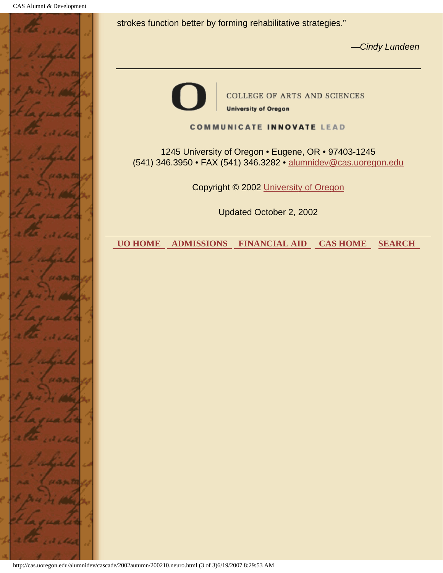

strokes function better by forming rehabilitative strategies."

*—Cindy Lundeen*



#### **COMMUNICATE INNOVATE LEAD**

1245 University of Oregon • Eugene, OR • 97403-1245 (541) 346.3950 • FAX (541) 346.3282 • alumnidev@cas.uoregon.edu

Copyright © 2002 University of Oregon

Updated October 2, 2002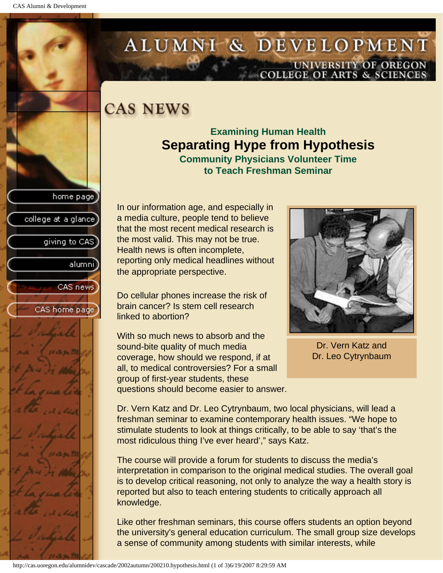college at a glance

giving to CAS

alumnil

CAS news

CAS home page

# <span id="page-8-0"></span>ALUMNI & DEVELOPMENT UNIVERSITY OF OREGON<br>COLLEGE OF ARTS & SCIENCES

## **CAS NEWS**

### **Examining Human Health Separating Hype from Hypothesis Community Physicians Volunteer Time**

**to Teach Freshman Seminar**

In our information age, and especially in a media culture, people tend to believe that the most recent medical research is the most valid. This may not be true. Health news is often incomplete, reporting only medical headlines without the appropriate perspective.

Do cellular phones increase the risk of brain cancer? Is stem cell research linked to abortion?

With so much news to absorb and the sound-bite quality of much media coverage, how should we respond, if at all, to medical controversies? For a small group of first-year students, these questions should become easier to answer.



Dr. Vern Katz and Dr. Leo Cytrynbaum

Dr. Vern Katz and Dr. Leo Cytrynbaum, two local physicians, will lead a freshman seminar to examine contemporary health issues. "We hope to stimulate students to look at things critically, to be able to say 'that's the most ridiculous thing I've ever heard'," says Katz.

The course will provide a forum for students to discuss the media's interpretation in comparison to the original medical studies. The overall goal is to develop critical reasoning, not only to analyze the way a health story is reported but also to teach entering students to critically approach all knowledge.

Like other freshman seminars, this course offers students an option beyond the university's general education curriculum. The small group size develops a sense of community among students with similar interests, while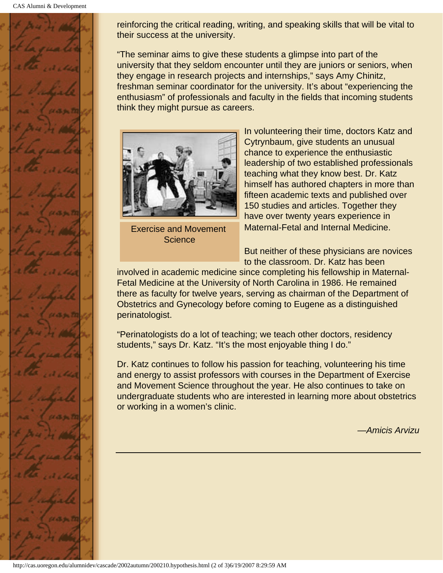

reinforcing the critical reading, writing, and speaking skills that will be vital to their success at the university.

"The seminar aims to give these students a glimpse into part of the university that they seldom encounter until they are juniors or seniors, when they engage in research projects and internships," says Amy Chinitz, freshman seminar coordinator for the university. It's about "experiencing the enthusiasm" of professionals and faculty in the fields that incoming students think they might pursue as careers.



Exercise and Movement **Science** 

In volunteering their time, doctors Katz and Cytrynbaum, give students an unusual chance to experience the enthusiastic leadership of two established professionals teaching what they know best. Dr. Katz himself has authored chapters in more than fifteen academic texts and published over 150 studies and articles. Together they have over twenty years experience in Maternal-Fetal and Internal Medicine.

But neither of these physicians are novices to the classroom. Dr. Katz has been

involved in academic medicine since completing his fellowship in Maternal-Fetal Medicine at the University of North Carolina in 1986. He remained there as faculty for twelve years, serving as chairman of the Department of Obstetrics and Gynecology before coming to Eugene as a distinguished perinatologist.

"Perinatologists do a lot of teaching; we teach other doctors, residency students," says Dr. Katz. "It's the most enjoyable thing I do."

Dr. Katz continues to follow his passion for teaching, volunteering his time and energy to assist professors with courses in the Department of Exercise and Movement Science throughout the year. He also continues to take on undergraduate students who are interested in learning more about obstetrics or working in a women's clinic.

*—Amicis Arvizu*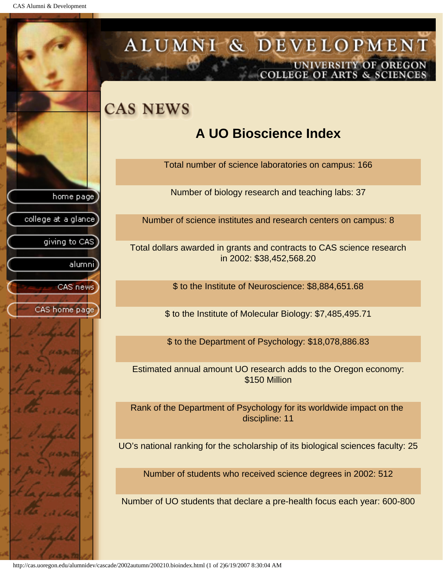<span id="page-10-0"></span>CAS Alumni & Development



UNIVERSITY OF OREGON<br>COLLEGE OF ARTS & SCIENCES

http://cas.uoregon.edu/alumnidev/cascade/2002autumn/200210.bioindex.html (1 of 2)6/19/2007 8:30:04 AM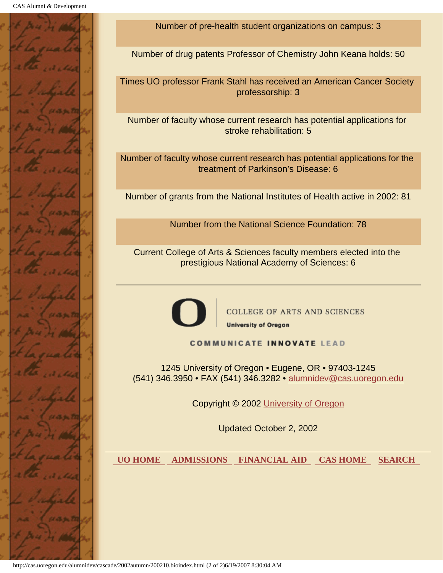

Number of pre-health student organizations on campus: 3

Number of drug patents Professor of Chemistry John Keana holds: 50

Times UO professor Frank Stahl has received an American Cancer Society professorship: 3

Number of faculty whose current research has potential applications for stroke rehabilitation: 5

Number of faculty whose current research has potential applications for the treatment of Parkinson's Disease: 6

Number of grants from the National Institutes of Health active in 2002: 81

Number from the National Science Foundation: 78

Current College of Arts & Sciences faculty members elected into the prestigious National Academy of Sciences: 6



**COLLEGE OF ARTS AND SCIENCES University of Oregon** 

**COMMUNICATE INNOVATE LEAD** 

1245 University of Oregon • Eugene, OR • 97403-1245 (541) 346.3950 • FAX (541) 346.3282 • alumnidev@cas.uoregon.edu

Copyright © 2002 University of Oregon

Updated October 2, 2002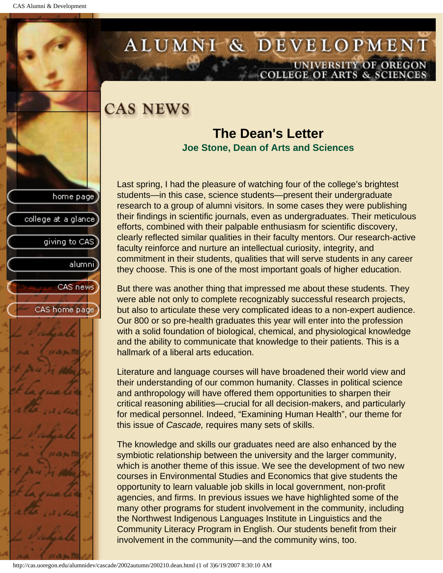college at a glance

giving to CAS

alumni

CAS news

CAS home page

# <span id="page-12-0"></span>ALUMNI & DEVELOPMENT UNIVERSITY OF OREGON<br>COLLEGE OF ARTS & SCIENCES

## **CAS NEWS**

### **The Dean's Letter Joe Stone, Dean of Arts and Sciences**

Last spring, I had the pleasure of watching four of the college's brightest students—in this case, science students—present their undergraduate research to a group of alumni visitors. In some cases they were publishing their findings in scientific journals, even as undergraduates. Their meticulous efforts, combined with their palpable enthusiasm for scientific discovery, clearly reflected similar qualities in their faculty mentors. Our research-active faculty reinforce and nurture an intellectual curiosity, integrity, and commitment in their students, qualities that will serve students in any career they choose. This is one of the most important goals of higher education.

But there was another thing that impressed me about these students. They were able not only to complete recognizably successful research projects, but also to articulate these very complicated ideas to a non-expert audience. Our 800 or so pre-health graduates this year will enter into the profession with a solid foundation of biological, chemical, and physiological knowledge and the ability to communicate that knowledge to their patients. This is a hallmark of a liberal arts education.

Literature and language courses will have broadened their world view and their understanding of our common humanity. Classes in political science and anthropology will have offered them opportunities to sharpen their critical reasoning abilities—crucial for all decision-makers, and particularly for medical personnel. Indeed, "Examining Human Health", our theme for this issue of *Cascade,* requires many sets of skills.

The knowledge and skills our graduates need are also enhanced by the symbiotic relationship between the university and the larger community, which is another theme of this issue. We see the development of two new courses in Environmental Studies and Economics that give students the opportunity to learn valuable job skills in local government, non-profit agencies, and firms. In previous issues we have highlighted some of the many other programs for student involvement in the community, including the Northwest Indigenous Languages Institute in Linguistics and the Community Literacy Program in English. Our students benefit from their involvement in the community—and the community wins, too.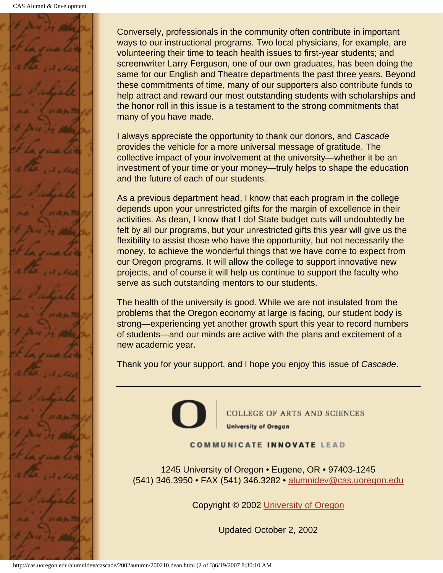

Conversely, professionals in the community often contribute in important ways to our instructional programs. Two local physicians, for example, are volunteering their time to teach health issues to first-year students; and screenwriter Larry Ferguson, one of our own graduates, has been doing the same for our English and Theatre departments the past three years. Beyond these commitments of time, many of our supporters also contribute funds to help attract and reward our most outstanding students with scholarships and the honor roll in this issue is a testament to the strong commitments that many of you have made.

I always appreciate the opportunity to thank our donors, and *Cascade* provides the vehicle for a more universal message of gratitude. The collective impact of your involvement at the university—whether it be an investment of your time or your money—truly helps to shape the education and the future of each of our students.

As a previous department head, I know that each program in the college depends upon your unrestricted gifts for the margin of excellence in their activities. As dean, I know that I do! State budget cuts will undoubtedly be felt by all our programs, but your unrestricted gifts this year will give us the flexibility to assist those who have the opportunity, but not necessarily the money, to achieve the wonderful things that we have come to expect from our Oregon programs. It will allow the college to support innovative new projects, and of course it will help us continue to support the faculty who serve as such outstanding mentors to our students.

The health of the university is good. While we are not insulated from the problems that the Oregon economy at large is facing, our student body is strong—experiencing yet another growth spurt this year to record numbers of students—and our minds are active with the plans and excitement of a new academic year.

Thank you for your support, and I hope you enjoy this issue of *Cascade*.



**COLLEGE OF ARTS AND SCIENCES University of Oregon** 

#### **COMMUNICATE INNOVATE LEAD**

1245 University of Oregon • Eugene, OR • 97403-1245 (541) 346.3950 • FAX (541) 346.3282 • alumnidev@cas.uoregon.edu

Copyright © 2002 University of Oregon

Updated October 2, 2002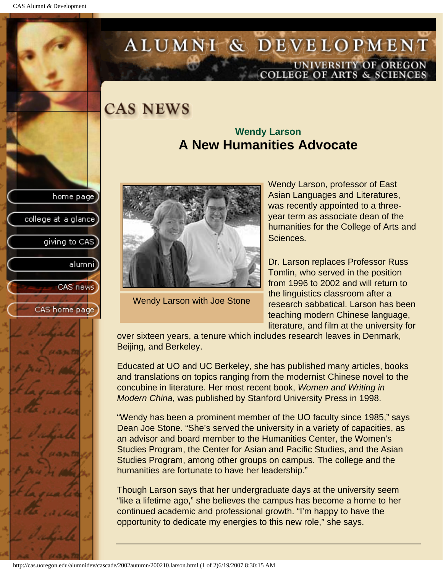college at a glance

giving to CAS

alumnil

CAS news

CAS home page

# <span id="page-14-0"></span>ALUMNI & DEVELOPMENT UNIVERSITY OF OREGON<br>COLLEGE OF ARTS & SCIENCES

## **CAS NEWS**

### **Wendy Larson A New Humanities Advocate**



Wendy Larson with Joe Stone

Wendy Larson, professor of East Asian Languages and Literatures, was recently appointed to a threeyear term as associate dean of the humanities for the College of Arts and Sciences.

Dr. Larson replaces Professor Russ Tomlin, who served in the position from 1996 to 2002 and will return to the linguistics classroom after a research sabbatical. Larson has been teaching modern Chinese language, literature, and film at the university for

over sixteen years, a tenure which includes research leaves in Denmark, Beijing, and Berkeley.

Educated at UO and UC Berkeley, she has published many articles, books and translations on topics ranging from the modernist Chinese novel to the concubine in literature. Her most recent book, *Women and Writing in Modern China,* was published by Stanford University Press in 1998.

"Wendy has been a prominent member of the UO faculty since 1985," says Dean Joe Stone. "She's served the university in a variety of capacities, as an advisor and board member to the Humanities Center, the Women's Studies Program, the Center for Asian and Pacific Studies, and the Asian Studies Program, among other groups on campus. The college and the humanities are fortunate to have her leadership."

Though Larson says that her undergraduate days at the university seem "like a lifetime ago," she believes the campus has become a home to her continued academic and professional growth. "I'm happy to have the opportunity to dedicate my energies to this new role," she says.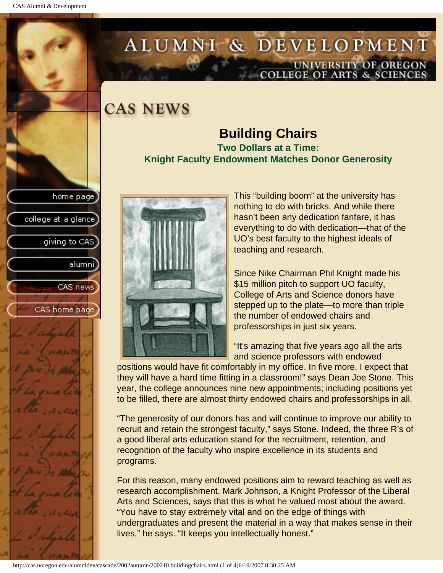college at a glance]

giving to CAS

alumnil

CAS news

CAS home page

# <span id="page-15-0"></span>ALUMNI & DEVELOPMENT UNIVERSITY OF OREGON<br>COLLEGE OF ARTS & SCIENCES

## **CAS NEWS**

### **Building Chairs Two Dollars at a Time: Knight Faculty Endowment Matches Donor Generosity**



This "building boom" at the university has nothing to do with bricks. And while there hasn't been any dedication fanfare, it has everything to do with dedication—that of the UO's best faculty to the highest ideals of teaching and research.

Since Nike Chairman Phil Knight made his \$15 million pitch to support UO faculty, College of Arts and Science donors have stepped up to the plate—to more than triple the number of endowed chairs and professorships in just six years.

"It's amazing that five years ago all the arts and science professors with endowed

positions would have fit comfortably in my office. In five more, I expect that they will have a hard time fitting in a classroom!" says Dean Joe Stone. This year, the college announces nine new appointments; including positions yet to be filled, there are almost thirty endowed chairs and professorships in all.

"The generosity of our donors has and will continue to improve our ability to recruit and retain the strongest faculty," says Stone. Indeed, the three R's of a good liberal arts education stand for the recruitment, retention, and recognition of the faculty who inspire excellence in its students and programs.

For this reason, many endowed positions aim to reward teaching as well as research accomplishment. Mark Johnson, a Knight Professor of the Liberal Arts and Sciences, says that this is what he valued most about the award. "You have to stay extremely vital and on the edge of things with undergraduates and present the material in a way that makes sense in their lives," he says. "It keeps you intellectually honest."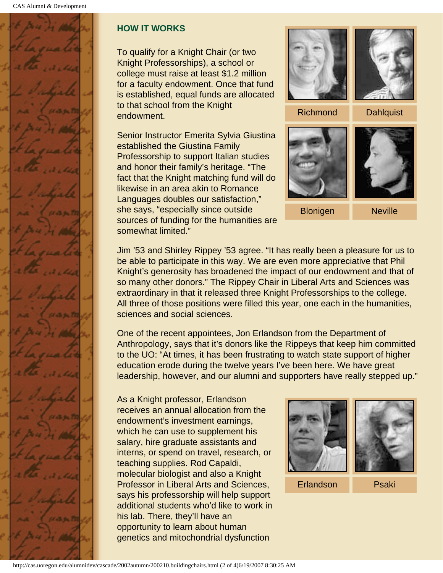

### **HOW IT WORKS**

To qualify for a Knight Chair (or two Knight Professorships), a school or college must raise at least \$1.2 million for a faculty endowment. Once that fund is established, equal funds are allocated to that school from the Knight endowment.

Senior Instructor Emerita Sylvia Giustina established the Giustina Family Professorship to support Italian studies and honor their family's heritage. "The fact that the Knight matching fund will do likewise in an area akin to Romance Languages doubles our satisfaction," she says, "especially since outside sources of funding for the humanities are somewhat limited."



Jim '53 and Shirley Rippey '53 agree. "It has really been a pleasure for us to be able to participate in this way. We are even more appreciative that Phil Knight's generosity has broadened the impact of our endowment and that of so many other donors." The Rippey Chair in Liberal Arts and Sciences was extraordinary in that it released three Knight Professorships to the college. All three of those positions were filled this year, one each in the humanities, sciences and social sciences.

One of the recent appointees, Jon Erlandson from the Department of Anthropology, says that it's donors like the Rippeys that keep him committed to the UO: "At times, it has been frustrating to watch state support of higher education erode during the twelve years I've been here. We have great leadership, however, and our alumni and supporters have really stepped up."

As a Knight professor, Erlandson receives an annual allocation from the endowment's investment earnings, which he can use to supplement his salary, hire graduate assistants and interns, or spend on travel, research, or teaching supplies. Rod Capaldi, molecular biologist and also a Knight Professor in Liberal Arts and Sciences, says his professorship will help support additional students who'd like to work in his lab. There, they'll have an opportunity to learn about human genetics and mitochondrial dysfunction

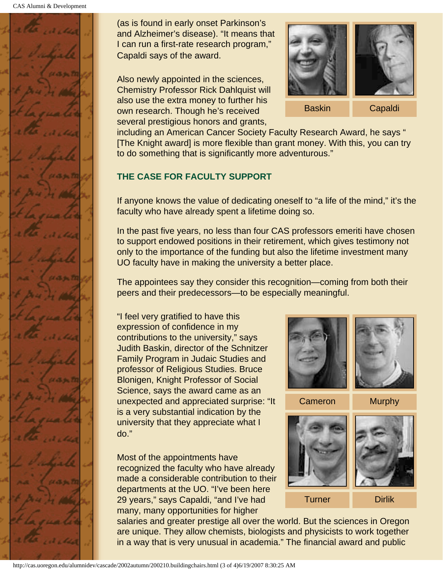

(as is found in early onset Parkinson's and Alzheimer's disease). "It means that I can run a first-rate research program," Capaldi says of the award.

Also newly appointed in the sciences, Chemistry Professor Rick Dahlquist will also use the extra money to further his own research. Though he's received several prestigious honors and grants,



including an American Cancer Society Faculty Research Award, he says " [The Knight award] is more flexible than grant money. With this, you can try to do something that is significantly more adventurous."

### **THE CASE FOR FACULTY SUPPORT**

If anyone knows the value of dedicating oneself to "a life of the mind," it's the faculty who have already spent a lifetime doing so.

In the past five years, no less than four CAS professors emeriti have chosen to support endowed positions in their retirement, which gives testimony not only to the importance of the funding but also the lifetime investment many UO faculty have in making the university a better place.

The appointees say they consider this recognition—coming from both their peers and their predecessors—to be especially meaningful.

"I feel very gratified to have this expression of confidence in my contributions to the university," says Judith Baskin, director of the Schnitzer Family Program in Judaic Studies and professor of Religious Studies. Bruce Blonigen, Knight Professor of Social Science, says the award came as an unexpected and appreciated surprise: "It is a very substantial indication by the university that they appreciate what I do."

Most of the appointments have recognized the faculty who have already made a considerable contribution to their departments at the UO. "I've been here 29 years," says Capaldi, "and I've had many, many opportunities for higher



Cameron Murphy



salaries and greater prestige all over the world. But the sciences in Oregon are unique. They allow chemists, biologists and physicists to work together in a way that is very unusual in academia." The financial award and public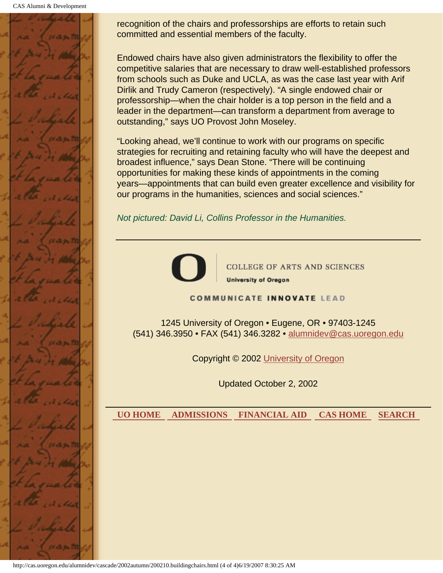CAS Alumni & Development



recognition of the chairs and professorships are efforts to retain such committed and essential members of the faculty.

Endowed chairs have also given administrators the flexibility to offer the competitive salaries that are necessary to draw well-established professors from schools such as Duke and UCLA, as was the case last year with Arif Dirlik and Trudy Cameron (respectively). "A single endowed chair or professorship—when the chair holder is a top person in the field and a leader in the department—can transform a department from average to outstanding," says UO Provost John Moseley.

"Looking ahead, we'll continue to work with our programs on specific strategies for recruiting and retaining faculty who will have the deepest and broadest influence," says Dean Stone. "There will be continuing opportunities for making these kinds of appointments in the coming years—appointments that can build even greater excellence and visibility for our programs in the humanities, sciences and social sciences."

*Not pictured: David Li, Collins Professor in the Humanities.*



**COLLEGE OF ARTS AND SCIENCES University of Oregon** 

#### **COMMUNICATE INNOVATE LEAD**

1245 University of Oregon • Eugene, OR • 97403-1245 (541) 346.3950 • FAX (541) 346.3282 • alumnidev@cas.uoregon.edu

Copyright © 2002 University of Oregon

Updated October 2, 2002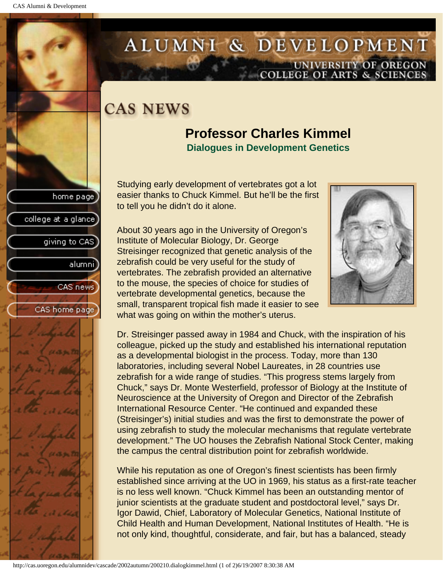college at a glance

giving to CAS

alumni

CAS news

CAS home page

# <span id="page-19-0"></span>ALUMNI & DEVELOPMENT UNIVERSITY OF OREGON<br>COLLEGE OF ARTS & SCIENCES

# **CAS NEWS**

### **Professor Charles Kimmel Dialogues in Development Genetics**

Studying early development of vertebrates got a lot easier thanks to Chuck Kimmel. But he'll be the first to tell you he didn't do it alone.

About 30 years ago in the University of Oregon's Institute of Molecular Biology, Dr. George Streisinger recognized that genetic analysis of the zebrafish could be very useful for the study of vertebrates. The zebrafish provided an alternative to the mouse, the species of choice for studies of vertebrate developmental genetics, because the small, transparent tropical fish made it easier to see what was going on within the mother's uterus.

Dr. Streisinger passed away in 1984 and Chuck, with the inspiration of his colleague, picked up the study and established his international reputation as a developmental biologist in the process. Today, more than 130 laboratories, including several Nobel Laureates, in 28 countries use zebrafish for a wide range of studies. "This progress stems largely from Chuck," says Dr. Monte Westerfield, professor of Biology at the Institute of Neuroscience at the University of Oregon and Director of the Zebrafish International Resource Center. "He continued and expanded these (Streisinger's) initial studies and was the first to demonstrate the power of using zebrafish to study the molecular mechanisms that regulate vertebrate development." The UO houses the Zebrafish National Stock Center, making the campus the central distribution point for zebrafish worldwide.

While his reputation as one of Oregon's finest scientists has been firmly established since arriving at the UO in 1969, his status as a first-rate teacher is no less well known. "Chuck Kimmel has been an outstanding mentor of junior scientists at the graduate student and postdoctoral level," says Dr. Igor Dawid, Chief, Laboratory of Molecular Genetics, National Institute of Child Health and Human Development, National Institutes of Health. "He is not only kind, thoughtful, considerate, and fair, but has a balanced, steady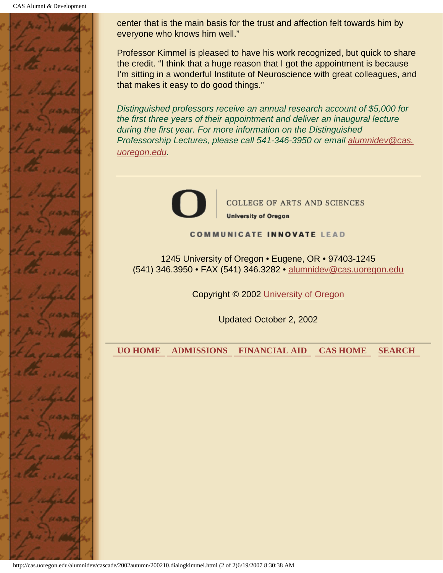

center that is the main basis for the trust and affection felt towards him by everyone who knows him well."

Professor Kimmel is pleased to have his work recognized, but quick to share the credit. "I think that a huge reason that I got the appointment is because I'm sitting in a wonderful Institute of Neuroscience with great colleagues, and that makes it easy to do good things."

*Distinguished professors receive an annual research account of \$5,000 for the first three years of their appointment and deliver an inaugural lecture during the first year. For more information on the Distinguished Professorship Lectures, please call 541-346-3950 or email alumnidev@cas. uoregon.edu.*



**COLLEGE OF ARTS AND SCIENCES University of Oregon** 

**COMMUNICATE INNOVATE LEAD** 

1245 University of Oregon • Eugene, OR • 97403-1245 (541) 346.3950 • FAX (541) 346.3282 • alumnidev@cas.uoregon.edu

Copyright © 2002 University of Oregon

Updated October 2, 2002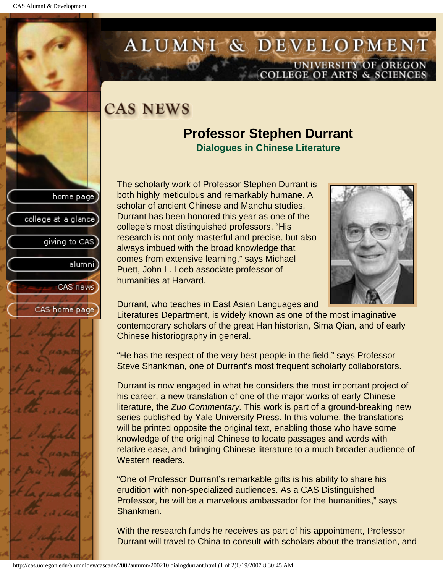college at a glance

giving to CAS

alumnil

CAS news

CAS home page

# <span id="page-21-0"></span>ALUMNI & DEVELOPMENT UNIVERSITY OF OREGON<br>COLLEGE OF ARTS & SCIENCES

# **CAS NEWS**

## **Professor Stephen Durrant Dialogues in Chinese Literature**

The scholarly work of Professor Stephen Durrant is both highly meticulous and remarkably humane. A scholar of ancient Chinese and Manchu studies, Durrant has been honored this year as one of the college's most distinguished professors. "His research is not only masterful and precise, but also always imbued with the broad knowledge that comes from extensive learning," says Michael Puett, John L. Loeb associate professor of humanities at Harvard.



Durrant, who teaches in East Asian Languages and

Literatures Department, is widely known as one of the most imaginative contemporary scholars of the great Han historian, Sima Qian, and of early Chinese historiography in general.

"He has the respect of the very best people in the field," says Professor Steve Shankman, one of Durrant's most frequent scholarly collaborators.

Durrant is now engaged in what he considers the most important project of his career, a new translation of one of the major works of early Chinese literature, the *Zuo Commentary.* This work is part of a ground-breaking new series published by Yale University Press. In this volume, the translations will be printed opposite the original text, enabling those who have some knowledge of the original Chinese to locate passages and words with relative ease, and bringing Chinese literature to a much broader audience of Western readers.

"One of Professor Durrant's remarkable gifts is his ability to share his erudition with non-specialized audiences. As a CAS Distinguished Professor, he will be a marvelous ambassador for the humanities," says Shankman.

With the research funds he receives as part of his appointment, Professor Durrant will travel to China to consult with scholars about the translation, and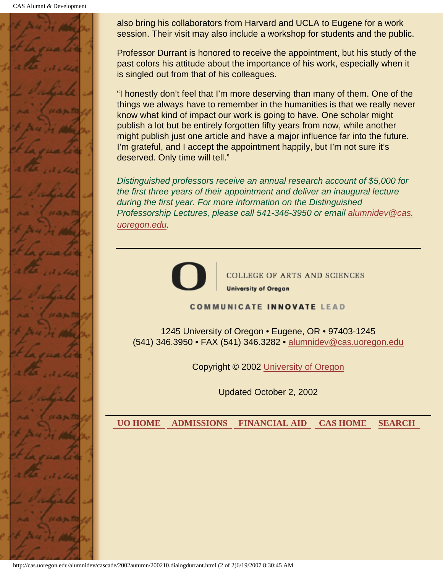CAS Alumni & Development



also bring his collaborators from Harvard and UCLA to Eugene for a work session. Their visit may also include a workshop for students and the public.

Professor Durrant is honored to receive the appointment, but his study of the past colors his attitude about the importance of his work, especially when it is singled out from that of his colleagues.

"I honestly don't feel that I'm more deserving than many of them. One of the things we always have to remember in the humanities is that we really never know what kind of impact our work is going to have. One scholar might publish a lot but be entirely forgotten fifty years from now, while another might publish just one article and have a major influence far into the future. I'm grateful, and I accept the appointment happily, but I'm not sure it's deserved. Only time will tell."

*Distinguished professors receive an annual research account of \$5,000 for the first three years of their appointment and deliver an inaugural lecture during the first year. For more information on the Distinguished Professorship Lectures, please call 541-346-3950 or email alumnidev@cas. uoregon.edu.*



**COLLEGE OF ARTS AND SCIENCES University of Oregon** 

#### **COMMUNICATE INNOVATE LEAD**

1245 University of Oregon • Eugene, OR • 97403-1245 (541) 346.3950 • FAX (541) 346.3282 • alumnidev@cas.uoregon.edu

Copyright © 2002 University of Oregon

Updated October 2, 2002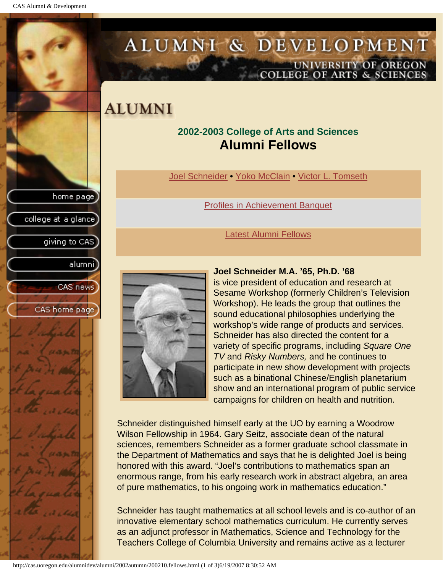<span id="page-23-0"></span>CAS Alumni & Development

home page

college at a glance]

giving to CAS

alumnil

CAS news

CAS home page



## **ALUMNI**

### **2002-2003 College of Arts and Sciences Alumni Fellows**

Joel Schneider • Yoko McClain • Victor L. Tomseth

[Profiles in Achievement Banquet](#page-26-0)

#### [Latest Alumni Fellows](#page-28-0)



#### **Joel Schneider M.A. '65, Ph.D. '68**

is vice president of education and research at Sesame Workshop (formerly Children's Television Workshop). He leads the group that outlines the sound educational philosophies underlying the workshop's wide range of products and services. Schneider has also directed the content for a variety of specific programs, including *Square One TV* and *Risky Numbers,* and he continues to participate in new show development with projects such as a binational Chinese/English planetarium show and an international program of public service campaigns for children on health and nutrition.

Schneider distinguished himself early at the UO by earning a Woodrow Wilson Fellowship in 1964. Gary Seitz, associate dean of the natural sciences, remembers Schneider as a former graduate school classmate in the Department of Mathematics and says that he is delighted Joel is being honored with this award. "Joel's contributions to mathematics span an enormous range, from his early research work in abstract algebra, an area of pure mathematics, to his ongoing work in mathematics education."

Schneider has taught mathematics at all school levels and is co-author of an innovative elementary school mathematics curriculum. He currently serves as an adjunct professor in Mathematics, Science and Technology for the Teachers College of Columbia University and remains active as a lecturer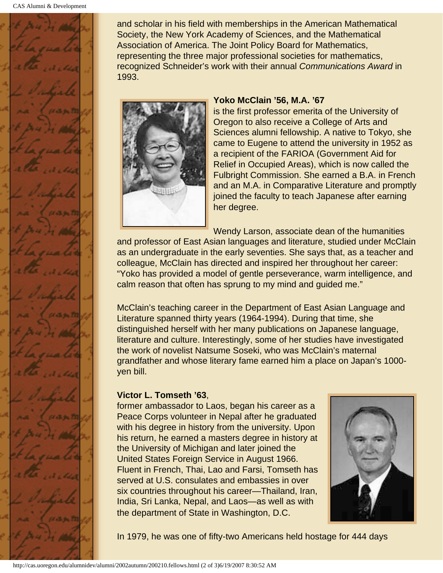

and scholar in his field with memberships in the American Mathematical Society, the New York Academy of Sciences, and the Mathematical Association of America. The Joint Policy Board for Mathematics, representing the three major professional societies for mathematics, recognized Schneider's work with their annual *Communications Award* in 1993.



#### **Yoko McClain '56, M.A. '67**

is the first professor emerita of the University of Oregon to also receive a College of Arts and Sciences alumni fellowship. A native to Tokyo, she came to Eugene to attend the university in 1952 as a recipient of the FARIOA (Government Aid for Relief in Occupied Areas), which is now called the Fulbright Commission. She earned a B.A. in French and an M.A. in Comparative Literature and promptly joined the faculty to teach Japanese after earning her degree.

Wendy Larson, associate dean of the humanities and professor of East Asian languages and literature, studied under McClain as an undergraduate in the early seventies. She says that, as a teacher and colleague, McClain has directed and inspired her throughout her career: "Yoko has provided a model of gentle perseverance, warm intelligence, and calm reason that often has sprung to my mind and guided me."

McClain's teaching career in the Department of East Asian Language and Literature spanned thirty years (1964-1994). During that time, she distinguished herself with her many publications on Japanese language, literature and culture. Interestingly, some of her studies have investigated the work of novelist Natsume Soseki, who was McClain's maternal grandfather and whose literary fame earned him a place on Japan's 1000 yen bill.

#### **Victor L. Tomseth '63**,

former ambassador to Laos, began his career as a Peace Corps volunteer in Nepal after he graduated with his degree in history from the university. Upon his return, he earned a masters degree in history at the University of Michigan and later joined the United States Foreign Service in August 1966. Fluent in French, Thai, Lao and Farsi, Tomseth has served at U.S. consulates and embassies in over six countries throughout his career—Thailand, Iran, India, Sri Lanka, Nepal, and Laos—as well as with the department of State in Washington, D.C.



In 1979, he was one of fifty-two Americans held hostage for 444 days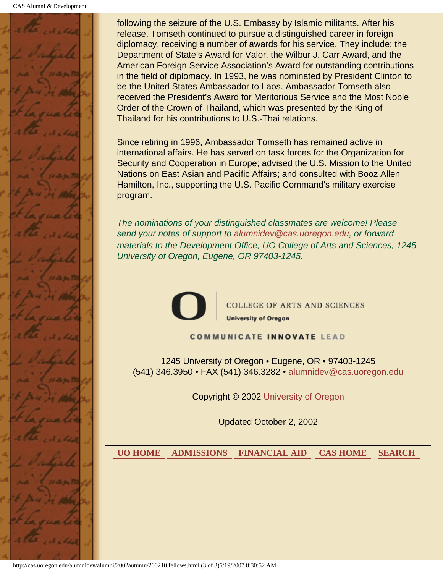

following the seizure of the U.S. Embassy by Islamic militants. After his release, Tomseth continued to pursue a distinguished career in foreign diplomacy, receiving a number of awards for his service. They include: the Department of State's Award for Valor, the Wilbur J. Carr Award, and the American Foreign Service Association's Award for outstanding contributions in the field of diplomacy. In 1993, he was nominated by President Clinton to be the United States Ambassador to Laos. Ambassador Tomseth also received the President's Award for Meritorious Service and the Most Noble Order of the Crown of Thailand, which was presented by the King of Thailand for his contributions to U.S.-Thai relations.

Since retiring in 1996, Ambassador Tomseth has remained active in international affairs. He has served on task forces for the Organization for Security and Cooperation in Europe; advised the U.S. Mission to the United Nations on East Asian and Pacific Affairs; and consulted with Booz Allen Hamilton, Inc., supporting the U.S. Pacific Command's military exercise program.

*The nominations of your distinguished classmates are welcome! Please send your notes of support to alumnidev@cas.uoregon.edu, or forward materials to the Development Office, UO College of Arts and Sciences, 1245 University of Oregon, Eugene, OR 97403-1245.*



COLLEGE OF ARTS AND SCIENCES **University of Oregon** 

**COMMUNICATE INNOVATE LEAD** 

1245 University of Oregon • Eugene, OR • 97403-1245 (541) 346.3950 • FAX (541) 346.3282 • alumnidev@cas.uoregon.edu

Copyright © 2002 University of Oregon

Updated October 2, 2002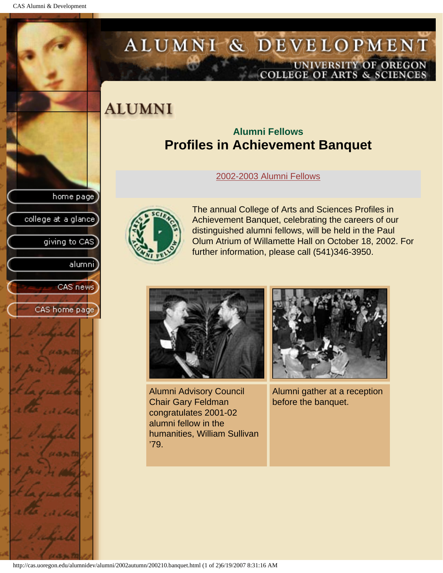college at a glance]

giving to CAS

alumni

CAS news

CAS home page

# <span id="page-26-0"></span>ALUMNI & DEVELOPMENT UNIVERSITY OF OREGON<br>COLLEGE OF ARTS & SCIENCES

# **ALUMNI**

### **Alumni Fellows Profiles in Achievement Banquet**

[2002-2003 Alumni Fellows](#page-23-0)



The annual College of Arts and Sciences Profiles in Achievement Banquet, celebrating the careers of our distinguished alumni fellows, will be held in the Paul Olum Atrium of Willamette Hall on October 18, 2002. For further information, please call (541)346-3950.



Alumni Advisory Council Chair Gary Feldman congratulates 2001-02 alumni fellow in the humanities, William Sullivan '79.



Alumni gather at a reception before the banquet.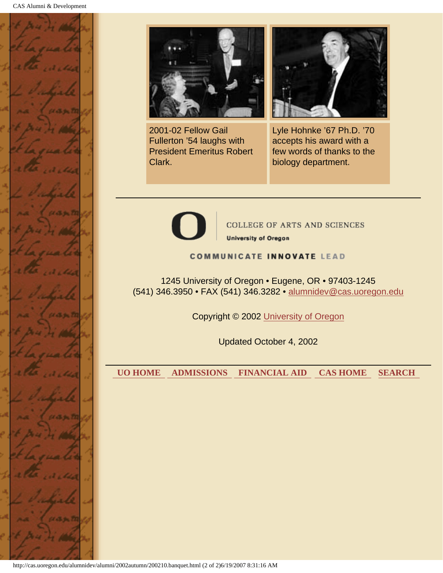



2001-02 Fellow Gail Fullerton '54 laughs with President Emeritus Robert Clark.



Lyle Hohnke '67 Ph.D. '70 accepts his award with a few words of thanks to the biology department.



**COLLEGE OF ARTS AND SCIENCES University of Oregon** 

#### **COMMUNICATE INNOVATE LEAD**

1245 University of Oregon • Eugene, OR • 97403-1245 (541) 346.3950 • FAX (541) 346.3282 • alumnidev@cas.uoregon.edu

Copyright © 2002 University of Oregon

Updated October 4, 2002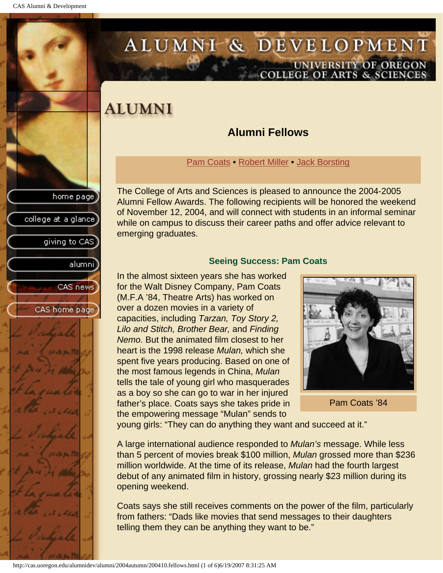<span id="page-28-1"></span>college at a glance

giving to CAS

alumnil

CAS news

CAS home page

# <span id="page-28-0"></span>ALUMNI & DEVELOPMENT UNIVERSITY OF OREGON<br>COLLEGE OF ARTS & SCIENCES

## **ALUMNI**

### **Alumni Fellows**

[Pam Coats](#page-28-1) • [Robert Miller](#page-29-0) • [Jack Borsting](#page-31-0)

The College of Arts and Sciences is pleased to announce the 2004-2005 Alumni Fellow Awards. The following recipients will be honored the weekend of November 12, 2004, and will connect with students in an informal seminar while on campus to discuss their career paths and offer advice relevant to emerging graduates.

#### **Seeing Success: Pam Coats**

In the almost sixteen years she has worked for the Walt Disney Company, Pam Coats (M.F.A '84, Theatre Arts) has worked on over a dozen movies in a variety of capacities, including *Tarzan, Toy Story 2, Lilo and Stitch, Brother Bear,* and *Finding Nemo.* But the animated film closest to her heart is the 1998 release *Mulan,* which she spent five years producing. Based on one of the most famous legends in China, *Mulan* tells the tale of young girl who masquerades as a boy so she can go to war in her injured father's place. Coats says she takes pride in the empowering message "Mulan" sends to



Pam Coats '84

young girls: "They can do anything they want and succeed at it."

A large international audience responded to *Mulan's* message. While less than 5 percent of movies break \$100 million, *Mulan* grossed more than \$236 million worldwide. At the time of its release, *Mulan* had the fourth largest debut of any animated film in history, grossing nearly \$23 million during its opening weekend.

Coats says she still receives comments on the power of the film, particularly from fathers: "Dads like movies that send messages to their daughters telling them they can be anything they want to be."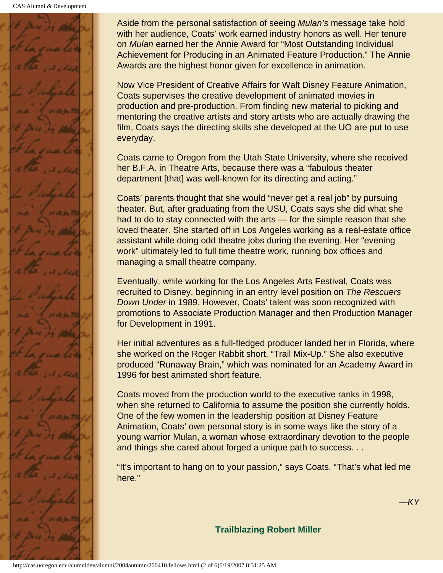

Aside from the personal satisfaction of seeing *Mulan's* message take hold with her audience, Coats' work earned industry honors as well. Her tenure on *Mulan* earned her the Annie Award for "Most Outstanding Individual Achievement for Producing in an Animated Feature Production." The Annie Awards are the highest honor given for excellence in animation.

Now Vice President of Creative Affairs for Walt Disney Feature Animation, Coats supervises the creative development of animated movies in production and pre-production. From finding new material to picking and mentoring the creative artists and story artists who are actually drawing the film, Coats says the directing skills she developed at the UO are put to use everyday.

Coats came to Oregon from the Utah State University, where she received her B.F.A. in Theatre Arts, because there was a "fabulous theater department [that] was well-known for its directing and acting."

Coats' parents thought that she would "never get a real job" by pursuing theater. But, after graduating from the USU, Coats says she did what she had to do to stay connected with the arts — for the simple reason that she loved theater. She started off in Los Angeles working as a real-estate office assistant while doing odd theatre jobs during the evening. Her "evening work" ultimately led to full time theatre work, running box offices and managing a small theatre company.

Eventually, while working for the Los Angeles Arts Festival, Coats was recruited to Disney, beginning in an entry level position on *The Rescuers Down Under* in 1989. However, Coats' talent was soon recognized with promotions to Associate Production Manager and then Production Manager for Development in 1991.

Her initial adventures as a full-fledged producer landed her in Florida, where she worked on the Roger Rabbit short, "Trail Mix-Up." She also executive produced "Runaway Brain," which was nominated for an Academy Award in 1996 for best animated short feature.

Coats moved from the production world to the executive ranks in 1998, when she returned to California to assume the position she currently holds. One of the few women in the leadership position at Disney Feature Animation, Coats' own personal story is in some ways like the story of a young warrior Mulan, a woman whose extraordinary devotion to the people and things she cared about forged a unique path to success. . .

<span id="page-29-0"></span>"It's important to hang on to your passion," says Coats. "That's what led me here."

*—KY*

**Trailblazing Robert Miller**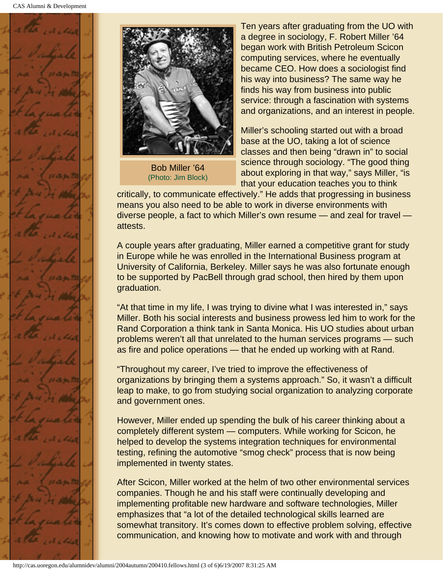



Bob Miller '64 (Photo: Jim Block)

Ten years after graduating from the UO with a degree in sociology, F. Robert Miller '64 began work with British Petroleum Scicon computing services, where he eventually became CEO. How does a sociologist find his way into business? The same way he finds his way from business into public service: through a fascination with systems and organizations, and an interest in people.

Miller's schooling started out with a broad base at the UO, taking a lot of science classes and then being "drawn in" to social science through sociology. "The good thing about exploring in that way," says Miller, "is that your education teaches you to think

critically, to communicate effectively." He adds that progressing in business means you also need to be able to work in diverse environments with diverse people, a fact to which Miller's own resume — and zeal for travel attests.

A couple years after graduating, Miller earned a competitive grant for study in Europe while he was enrolled in the International Business program at University of California, Berkeley. Miller says he was also fortunate enough to be supported by PacBell through grad school, then hired by them upon graduation.

"At that time in my life, I was trying to divine what I was interested in," says Miller. Both his social interests and business prowess led him to work for the Rand Corporation a think tank in Santa Monica. His UO studies about urban problems weren't all that unrelated to the human services programs — such as fire and police operations — that he ended up working with at Rand.

"Throughout my career, I've tried to improve the effectiveness of organizations by bringing them a systems approach." So, it wasn't a difficult leap to make, to go from studying social organization to analyzing corporate and government ones.

However, Miller ended up spending the bulk of his career thinking about a completely different system — computers. While working for Scicon, he helped to develop the systems integration techniques for environmental testing, refining the automotive "smog check" process that is now being implemented in twenty states.

After Scicon, Miller worked at the helm of two other environmental services companies. Though he and his staff were continually developing and implementing profitable new hardware and software technologies, Miller emphasizes that "a lot of the detailed technological skills learned are somewhat transitory. It's comes down to effective problem solving, effective communication, and knowing how to motivate and work with and through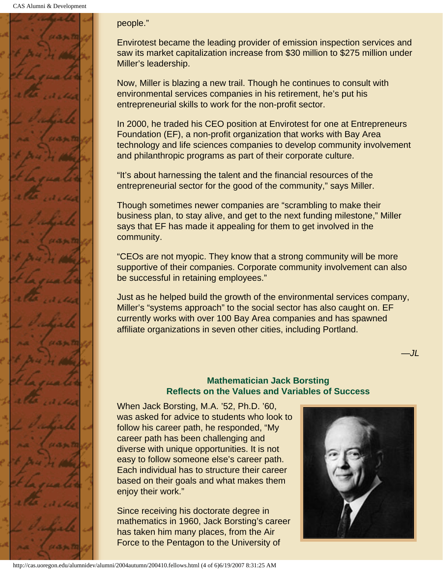

#### people."

Envirotest became the leading provider of emission inspection services and saw its market capitalization increase from \$30 million to \$275 million under Miller's leadership.

Now, Miller is blazing a new trail. Though he continues to consult with environmental services companies in his retirement, he's put his entrepreneurial skills to work for the non-profit sector.

In 2000, he traded his CEO position at Envirotest for one at Entrepreneurs Foundation (EF), a non-profit organization that works with Bay Area technology and life sciences companies to develop community involvement and philanthropic programs as part of their corporate culture.

"It's about harnessing the talent and the financial resources of the entrepreneurial sector for the good of the community," says Miller.

Though sometimes newer companies are "scrambling to make their business plan, to stay alive, and get to the next funding milestone," Miller says that EF has made it appealing for them to get involved in the community.

"CEOs are not myopic. They know that a strong community will be more supportive of their companies. Corporate community involvement can also be successful in retaining employees."

Just as he helped build the growth of the environmental services company, Miller's "systems approach" to the social sector has also caught on. EF currently works with over 100 Bay Area companies and has spawned affiliate organizations in seven other cities, including Portland.

#### **Mathematician Jack Borsting Reflects on the Values and Variables of Success**

<span id="page-31-0"></span>When Jack Borsting, M.A. '52, Ph.D. '60, was asked for advice to students who look to follow his career path, he responded, "My career path has been challenging and diverse with unique opportunities. It is not easy to follow someone else's career path. Each individual has to structure their career based on their goals and what makes them enjoy their work."

Since receiving his doctorate degree in mathematics in 1960, Jack Borsting's career has taken him many places, from the Air Force to the Pentagon to the University of



*—JL*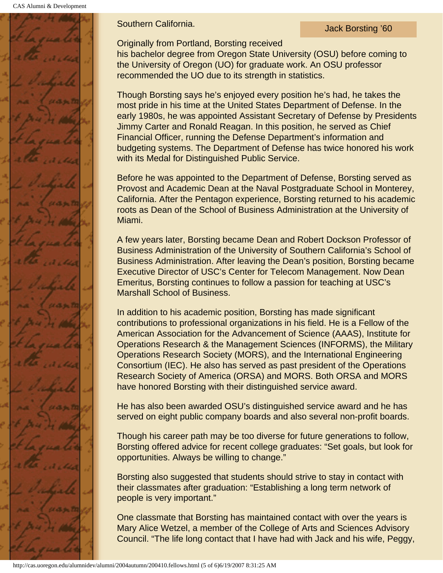CAS Alumni & Development



**Southern California.** Southern California.

Originally from Portland, Borsting received

his bachelor degree from Oregon State University (OSU) before coming to the University of Oregon (UO) for graduate work. An OSU professor recommended the UO due to its strength in statistics.

Though Borsting says he's enjoyed every position he's had, he takes the most pride in his time at the United States Department of Defense. In the early 1980s, he was appointed Assistant Secretary of Defense by Presidents Jimmy Carter and Ronald Reagan. In this position, he served as Chief Financial Officer, running the Defense Department's information and budgeting systems. The Department of Defense has twice honored his work with its Medal for Distinguished Public Service.

Before he was appointed to the Department of Defense, Borsting served as Provost and Academic Dean at the Naval Postgraduate School in Monterey, California. After the Pentagon experience, Borsting returned to his academic roots as Dean of the School of Business Administration at the University of Miami.

A few years later, Borsting became Dean and Robert Dockson Professor of Business Administration of the University of Southern California's School of Business Administration. After leaving the Dean's position, Borsting became Executive Director of USC's Center for Telecom Management. Now Dean Emeritus, Borsting continues to follow a passion for teaching at USC's Marshall School of Business.

In addition to his academic position, Borsting has made significant contributions to professional organizations in his field. He is a Fellow of the American Association for the Advancement of Science (AAAS), Institute for Operations Research & the Management Sciences (INFORMS), the Military Operations Research Society (MORS), and the International Engineering Consortium (IEC). He also has served as past president of the Operations Research Society of America (ORSA) and MORS. Both ORSA and MORS have honored Borsting with their distinguished service award.

He has also been awarded OSU's distinguished service award and he has served on eight public company boards and also several non-profit boards.

Though his career path may be too diverse for future generations to follow, Borsting offered advice for recent college graduates: "Set goals, but look for opportunities. Always be willing to change."

Borsting also suggested that students should strive to stay in contact with their classmates after graduation: "Establishing a long term network of people is very important."

One classmate that Borsting has maintained contact with over the years is Mary Alice Wetzel, a member of the College of Arts and Sciences Advisory Council. "The life long contact that I have had with Jack and his wife, Peggy,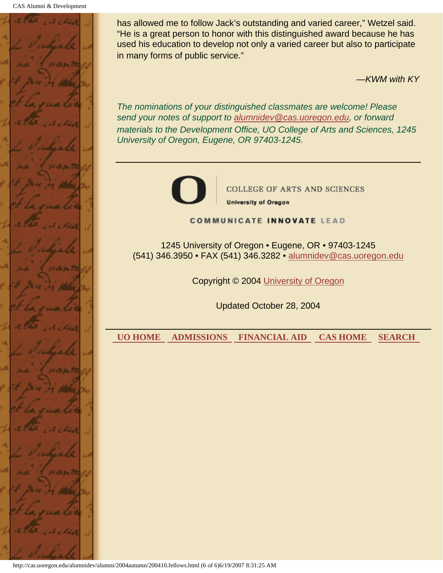

has allowed me to follow Jack's outstanding and varied career," Wetzel said. "He is a great person to honor with this distinguished award because he has used his education to develop not only a varied career but also to participate in many forms of public service."

*—KWM with KY*

*The nominations of your distinguished classmates are welcome! Please send your notes of support to alumnidev@cas.uoregon.edu, or forward materials to the Development Office, UO College of Arts and Sciences, 1245 University of Oregon, Eugene, OR 97403-1245.*



**COLLEGE OF ARTS AND SCIENCES University of Oregon** 

**COMMUNICATE INNOVATE LEAD** 

1245 University of Oregon • Eugene, OR • 97403-1245 (541) 346.3950 • FAX (541) 346.3282 • alumnidev@cas.uoregon.edu

Copyright © 2004 University of Oregon

Updated October 28, 2004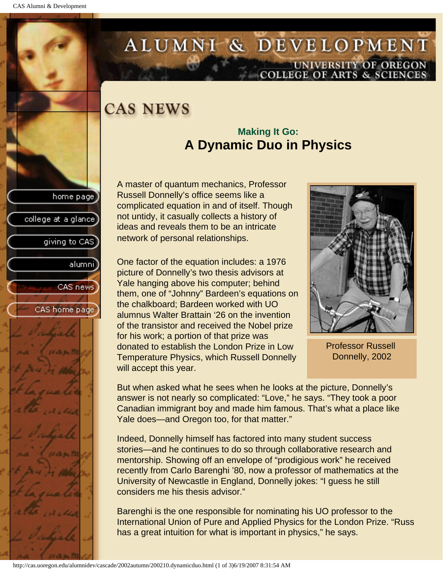college at a glance

giving to CAS

alumnil

CAS news

CAS home page

# <span id="page-34-0"></span>ALUMNI & DEVELOPMENT UNIVERSITY OF OREGON<br>COLLEGE OF ARTS & SCIENCES

# **CAS NEWS**

### **Making It Go: A Dynamic Duo in Physics**

A master of quantum mechanics, Professor Russell Donnelly's office seems like a complicated equation in and of itself. Though not untidy, it casually collects a history of ideas and reveals them to be an intricate network of personal relationships.

One factor of the equation includes: a 1976 picture of Donnelly's two thesis advisors at Yale hanging above his computer; behind them, one of "Johnny" Bardeen's equations on the chalkboard; Bardeen worked with UO alumnus Walter Brattain '26 on the invention of the transistor and received the Nobel prize for his work; a portion of that prize was donated to establish the London Prize in Low Temperature Physics, which Russell Donnelly will accept this year.



Professor Russell Donnelly, 2002

But when asked what he sees when he looks at the picture, Donnelly's answer is not nearly so complicated: "Love," he says. "They took a poor Canadian immigrant boy and made him famous. That's what a place like Yale does—and Oregon too, for that matter."

Indeed, Donnelly himself has factored into many student success stories—and he continues to do so through collaborative research and mentorship. Showing off an envelope of "prodigious work" he received recently from Carlo Barenghi '80, now a professor of mathematics at the University of Newcastle in England, Donnelly jokes: "I guess he still considers me his thesis advisor."

Barenghi is the one responsible for nominating his UO professor to the International Union of Pure and Applied Physics for the London Prize. "Russ has a great intuition for what is important in physics," he says.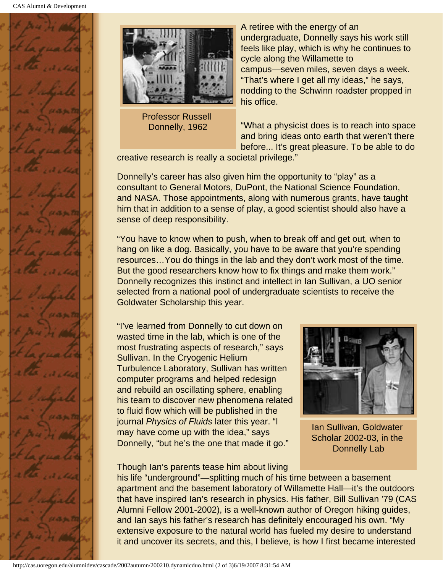



Professor Russell Donnelly, 1962

A retiree with the energy of an undergraduate, Donnelly says his work still feels like play, which is why he continues to cycle along the Willamette to campus—seven miles, seven days a week. "That's where I get all my ideas," he says, nodding to the Schwinn roadster propped in his office.

"What a physicist does is to reach into space and bring ideas onto earth that weren't there before... It's great pleasure. To be able to do

creative research is really a societal privilege."

Donnelly's career has also given him the opportunity to "play" as a consultant to General Motors, DuPont, the National Science Foundation, and NASA. Those appointments, along with numerous grants, have taught him that in addition to a sense of play, a good scientist should also have a sense of deep responsibility.

"You have to know when to push, when to break off and get out, when to hang on like a dog. Basically, you have to be aware that you're spending resources…You do things in the lab and they don't work most of the time. But the good researchers know how to fix things and make them work." Donnelly recognizes this instinct and intellect in Ian Sullivan, a UO senior selected from a national pool of undergraduate scientists to receive the Goldwater Scholarship this year.

"I've learned from Donnelly to cut down on wasted time in the lab, which is one of the most frustrating aspects of research," says Sullivan. In the Cryogenic Helium Turbulence Laboratory, Sullivan has written computer programs and helped redesign and rebuild an oscillating sphere, enabling his team to discover new phenomena related to fluid flow which will be published in the journal *Physics of Fluids* later this year. "I may have come up with the idea," says Donnelly, "but he's the one that made it go."



Ian Sullivan, Goldwater Scholar 2002-03, in the Donnelly Lab

Though Ian's parents tease him about living his life "underground"—splitting much of his time between a basement apartment and the basement laboratory of Willamette Hall—it's the outdoors that have inspired Ian's research in physics. His father, Bill Sullivan '79 (CAS Alumni Fellow 2001-2002), is a well-known author of Oregon hiking guides, and Ian says his father's research has definitely encouraged his own. "My extensive exposure to the natural world has fueled my desire to understand it and uncover its secrets, and this, I believe, is how I first became interested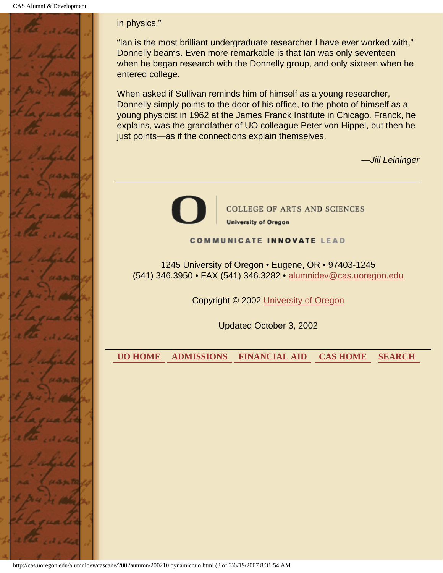

#### in physics."

"Ian is the most brilliant undergraduate researcher I have ever worked with," Donnelly beams. Even more remarkable is that Ian was only seventeen when he began research with the Donnelly group, and only sixteen when he entered college.

When asked if Sullivan reminds him of himself as a young researcher, Donnelly simply points to the door of his office, to the photo of himself as a young physicist in 1962 at the James Franck Institute in Chicago. Franck, he explains, was the grandfather of UO colleague Peter von Hippel, but then he just points—as if the connections explain themselves.

*—Jill Leininger*



**COLLEGE OF ARTS AND SCIENCES University of Oregon** 

#### **COMMUNICATE INNOVATE LEAD**

1245 University of Oregon • Eugene, OR • 97403-1245 (541) 346.3950 • FAX (541) 346.3282 • alumnidev@cas.uoregon.edu

Copyright © 2002 University of Oregon

Updated October 3, 2002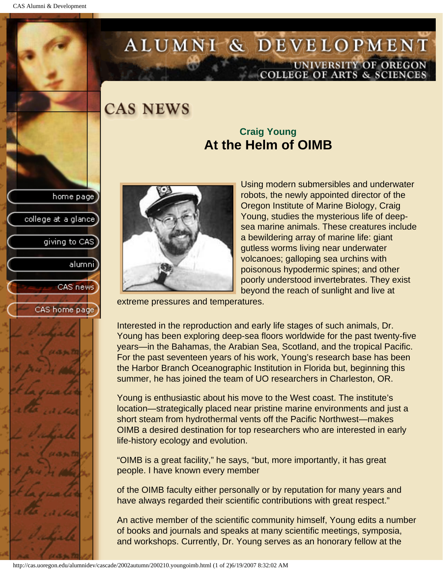college at a glance

giving to CAS

alumnil

CAS news

CAS home page

# ALUMNI & DEVELOPMENT UNIVERSITY OF OREGON<br>COLLEGE OF ARTS & SCIENCES

**CAS NEWS** 

### **Craig Young At the Helm of OIMB**



Using modern submersibles and underwater robots, the newly appointed director of the Oregon Institute of Marine Biology, Craig Young, studies the mysterious life of deepsea marine animals. These creatures include a bewildering array of marine life: giant gutless worms living near underwater volcanoes; galloping sea urchins with poisonous hypodermic spines; and other poorly understood invertebrates. They exist beyond the reach of sunlight and live at

extreme pressures and temperatures.

Interested in the reproduction and early life stages of such animals, Dr. Young has been exploring deep-sea floors worldwide for the past twenty-five years—in the Bahamas, the Arabian Sea, Scotland, and the tropical Pacific. For the past seventeen years of his work, Young's research base has been the Harbor Branch Oceanographic Institution in Florida but, beginning this summer, he has joined the team of UO researchers in Charleston, OR.

Young is enthusiastic about his move to the West coast. The institute's location—strategically placed near pristine marine environments and just a short steam from hydrothermal vents off the Pacific Northwest—makes OIMB a desired destination for top researchers who are interested in early life-history ecology and evolution.

"OIMB is a great facility," he says, "but, more importantly, it has great people. I have known every member

of the OIMB faculty either personally or by reputation for many years and have always regarded their scientific contributions with great respect."

An active member of the scientific community himself, Young edits a number of books and journals and speaks at many scientific meetings, symposia, and workshops. Currently, Dr. Young serves as an honorary fellow at the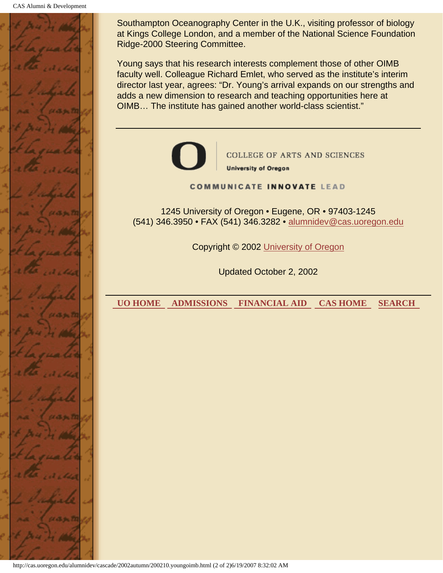

Southampton Oceanography Center in the U.K., visiting professor of biology at Kings College London, and a member of the National Science Foundation Ridge-2000 Steering Committee.

Young says that his research interests complement those of other OIMB faculty well. Colleague Richard Emlet, who served as the institute's interim director last year, agrees: "Dr. Young's arrival expands on our strengths and adds a new dimension to research and teaching opportunities here at OIMB… The institute has gained another world-class scientist."



**COLLEGE OF ARTS AND SCIENCES University of Oregon** 

#### **COMMUNICATE INNOVATE LEAD**

1245 University of Oregon • Eugene, OR • 97403-1245 (541) 346.3950 • FAX (541) 346.3282 • alumnidev@cas.uoregon.edu

Copyright © 2002 University of Oregon

Updated October 2, 2002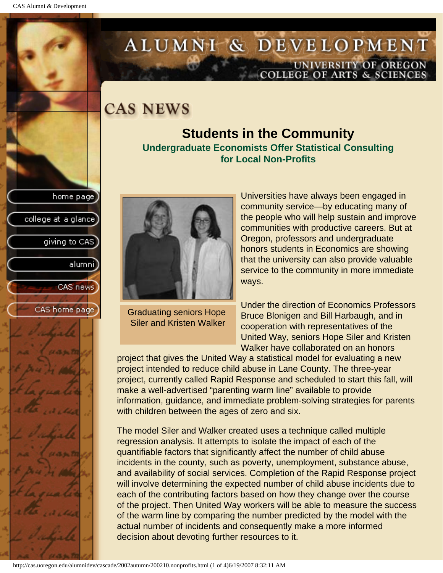college at a glance]

giving to CAS

alumni

CAS news

CAS home page

# ALUMNI & DEVELOPMENT UNIVERSITY OF OREGON<br>COLLEGE OF ARTS & SCIENCES

### **CAS NEWS**

#### **Students in the Community Undergraduate Economists Offer Statistical Consulting for Local Non-Profits**



Graduating seniors Hope Siler and Kristen Walker

Universities have always been engaged in community service—by educating many of the people who will help sustain and improve communities with productive careers. But at Oregon, professors and undergraduate honors students in Economics are showing that the university can also provide valuable service to the community in more immediate ways.

Under the direction of Economics Professors Bruce Blonigen and Bill Harbaugh, and in cooperation with representatives of the United Way, seniors Hope Siler and Kristen Walker have collaborated on an honors

project that gives the United Way a statistical model for evaluating a new project intended to reduce child abuse in Lane County. The three-year project, currently called Rapid Response and scheduled to start this fall, will make a well-advertised "parenting warm line" available to provide information, guidance, and immediate problem-solving strategies for parents with children between the ages of zero and six.

The model Siler and Walker created uses a technique called multiple regression analysis. It attempts to isolate the impact of each of the quantifiable factors that significantly affect the number of child abuse incidents in the county, such as poverty, unemployment, substance abuse, and availability of social services. Completion of the Rapid Response project will involve determining the expected number of child abuse incidents due to each of the contributing factors based on how they change over the course of the project. Then United Way workers will be able to measure the success of the warm line by comparing the number predicted by the model with the actual number of incidents and consequently make a more informed decision about devoting further resources to it.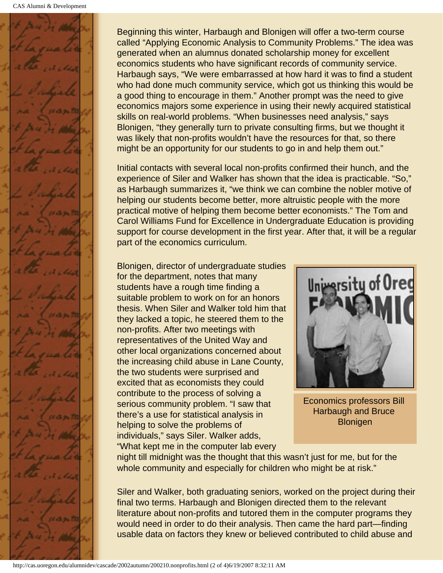

Beginning this winter, Harbaugh and Blonigen will offer a two-term course called "Applying Economic Analysis to Community Problems." The idea was generated when an alumnus donated scholarship money for excellent economics students who have significant records of community service. Harbaugh says, "We were embarrassed at how hard it was to find a student who had done much community service, which got us thinking this would be a good thing to encourage in them." Another prompt was the need to give economics majors some experience in using their newly acquired statistical skills on real-world problems. "When businesses need analysis," says Blonigen, "they generally turn to private consulting firms, but we thought it was likely that non-profits wouldn't have the resources for that, so there might be an opportunity for our students to go in and help them out."

Initial contacts with several local non-profits confirmed their hunch, and the experience of Siler and Walker has shown that the idea is practicable. "So," as Harbaugh summarizes it, "we think we can combine the nobler motive of helping our students become better, more altruistic people with the more practical motive of helping them become better economists." The Tom and Carol Williams Fund for Excellence in Undergraduate Education is providing support for course development in the first year. After that, it will be a regular part of the economics curriculum.

Blonigen, director of undergraduate studies for the department, notes that many students have a rough time finding a suitable problem to work on for an honors thesis. When Siler and Walker told him that they lacked a topic, he steered them to the non-profits. After two meetings with representatives of the United Way and other local organizations concerned about the increasing child abuse in Lane County, the two students were surprised and excited that as economists they could contribute to the process of solving a serious community problem. "I saw that there's a use for statistical analysis in helping to solve the problems of individuals," says Siler. Walker adds, "What kept me in the computer lab every



Economics professors Bill Harbaugh and Bruce **Blonigen** 

night till midnight was the thought that this wasn't just for me, but for the whole community and especially for children who might be at risk."

Siler and Walker, both graduating seniors, worked on the project during their final two terms. Harbaugh and Blonigen directed them to the relevant literature about non-profits and tutored them in the computer programs they would need in order to do their analysis. Then came the hard part—finding usable data on factors they knew or believed contributed to child abuse and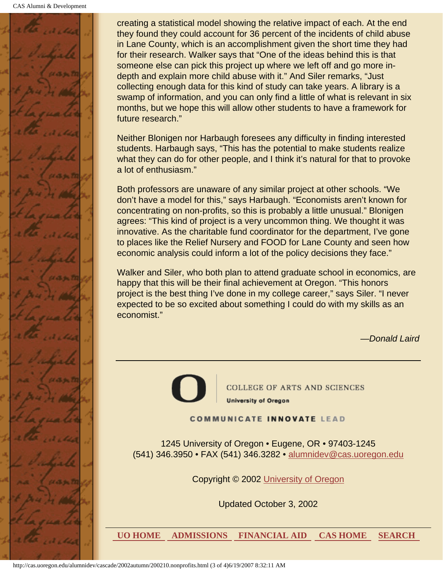

creating a statistical model showing the relative impact of each. At the end they found they could account for 36 percent of the incidents of child abuse in Lane County, which is an accomplishment given the short time they had for their research. Walker says that "One of the ideas behind this is that someone else can pick this project up where we left off and go more indepth and explain more child abuse with it." And Siler remarks, "Just collecting enough data for this kind of study can take years. A library is a swamp of information, and you can only find a little of what is relevant in six months, but we hope this will allow other students to have a framework for future research."

Neither Blonigen nor Harbaugh foresees any difficulty in finding interested students. Harbaugh says, "This has the potential to make students realize what they can do for other people, and I think it's natural for that to provoke a lot of enthusiasm."

Both professors are unaware of any similar project at other schools. "We don't have a model for this," says Harbaugh. "Economists aren't known for concentrating on non-profits, so this is probably a little unusual." Blonigen agrees: "This kind of project is a very uncommon thing. We thought it was innovative. As the charitable fund coordinator for the department, I've gone to places like the Relief Nursery and FOOD for Lane County and seen how economic analysis could inform a lot of the policy decisions they face."

Walker and Siler, who both plan to attend graduate school in economics, are happy that this will be their final achievement at Oregon. "This honors project is the best thing I've done in my college career," says Siler. "I never expected to be so excited about something I could do with my skills as an economist."

*—Donald Laird*

**COLLEGE OF ARTS AND SCIENCES University of Oregon** 

#### **COMMUNICATE INNOVATE LEAD**

1245 University of Oregon • Eugene, OR • 97403-1245 (541) 346.3950 • FAX (541) 346.3282 • alumnidev@cas.uoregon.edu

Copyright © 2002 University of Oregon

Updated October 3, 2002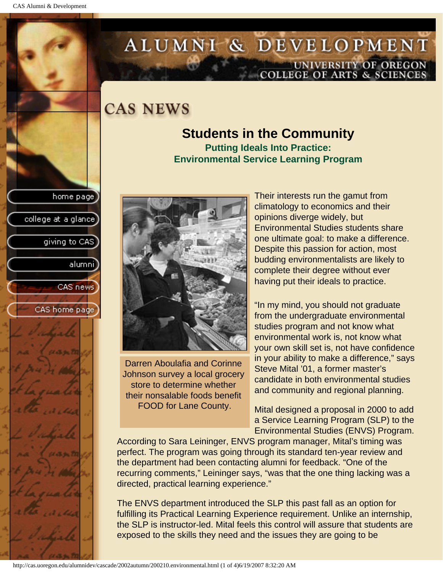college at a glance]

giving to CAS

alumni

CAS news

CAS home page

# ALUMNI & DEVELOPMENT UNIVERSITY OF OREGON<br>COLLEGE OF ARTS & SCIENCES

## **CAS NEWS**

#### **Students in the Community Putting Ideals Into Practice: Environmental Service Learning Program**



Darren Aboulafia and Corinne Johnson survey a local grocery store to determine whether their nonsalable foods benefit FOOD for Lane County.

Their interests run the gamut from climatology to economics and their opinions diverge widely, but Environmental Studies students share one ultimate goal: to make a difference. Despite this passion for action, most budding environmentalists are likely to complete their degree without ever having put their ideals to practice.

"In my mind, you should not graduate from the undergraduate environmental studies program and not know what environmental work is, not know what your own skill set is, not have confidence in your ability to make a difference," says Steve Mital '01, a former master's candidate in both environmental studies and community and regional planning.

Mital designed a proposal in 2000 to add a Service Learning Program (SLP) to the Environmental Studies (ENVS) Program.

According to Sara Leininger, ENVS program manager, Mital's timing was perfect. The program was going through its standard ten-year review and the department had been contacting alumni for feedback. "One of the recurring comments," Leininger says, "was that the one thing lacking was a directed, practical learning experience."

The ENVS department introduced the SLP this past fall as an option for fulfilling its Practical Learning Experience requirement. Unlike an internship, the SLP is instructor-led. Mital feels this control will assure that students are exposed to the skills they need and the issues they are going to be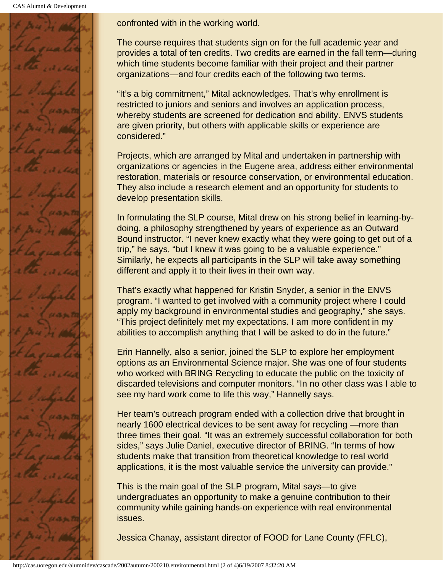CAS Alumni & Development



confronted with in the working world.

The course requires that students sign on for the full academic year and provides a total of ten credits. Two credits are earned in the fall term—during which time students become familiar with their project and their partner organizations—and four credits each of the following two terms.

"It's a big commitment," Mital acknowledges. That's why enrollment is restricted to juniors and seniors and involves an application process, whereby students are screened for dedication and ability. ENVS students are given priority, but others with applicable skills or experience are considered."

Projects, which are arranged by Mital and undertaken in partnership with organizations or agencies in the Eugene area, address either environmental restoration, materials or resource conservation, or environmental education. They also include a research element and an opportunity for students to develop presentation skills.

In formulating the SLP course, Mital drew on his strong belief in learning-bydoing, a philosophy strengthened by years of experience as an Outward Bound instructor. "I never knew exactly what they were going to get out of a trip," he says, "but I knew it was going to be a valuable experience." Similarly, he expects all participants in the SLP will take away something different and apply it to their lives in their own way.

That's exactly what happened for Kristin Snyder, a senior in the ENVS program. "I wanted to get involved with a community project where I could apply my background in environmental studies and geography," she says. "This project definitely met my expectations. I am more confident in my abilities to accomplish anything that I will be asked to do in the future."

Erin Hannelly, also a senior, joined the SLP to explore her employment options as an Environmental Science major. She was one of four students who worked with BRING Recycling to educate the public on the toxicity of discarded televisions and computer monitors. "In no other class was I able to see my hard work come to life this way," Hannelly says.

Her team's outreach program ended with a collection drive that brought in nearly 1600 electrical devices to be sent away for recycling —more than three times their goal. "It was an extremely successful collaboration for both sides," says Julie Daniel, executive director of BRING. "In terms of how students make that transition from theoretical knowledge to real world applications, it is the most valuable service the university can provide."

This is the main goal of the SLP program, Mital says—to give undergraduates an opportunity to make a genuine contribution to their community while gaining hands-on experience with real environmental issues.

Jessica Chanay, assistant director of FOOD for Lane County (FFLC),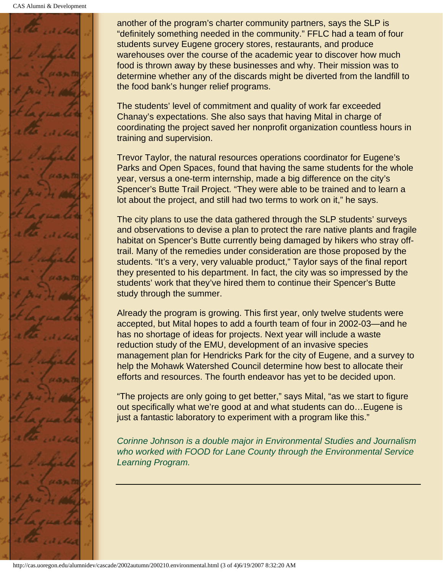

another of the program's charter community partners, says the SLP is "definitely something needed in the community." FFLC had a team of four students survey Eugene grocery stores, restaurants, and produce warehouses over the course of the academic year to discover how much food is thrown away by these businesses and why. Their mission was to determine whether any of the discards might be diverted from the landfill to the food bank's hunger relief programs.

The students' level of commitment and quality of work far exceeded Chanay's expectations. She also says that having Mital in charge of coordinating the project saved her nonprofit organization countless hours in training and supervision.

Trevor Taylor, the natural resources operations coordinator for Eugene's Parks and Open Spaces, found that having the same students for the whole year, versus a one-term internship, made a big difference on the city's Spencer's Butte Trail Project. "They were able to be trained and to learn a lot about the project, and still had two terms to work on it," he says.

The city plans to use the data gathered through the SLP students' surveys and observations to devise a plan to protect the rare native plants and fragile habitat on Spencer's Butte currently being damaged by hikers who stray offtrail. Many of the remedies under consideration are those proposed by the students. "It's a very, very valuable product," Taylor says of the final report they presented to his department. In fact, the city was so impressed by the students' work that they've hired them to continue their Spencer's Butte study through the summer.

Already the program is growing. This first year, only twelve students were accepted, but Mital hopes to add a fourth team of four in 2002-03—and he has no shortage of ideas for projects. Next year will include a waste reduction study of the EMU, development of an invasive species management plan for Hendricks Park for the city of Eugene, and a survey to help the Mohawk Watershed Council determine how best to allocate their efforts and resources. The fourth endeavor has yet to be decided upon.

"The projects are only going to get better," says Mital, "as we start to figure out specifically what we're good at and what students can do…Eugene is just a fantastic laboratory to experiment with a program like this."

*Corinne Johnson is a double major in Environmental Studies and Journalism who worked with FOOD for Lane County through the Environmental Service Learning Program.*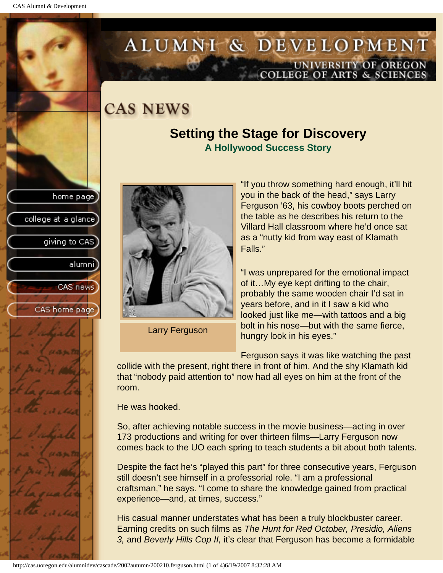college at a glance

giving to CAS

alumnil

CAS news

CAS home page

# ALUMNI & DEVELOPMENT UNIVERSITY OF OREGON<br>COLLEGE OF ARTS & SCIENCES

## **CAS NEWS**

#### **Setting the Stage for Discovery A Hollywood Success Story**



Larry Ferguson

"If you throw something hard enough, it'll hit you in the back of the head," says Larry Ferguson '63, his cowboy boots perched on the table as he describes his return to the Villard Hall classroom where he'd once sat as a "nutty kid from way east of Klamath Falls."

"I was unprepared for the emotional impact of it…My eye kept drifting to the chair, probably the same wooden chair I'd sat in years before, and in it I saw a kid who looked just like me—with tattoos and a big bolt in his nose—but with the same fierce, hungry look in his eyes."

Ferguson says it was like watching the past

collide with the present, right there in front of him. And the shy Klamath kid that "nobody paid attention to" now had all eyes on him at the front of the room.

He was hooked.

So, after achieving notable success in the movie business—acting in over 173 productions and writing for over thirteen films—Larry Ferguson now comes back to the UO each spring to teach students a bit about both talents.

Despite the fact he's "played this part" for three consecutive years, Ferguson still doesn't see himself in a professorial role. "I am a professional craftsman," he says. "I come to share the knowledge gained from practical experience—and, at times, success."

His casual manner understates what has been a truly blockbuster career. Earning credits on such films as *The Hunt for Red October, Presidio, Aliens 3,* and *Beverly Hills Cop II,* it's clear that Ferguson has become a formidable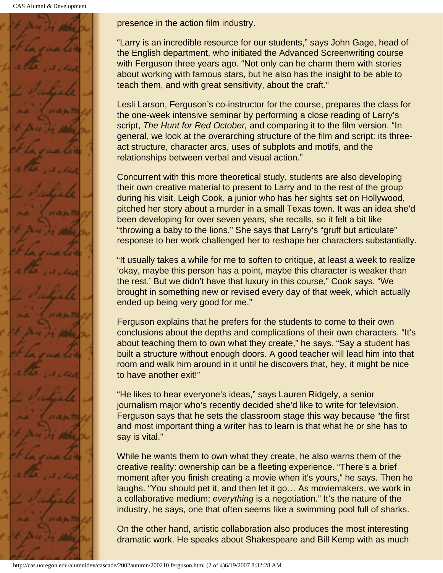CAS Alumni & Development



presence in the action film industry.

"Larry is an incredible resource for our students," says John Gage, head of the English department, who initiated the Advanced Screenwriting course with Ferguson three years ago. "Not only can he charm them with stories about working with famous stars, but he also has the insight to be able to teach them, and with great sensitivity, about the craft."

Lesli Larson, Ferguson's co-instructor for the course, prepares the class for the one-week intensive seminar by performing a close reading of Larry's script, *The Hunt for Red October,* and comparing it to the film version. "In general, we look at the overarching structure of the film and script: its threeact structure, character arcs, uses of subplots and motifs, and the relationships between verbal and visual action."

Concurrent with this more theoretical study, students are also developing their own creative material to present to Larry and to the rest of the group during his visit. Leigh Cook, a junior who has her sights set on Hollywood, pitched her story about a murder in a small Texas town. It was an idea she'd been developing for over seven years, she recalls, so it felt a bit like "throwing a baby to the lions." She says that Larry's "gruff but articulate" response to her work challenged her to reshape her characters substantially.

"It usually takes a while for me to soften to critique, at least a week to realize 'okay, maybe this person has a point, maybe this character is weaker than the rest.' But we didn't have that luxury in this course," Cook says. "We brought in something new or revised every day of that week, which actually ended up being very good for me."

Ferguson explains that he prefers for the students to come to their own conclusions about the depths and complications of their own characters. "It's about teaching them to own what they create," he says. "Say a student has built a structure without enough doors. A good teacher will lead him into that room and walk him around in it until he discovers that, hey, it might be nice to have another exit!"

"He likes to hear everyone's ideas," says Lauren Ridgely, a senior journalism major who's recently decided she'd like to write for television. Ferguson says that he sets the classroom stage this way because "the first and most important thing a writer has to learn is that what he or she has to say is vital."

While he wants them to own what they create, he also warns them of the creative reality: ownership can be a fleeting experience. "There's a brief moment after you finish creating a movie when it's yours," he says. Then he laughs. "You should pet it, and then let it go… As moviemakers, we work in a collaborative medium; *everything* is a negotiation." It's the nature of the industry, he says, one that often seems like a swimming pool full of sharks.

On the other hand, artistic collaboration also produces the most interesting dramatic work. He speaks about Shakespeare and Bill Kemp with as much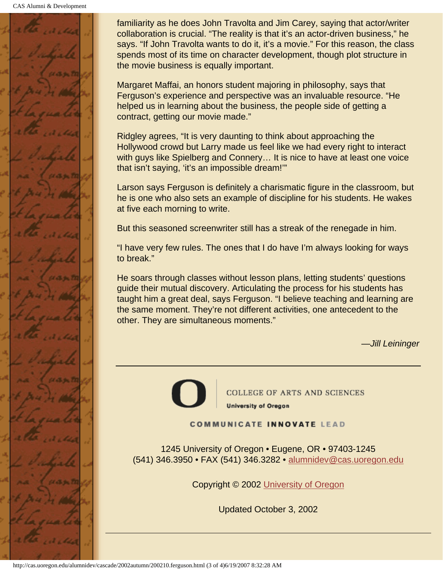CAS Alumni & Development



familiarity as he does John Travolta and Jim Carey, saying that actor/writer collaboration is crucial. "The reality is that it's an actor-driven business," he says. "If John Travolta wants to do it, it's a movie." For this reason, the class spends most of its time on character development, though plot structure in the movie business is equally important.

Margaret Maffai, an honors student majoring in philosophy, says that Ferguson's experience and perspective was an invaluable resource. "He helped us in learning about the business, the people side of getting a contract, getting our movie made."

Ridgley agrees, "It is very daunting to think about approaching the Hollywood crowd but Larry made us feel like we had every right to interact with guys like Spielberg and Connery... It is nice to have at least one voice that isn't saying, 'it's an impossible dream!'"

Larson says Ferguson is definitely a charismatic figure in the classroom, but he is one who also sets an example of discipline for his students. He wakes at five each morning to write.

But this seasoned screenwriter still has a streak of the renegade in him.

"I have very few rules. The ones that I do have I'm always looking for ways to break."

He soars through classes without lesson plans, letting students' questions guide their mutual discovery. Articulating the process for his students has taught him a great deal, says Ferguson. "I believe teaching and learning are the same moment. They're not different activities, one antecedent to the other. They are simultaneous moments."

*—Jill Leininger*

COLLEGE OF ARTS AND SCIENCES **University of Oregon** 

**COMMUNICATE INNOVATE LEAD** 

1245 University of Oregon • Eugene, OR • 97403-1245 (541) 346.3950 • FAX (541) 346.3282 • alumnidev@cas.uoregon.edu

Copyright © 2002 University of Oregon

Updated October 3, 2002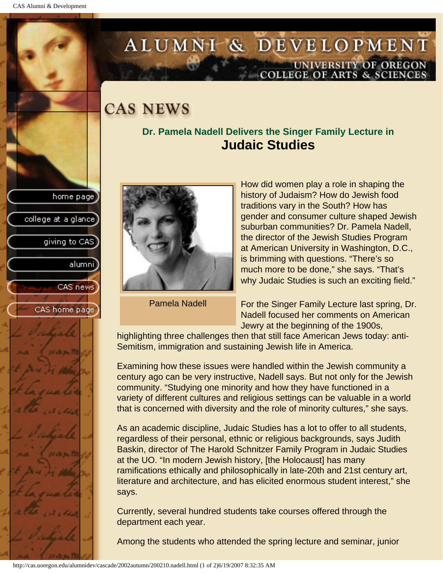college at a glance

giving to CAS

alumnil

CAS news

CAS home page

# ALUMNI & DEVELOPMENT UNIVERSITY OF OREGON<br>COLLEGE OF ARTS & SCIENCES

## **CAS NEWS**

#### **Dr. Pamela Nadell Delivers the Singer Family Lecture in Judaic Studies**



Pamela Nadell

How did women play a role in shaping the history of Judaism? How do Jewish food traditions vary in the South? How has gender and consumer culture shaped Jewish suburban communities? Dr. Pamela Nadell, the director of the Jewish Studies Program at American University in Washington, D.C., is brimming with questions. "There's so much more to be done," she says. "That's why Judaic Studies is such an exciting field."

For the Singer Family Lecture last spring, Dr. Nadell focused her comments on American Jewry at the beginning of the 1900s,

highlighting three challenges then that still face American Jews today: anti-Semitism, immigration and sustaining Jewish life in America.

Examining how these issues were handled within the Jewish community a century ago can be very instructive, Nadell says. But not only for the Jewish community. "Studying one minority and how they have functioned in a variety of different cultures and religious settings can be valuable in a world that is concerned with diversity and the role of minority cultures," she says.

As an academic discipline, Judaic Studies has a lot to offer to all students, regardless of their personal, ethnic or religious backgrounds, says Judith Baskin, director of The Harold Schnitzer Family Program in Judaic Studies at the UO. "In modern Jewish history, [the Holocaust] has many ramifications ethically and philosophically in late-20th and 21st century art, literature and architecture, and has elicited enormous student interest," she says.

Currently, several hundred students take courses offered through the department each year.

Among the students who attended the spring lecture and seminar, junior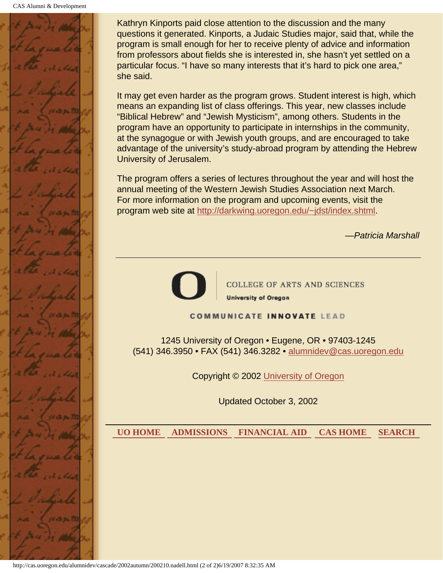

Kathryn Kinports paid close attention to the discussion and the many questions it generated. Kinports, a Judaic Studies major, said that, while the program is small enough for her to receive plenty of advice and information from professors about fields she is interested in, she hasn't yet settled on a particular focus. "I have so many interests that it's hard to pick one area," she said.

It may get even harder as the program grows. Student interest is high, which means an expanding list of class offerings. This year, new classes include "Biblical Hebrew" and "Jewish Mysticism", among others. Students in the program have an opportunity to participate in internships in the community, at the synagogue or with Jewish youth groups, and are encouraged to take advantage of the university's study-abroad program by attending the Hebrew University of Jerusalem.

The program offers a series of lectures throughout the year and will host the annual meeting of the Western Jewish Studies Association next March. For more information on the program and upcoming events, visit the program web site at http://darkwing.uoregon.edu/~jdst/index.shtml.

*—Patricia Marshall*



**COLLEGE OF ARTS AND SCIENCES University of Oregon** 

#### **COMMUNICATE INNOVATE LEAD**

1245 University of Oregon • Eugene, OR • 97403-1245 (541) 346.3950 • FAX (541) 346.3282 • alumnidev@cas.uoregon.edu

Copyright © 2002 University of Oregon

Updated October 3, 2002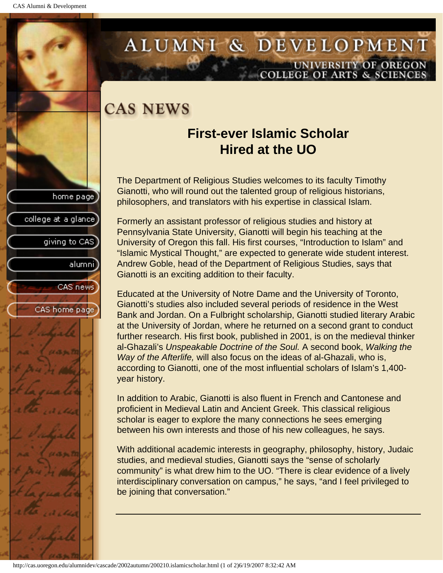college at a glance]

giving to CAS

alumnil

CAS news

CAS home page

### ALUMNI & DEVELOPMENT UNIVERSITY OF OREGON **COLLEGE OF ARTS & SCIENCE**

## **CAS NEWS**

### **First-ever Islamic Scholar Hired at the UO**

The Department of Religious Studies welcomes to its faculty Timothy Gianotti, who will round out the talented group of religious historians, philosophers, and translators with his expertise in classical Islam.

Formerly an assistant professor of religious studies and history at Pennsylvania State University, Gianotti will begin his teaching at the University of Oregon this fall. His first courses, "Introduction to Islam" and "Islamic Mystical Thought," are expected to generate wide student interest. Andrew Goble, head of the Department of Religious Studies, says that Gianotti is an exciting addition to their faculty.

Educated at the University of Notre Dame and the University of Toronto, Gianotti's studies also included several periods of residence in the West Bank and Jordan. On a Fulbright scholarship, Gianotti studied literary Arabic at the University of Jordan, where he returned on a second grant to conduct further research. His first book, published in 2001, is on the medieval thinker al-Ghazali's *Unspeakable Doctrine of the Soul.* A second book, *Walking the Way of the Afterlife,* will also focus on the ideas of al-Ghazali, who is, according to Gianotti, one of the most influential scholars of Islam's 1,400 year history.

In addition to Arabic, Gianotti is also fluent in French and Cantonese and proficient in Medieval Latin and Ancient Greek. This classical religious scholar is eager to explore the many connections he sees emerging between his own interests and those of his new colleagues, he says.

With additional academic interests in geography, philosophy, history, Judaic studies, and medieval studies, Gianotti says the "sense of scholarly community" is what drew him to the UO. "There is clear evidence of a lively interdisciplinary conversation on campus," he says, "and I feel privileged to be joining that conversation."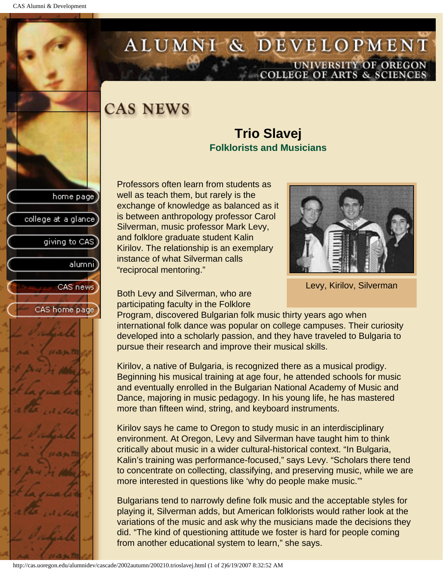college at a glance

giving to CAS

alumnil

CAS news

CAS home page

# ALUMNI & DEVELOPMENT UNIVERSITY OF OREGON<br>COLLEGE OF ARTS & SCIENCES

## **CAS NEWS**

#### **Trio Slavej Folklorists and Musicians**

Professors often learn from students as well as teach them, but rarely is the exchange of knowledge as balanced as it is between anthropology professor Carol Silverman, music professor Mark Levy, and folklore graduate student Kalin Kirilov. The relationship is an exemplary instance of what Silverman calls "reciprocal mentoring."



Levy, Kirilov, Silverman

Both Levy and Silverman, who are participating faculty in the Folklore

Program, discovered Bulgarian folk music thirty years ago when international folk dance was popular on college campuses. Their curiosity developed into a scholarly passion, and they have traveled to Bulgaria to pursue their research and improve their musical skills.

Kirilov, a native of Bulgaria, is recognized there as a musical prodigy. Beginning his musical training at age four, he attended schools for music and eventually enrolled in the Bulgarian National Academy of Music and Dance, majoring in music pedagogy. In his young life, he has mastered more than fifteen wind, string, and keyboard instruments.

Kirilov says he came to Oregon to study music in an interdisciplinary environment. At Oregon, Levy and Silverman have taught him to think critically about music in a wider cultural-historical context. "In Bulgaria, Kalin's training was performance-focused," says Levy. "Scholars there tend to concentrate on collecting, classifying, and preserving music, while we are more interested in questions like 'why do people make music.'"

Bulgarians tend to narrowly define folk music and the acceptable styles for playing it, Silverman adds, but American folklorists would rather look at the variations of the music and ask why the musicians made the decisions they did. "The kind of questioning attitude we foster is hard for people coming from another educational system to learn," she says.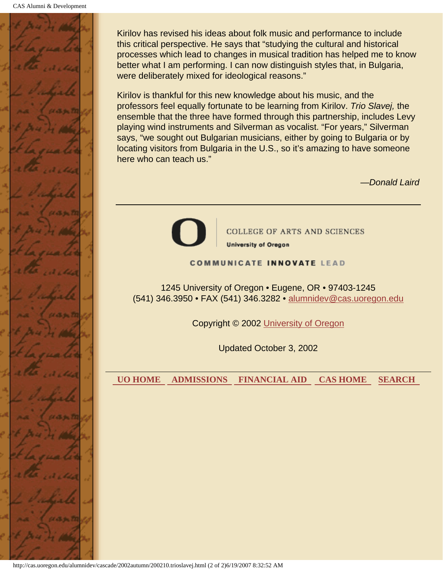

Kirilov has revised his ideas about folk music and performance to include this critical perspective. He says that "studying the cultural and historical processes which lead to changes in musical tradition has helped me to know better what I am performing. I can now distinguish styles that, in Bulgaria, were deliberately mixed for ideological reasons."

Kirilov is thankful for this new knowledge about his music, and the professors feel equally fortunate to be learning from Kirilov. *Trio Slavej,* the ensemble that the three have formed through this partnership, includes Levy playing wind instruments and Silverman as vocalist. "For years," Silverman says, "we sought out Bulgarian musicians, either by going to Bulgaria or by locating visitors from Bulgaria in the U.S., so it's amazing to have someone here who can teach us."

*—Donald Laird*



**COLLEGE OF ARTS AND SCIENCES** 

**University of Oregon** 

**COMMUNICATE INNOVATE LEAD** 

1245 University of Oregon • Eugene, OR • 97403-1245 (541) 346.3950 • FAX (541) 346.3282 • alumnidev@cas.uoregon.edu

Copyright © 2002 University of Oregon

Updated October 3, 2002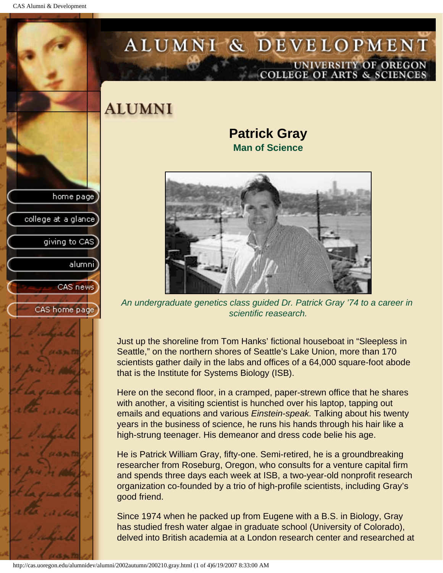CAS Alumni & Development

home page

college at a glance

giving to CAS

alumni

CAS news

CAS home page

# ALUMNI & DEVELOPMENT UNIVERSITY OF OREGON<br>COLLEGE OF ARTS & SCIENCES

**ALUMNI** 

#### **Patrick Gray Man of Science**



*An undergraduate genetics class guided Dr. Patrick Gray '74 to a career in scientific reasearch.*

Just up the shoreline from Tom Hanks' fictional houseboat in "Sleepless in Seattle," on the northern shores of Seattle's Lake Union, more than 170 scientists gather daily in the labs and offices of a 64,000 square-foot abode that is the Institute for Systems Biology (ISB).

Here on the second floor, in a cramped, paper-strewn office that he shares with another, a visiting scientist is hunched over his laptop, tapping out emails and equations and various *Einstein-speak.* Talking about his twenty years in the business of science, he runs his hands through his hair like a high-strung teenager. His demeanor and dress code belie his age.

He is Patrick William Gray, fifty-one. Semi-retired, he is a groundbreaking researcher from Roseburg, Oregon, who consults for a venture capital firm and spends three days each week at ISB, a two-year-old nonprofit research organization co-founded by a trio of high-profile scientists, including Gray's good friend.

Since 1974 when he packed up from Eugene with a B.S. in Biology, Gray has studied fresh water algae in graduate school (University of Colorado), delved into British academia at a London research center and researched at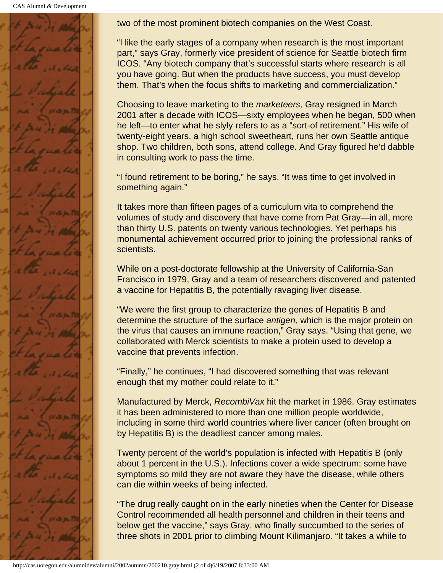CAS Alumni & Development



two of the most prominent biotech companies on the West Coast.

"I like the early stages of a company when research is the most important part," says Gray, formerly vice president of science for Seattle biotech firm ICOS. "Any biotech company that's successful starts where research is all you have going. But when the products have success, you must develop them. That's when the focus shifts to marketing and commercialization."

Choosing to leave marketing to the *marketeers,* Gray resigned in March 2001 after a decade with ICOS—sixty employees when he began, 500 when he left—to enter what he slyly refers to as a "sort-of retirement." His wife of twenty-eight years, a high school sweetheart, runs her own Seattle antique shop. Two children, both sons, attend college. And Gray figured he'd dabble in consulting work to pass the time.

"I found retirement to be boring," he says. "It was time to get involved in something again."

It takes more than fifteen pages of a curriculum vita to comprehend the volumes of study and discovery that have come from Pat Gray—in all, more than thirty U.S. patents on twenty various technologies. Yet perhaps his monumental achievement occurred prior to joining the professional ranks of scientists.

While on a post-doctorate fellowship at the University of California-San Francisco in 1979, Gray and a team of researchers discovered and patented a vaccine for Hepatitis B, the potentially ravaging liver disease.

"We were the first group to characterize the genes of Hepatitis B and determine the structure of the surface *antigen,* which is the major protein on the virus that causes an immune reaction," Gray says. "Using that gene, we collaborated with Merck scientists to make a protein used to develop a vaccine that prevents infection.

"Finally," he continues, "I had discovered something that was relevant enough that my mother could relate to it."

Manufactured by Merck, *RecombiVax* hit the market in 1986. Gray estimates it has been administered to more than one million people worldwide, including in some third world countries where liver cancer (often brought on by Hepatitis B) is the deadliest cancer among males.

Twenty percent of the world's population is infected with Hepatitis B (only about 1 percent in the U.S.). Infections cover a wide spectrum: some have symptoms so mild they are not aware they have the disease, while others can die within weeks of being infected.

"The drug really caught on in the early nineties when the Center for Disease Control recommended all health personnel and children in their teens and below get the vaccine," says Gray, who finally succumbed to the series of three shots in 2001 prior to climbing Mount Kilimanjaro. "It takes a while to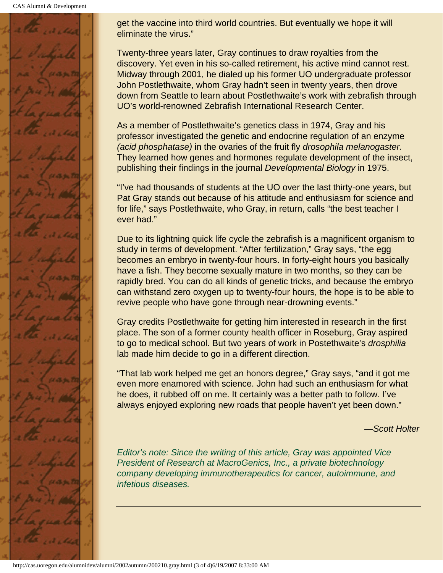CAS Alumni & Development



get the vaccine into third world countries. But eventually we hope it will eliminate the virus."

Twenty-three years later, Gray continues to draw royalties from the discovery. Yet even in his so-called retirement, his active mind cannot rest. Midway through 2001, he dialed up his former UO undergraduate professor John Postlethwaite, whom Gray hadn't seen in twenty years, then drove down from Seattle to learn about Postlethwaite's work with zebrafish through UO's world-renowned Zebrafish International Research Center.

As a member of Postlethwaite's genetics class in 1974, Gray and his professor investigated the genetic and endocrine regulation of an enzyme *(acid phosphatase)* in the ovaries of the fruit fly *drosophila melanogaster.* They learned how genes and hormones regulate development of the insect, publishing their findings in the journal *Developmental Biology* in 1975.

"I've had thousands of students at the UO over the last thirty-one years, but Pat Gray stands out because of his attitude and enthusiasm for science and for life," says Postlethwaite, who Gray, in return, calls "the best teacher I ever had."

Due to its lightning quick life cycle the zebrafish is a magnificent organism to study in terms of development. "After fertilization," Gray says, "the egg becomes an embryo in twenty-four hours. In forty-eight hours you basically have a fish. They become sexually mature in two months, so they can be rapidly bred. You can do all kinds of genetic tricks, and because the embryo can withstand zero oxygen up to twenty-four hours, the hope is to be able to revive people who have gone through near-drowning events."

Gray credits Postlethwaite for getting him interested in research in the first place. The son of a former county health officer in Roseburg, Gray aspired to go to medical school. But two years of work in Postethwaite's *drosphilia* lab made him decide to go in a different direction.

"That lab work helped me get an honors degree," Gray says, "and it got me even more enamored with science. John had such an enthusiasm for what he does, it rubbed off on me. It certainly was a better path to follow. I've always enjoyed exploring new roads that people haven't yet been down."

*—Scott Holter*

*Editor's note: Since the writing of this article, Gray was appointed Vice President of Research at MacroGenics, Inc., a private biotechnology company developing immunotherapeutics for cancer, autoimmune, and infetious diseases.*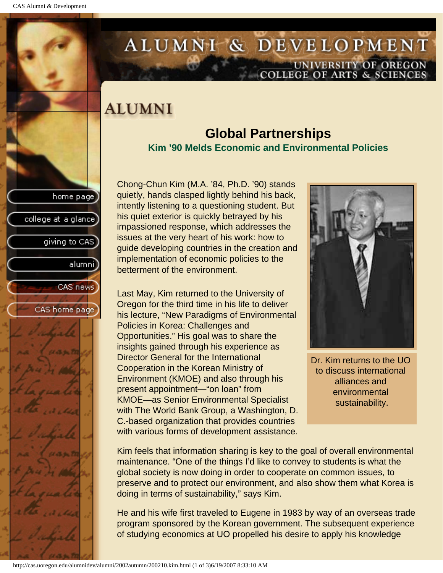college at a glance

giving to CAS

alumnil

CAS news

CAS home page

# ALUMNI & DEVELOPMENT UNIVERSITY OF OREGON<br>COLLEGE OF ARTS & SCIENCES

## **ALUMNI**

### **Global Partnerships Kim '90 Melds Economic and Environmental Policies**

Chong-Chun Kim (M.A. '84, Ph.D. '90) stands quietly, hands clasped lightly behind his back, intently listening to a questioning student. But his quiet exterior is quickly betrayed by his impassioned response, which addresses the issues at the very heart of his work: how to guide developing countries in the creation and implementation of economic policies to the betterment of the environment.

Last May, Kim returned to the University of Oregon for the third time in his life to deliver his lecture, "New Paradigms of Environmental Policies in Korea: Challenges and Opportunities." His goal was to share the insights gained through his experience as Director General for the International Cooperation in the Korean Ministry of Environment (KMOE) and also through his present appointment—"on loan" from KMOE—as Senior Environmental Specialist with The World Bank Group, a Washington, D. C.-based organization that provides countries with various forms of development assistance.



Dr. Kim returns to the UO to discuss international alliances and environmental sustainability.

Kim feels that information sharing is key to the goal of overall environmental maintenance. "One of the things I'd like to convey to students is what the global society is now doing in order to cooperate on common issues, to preserve and to protect our environment, and also show them what Korea is doing in terms of sustainability," says Kim.

He and his wife first traveled to Eugene in 1983 by way of an overseas trade program sponsored by the Korean government. The subsequent experience of studying economics at UO propelled his desire to apply his knowledge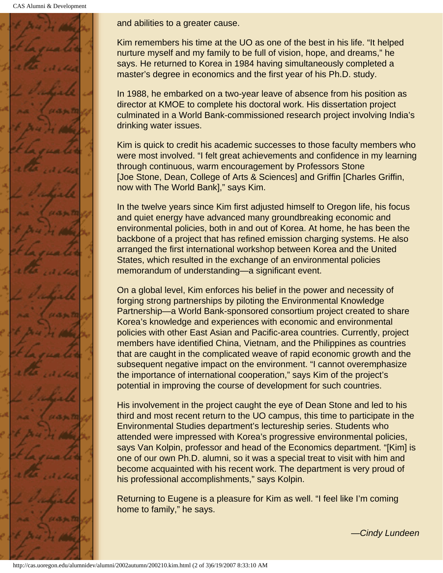CAS Alumni & Development



and abilities to a greater cause.

Kim remembers his time at the UO as one of the best in his life. "It helped nurture myself and my family to be full of vision, hope, and dreams," he says. He returned to Korea in 1984 having simultaneously completed a master's degree in economics and the first year of his Ph.D. study.

In 1988, he embarked on a two-year leave of absence from his position as director at KMOE to complete his doctoral work. His dissertation project culminated in a World Bank-commissioned research project involving India's drinking water issues.

Kim is quick to credit his academic successes to those faculty members who were most involved. "I felt great achievements and confidence in my learning through continuous, warm encouragement by Professors Stone [Joe Stone, Dean, College of Arts & Sciences] and Griffin [Charles Griffin, now with The World Bank]," says Kim.

In the twelve years since Kim first adjusted himself to Oregon life, his focus and quiet energy have advanced many groundbreaking economic and environmental policies, both in and out of Korea. At home, he has been the backbone of a project that has refined emission charging systems. He also arranged the first international workshop between Korea and the United States, which resulted in the exchange of an environmental policies memorandum of understanding—a significant event.

On a global level, Kim enforces his belief in the power and necessity of forging strong partnerships by piloting the Environmental Knowledge Partnership—a World Bank-sponsored consortium project created to share Korea's knowledge and experiences with economic and environmental policies with other East Asian and Pacific-area countries. Currently, project members have identified China, Vietnam, and the Philippines as countries that are caught in the complicated weave of rapid economic growth and the subsequent negative impact on the environment. "I cannot overemphasize the importance of international cooperation," says Kim of the project's potential in improving the course of development for such countries.

His involvement in the project caught the eye of Dean Stone and led to his third and most recent return to the UO campus, this time to participate in the Environmental Studies department's lectureship series. Students who attended were impressed with Korea's progressive environmental policies, says Van Kolpin, professor and head of the Economics department. "[Kim] is one of our own Ph.D. alumni, so it was a special treat to visit with him and become acquainted with his recent work. The department is very proud of his professional accomplishments," says Kolpin.

Returning to Eugene is a pleasure for Kim as well. "I feel like I'm coming home to family," he says.

*—Cindy Lundeen*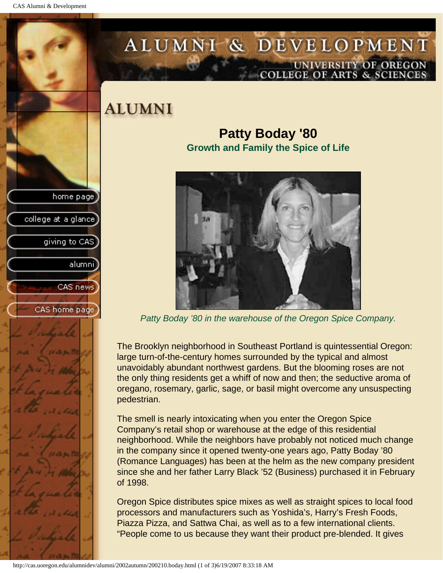college at a glance

giving to CAS

alumni

CAS news

CAS home page

# ALUMNI & DEVELOPMENT UNIVERSITY OF OREGON<br>COLLEGE OF ARTS & SCIENCES

## **ALUMNI**

**Patty Boday '80 Growth and Family the Spice of Life**



*Patty Boday '80 in the warehouse of the Oregon Spice Company.*

The Brooklyn neighborhood in Southeast Portland is quintessential Oregon: large turn-of-the-century homes surrounded by the typical and almost unavoidably abundant northwest gardens. But the blooming roses are not the only thing residents get a whiff of now and then; the seductive aroma of oregano, rosemary, garlic, sage, or basil might overcome any unsuspecting pedestrian.

The smell is nearly intoxicating when you enter the Oregon Spice Company's retail shop or warehouse at the edge of this residential neighborhood. While the neighbors have probably not noticed much change in the company since it opened twenty-one years ago, Patty Boday '80 (Romance Languages) has been at the helm as the new company president since she and her father Larry Black '52 (Business) purchased it in February of 1998.

Oregon Spice distributes spice mixes as well as straight spices to local food processors and manufacturers such as Yoshida's, Harry's Fresh Foods, Piazza Pizza, and Sattwa Chai, as well as to a few international clients. "People come to us because they want their product pre-blended. It gives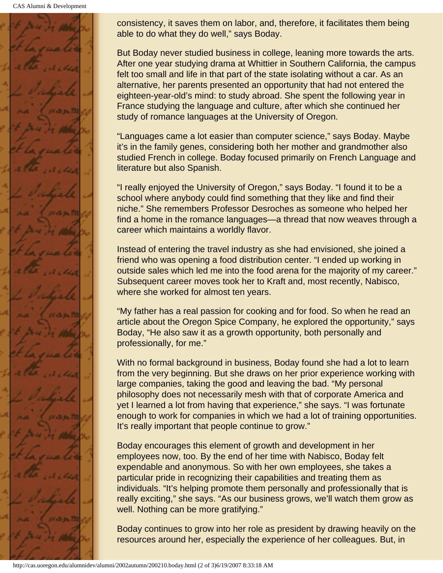

consistency, it saves them on labor, and, therefore, it facilitates them being able to do what they do well," says Boday.

But Boday never studied business in college, leaning more towards the arts. After one year studying drama at Whittier in Southern California, the campus felt too small and life in that part of the state isolating without a car. As an alternative, her parents presented an opportunity that had not entered the eighteen-year-old's mind: to study abroad. She spent the following year in France studying the language and culture, after which she continued her study of romance languages at the University of Oregon.

"Languages came a lot easier than computer science," says Boday. Maybe it's in the family genes, considering both her mother and grandmother also studied French in college. Boday focused primarily on French Language and literature but also Spanish.

"I really enjoyed the University of Oregon," says Boday. "I found it to be a school where anybody could find something that they like and find their niche." She remembers Professor Desroches as someone who helped her find a home in the romance languages—a thread that now weaves through a career which maintains a worldly flavor.

Instead of entering the travel industry as she had envisioned, she joined a friend who was opening a food distribution center. "I ended up working in outside sales which led me into the food arena for the majority of my career." Subsequent career moves took her to Kraft and, most recently, Nabisco, where she worked for almost ten years.

"My father has a real passion for cooking and for food. So when he read an article about the Oregon Spice Company, he explored the opportunity," says Boday, "He also saw it as a growth opportunity, both personally and professionally, for me."

With no formal background in business, Boday found she had a lot to learn from the very beginning. But she draws on her prior experience working with large companies, taking the good and leaving the bad. "My personal philosophy does not necessarily mesh with that of corporate America and yet I learned a lot from having that experience," she says. "I was fortunate enough to work for companies in which we had a lot of training opportunities. It's really important that people continue to grow."

Boday encourages this element of growth and development in her employees now, too. By the end of her time with Nabisco, Boday felt expendable and anonymous. So with her own employees, she takes a particular pride in recognizing their capabilities and treating them as individuals. "It's helping promote them personally and professionally that is really exciting," she says. "As our business grows, we'll watch them grow as well. Nothing can be more gratifying."

Boday continues to grow into her role as president by drawing heavily on the resources around her, especially the experience of her colleagues. But, in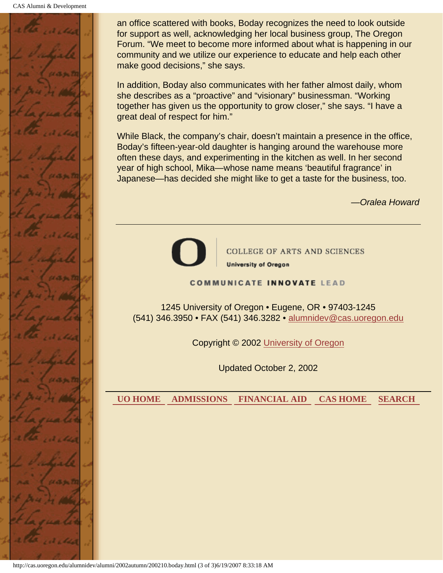

an office scattered with books, Boday recognizes the need to look outside for support as well, acknowledging her local business group, The Oregon Forum. "We meet to become more informed about what is happening in our community and we utilize our experience to educate and help each other make good decisions," she says.

In addition, Boday also communicates with her father almost daily, whom she describes as a "proactive" and "visionary" businessman. "Working together has given us the opportunity to grow closer," she says. "I have a great deal of respect for him."

While Black, the company's chair, doesn't maintain a presence in the office, Boday's fifteen-year-old daughter is hanging around the warehouse more often these days, and experimenting in the kitchen as well. In her second year of high school, Mika—whose name means 'beautiful fragrance' in Japanese—has decided she might like to get a taste for the business, too.

*—Oralea Howard*



**COLLEGE OF ARTS AND SCIENCES University of Oregon** 

**COMMUNICATE INNOVATE LEAD** 

1245 University of Oregon • Eugene, OR • 97403-1245 (541) 346.3950 • FAX (541) 346.3282 • alumnidev@cas.uoregon.edu

Copyright © 2002 University of Oregon

Updated October 2, 2002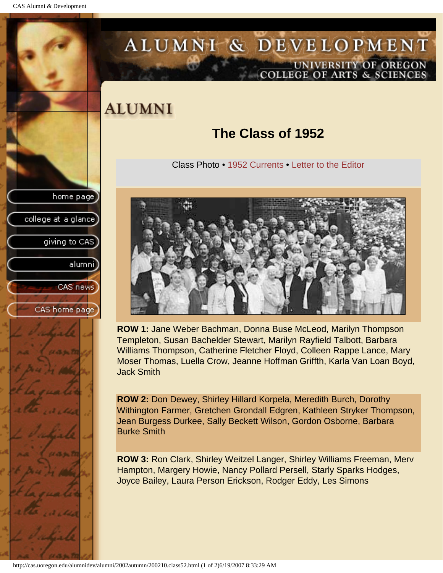CAS Alumni & Development

<span id="page-61-0"></span>

## ALUMNI & DEVELOPMENT UNIVERSITY OF OREGON<br>COLLEGE OF ARTS & SCIENCES

## **ALUMNI**

### **The Class of 1952**

Class Photo • [1952 Currents](#page-63-0) • [Letter to the Editor](#page-64-0)



**ROW 1:** Jane Weber Bachman, Donna Buse McLeod, Marilyn Thompson Templeton, Susan Bachelder Stewart, Marilyn Rayfield Talbott, Barbara Williams Thompson, Catherine Fletcher Floyd, Colleen Rappe Lance, Mary Moser Thomas, Luella Crow, Jeanne Hoffman Griffth, Karla Van Loan Boyd, Jack Smith

**ROW 2:** Don Dewey, Shirley Hillard Korpela, Meredith Burch, Dorothy Withington Farmer, Gretchen Grondall Edgren, Kathleen Stryker Thompson, Jean Burgess Durkee, Sally Beckett Wilson, Gordon Osborne, Barbara Burke Smith

**ROW 3:** Ron Clark, Shirley Weitzel Langer, Shirley Williams Freeman, Merv Hampton, Margery Howie, Nancy Pollard Persell, Starly Sparks Hodges, Joyce Bailey, Laura Person Erickson, Rodger Eddy, Les Simons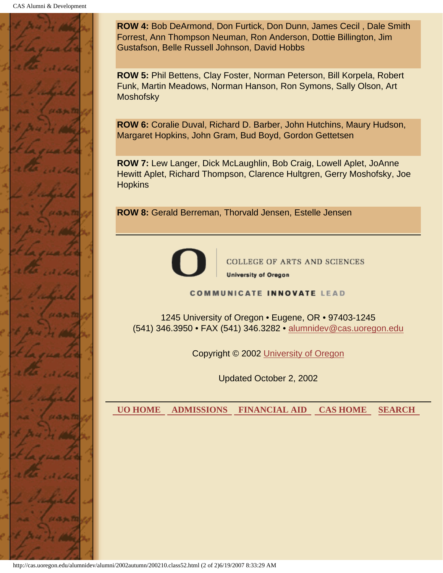

**ROW 4:** Bob DeArmond, Don Furtick, Don Dunn, James Cecil , Dale Smith Forrest, Ann Thompson Neuman, Ron Anderson, Dottie Billington, Jim Gustafson, Belle Russell Johnson, David Hobbs

**ROW 5:** Phil Bettens, Clay Foster, Norman Peterson, Bill Korpela, Robert Funk, Martin Meadows, Norman Hanson, Ron Symons, Sally Olson, Art **Moshofsky** 

**ROW 6:** Coralie Duval, Richard D. Barber, John Hutchins, Maury Hudson, Margaret Hopkins, John Gram, Bud Boyd, Gordon Gettetsen

**ROW 7:** Lew Langer, Dick McLaughlin, Bob Craig, Lowell Aplet, JoAnne Hewitt Aplet, Richard Thompson, Clarence Hultgren, Gerry Moshofsky, Joe **Hopkins** 

**ROW 8:** Gerald Berreman, Thorvald Jensen, Estelle Jensen



COLLEGE OF ARTS AND SCIENCES **University of Oregon** 

**COMMUNICATE INNOVATE LEAD** 

1245 University of Oregon • Eugene, OR • 97403-1245 (541) 346.3950 • FAX (541) 346.3282 • alumnidev@cas.uoregon.edu

Copyright © 2002 University of Oregon

Updated October 2, 2002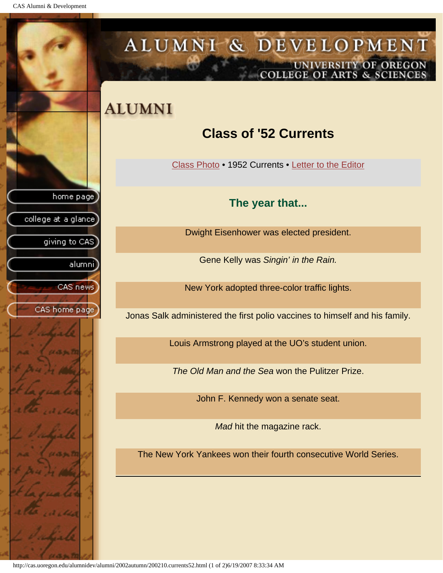<span id="page-63-0"></span>CAS Alumni & Development

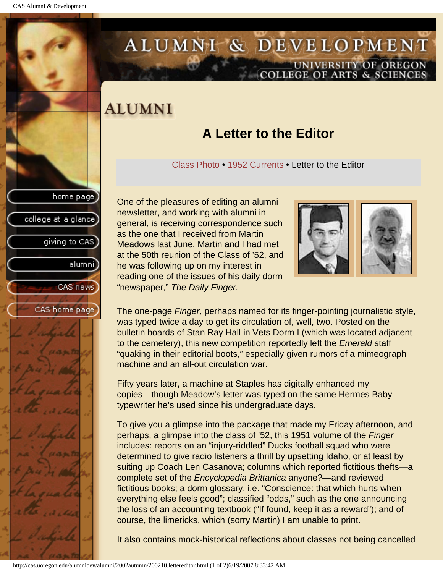college at a glance

giving to CAS

alumnil

CAS news

CAS home page

# <span id="page-64-0"></span>ALUMNI & DEVELOPMENT UNIVERSITY OF OREGON<br>COLLEGE OF ARTS & SCIENCES

## **ALUMNI**

### **A Letter to the Editor**

[Class Photo](#page-61-0) • [1952 Currents](#page-63-0) • Letter to the Editor

One of the pleasures of editing an alumni newsletter, and working with alumni in general, is receiving correspondence such as the one that I received from Martin Meadows last June. Martin and I had met at the 50th reunion of the Class of '52, and he was following up on my interest in reading one of the issues of his daily dorm "newspaper," *The Daily Finger.*



The one-page *Finger,* perhaps named for its finger-pointing journalistic style, was typed twice a day to get its circulation of, well, two. Posted on the bulletin boards of Stan Ray Hall in Vets Dorm I (which was located adjacent to the cemetery), this new competition reportedly left the *Emerald* staff "quaking in their editorial boots," especially given rumors of a mimeograph machine and an all-out circulation war.

Fifty years later, a machine at Staples has digitally enhanced my copies—though Meadow's letter was typed on the same Hermes Baby typewriter he's used since his undergraduate days.

To give you a glimpse into the package that made my Friday afternoon, and perhaps, a glimpse into the class of '52, this 1951 volume of the *Finger* includes: reports on an "injury-riddled" Ducks football squad who were determined to give radio listeners a thrill by upsetting Idaho, or at least by suiting up Coach Len Casanova; columns which reported fictitious thefts—a complete set of the *Encyclopedia Brittanica* anyone?—and reviewed fictitious books; a dorm glossary, i.e. "Conscience: that which hurts when everything else feels good"; classified "odds," such as the one announcing the loss of an accounting textbook ("If found, keep it as a reward"); and of course, the limericks, which (sorry Martin) I am unable to print.

It also contains mock-historical reflections about classes not being cancelled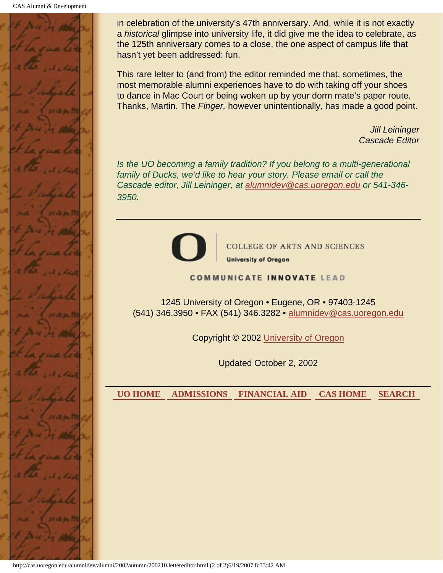CAS Alumni & Development



in celebration of the university's 47th anniversary. And, while it is not exactly a *historical* glimpse into university life, it did give me the idea to celebrate, as the 125th anniversary comes to a close, the one aspect of campus life that hasn't yet been addressed: fun.

This rare letter to (and from) the editor reminded me that, sometimes, the most memorable alumni experiences have to do with taking off your shoes to dance in Mac Court or being woken up by your dorm mate's paper route. Thanks, Martin. The *Finger,* however unintentionally, has made a good point.

> *Jill Leininger Cascade Editor*

*Is the UO becoming a family tradition? If you belong to a multi-generational family of Ducks, we'd like to hear your story. Please email or call the Cascade editor, Jill Leininger, at alumnidev@cas.uoregon.edu or 541-346- 3950.*



**COLLEGE OF ARTS AND SCIENCES** 

**University of Oregon** 

#### **COMMUNICATE INNOVATE LEAD**

1245 University of Oregon • Eugene, OR • 97403-1245 (541) 346.3950 • FAX (541) 346.3282 • alumnidev@cas.uoregon.edu

Copyright © 2002 University of Oregon

Updated October 2, 2002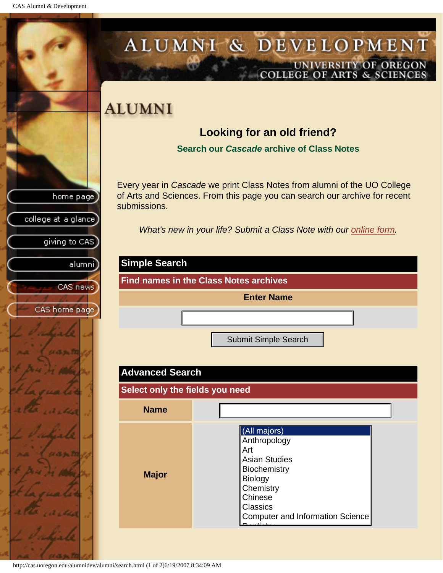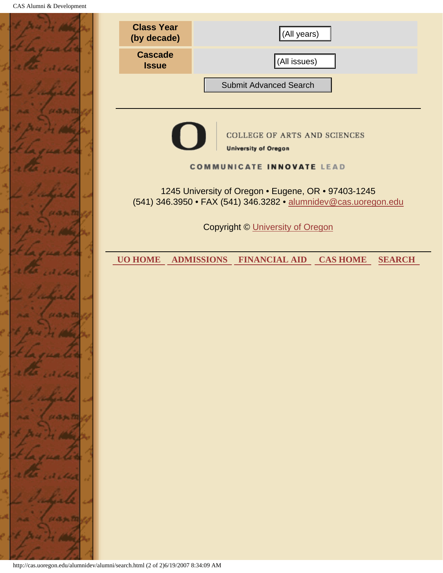|              | <b>Class Year</b><br>(by decade)                                                                                       | (All years)                                                         |  |
|--------------|------------------------------------------------------------------------------------------------------------------------|---------------------------------------------------------------------|--|
|              | <b>Cascade</b><br><b>Issue</b>                                                                                         | (All issues)                                                        |  |
|              |                                                                                                                        | <b>Submit Advanced Search</b>                                       |  |
| 5570         |                                                                                                                        |                                                                     |  |
|              |                                                                                                                        | <b>COLLEGE OF ARTS AND SCIENCES</b><br><b>University of Oregon</b>  |  |
|              |                                                                                                                        | <b>COMMUNICATE INNOVATE LEAD</b>                                    |  |
|              | 1245 University of Oregon . Eugene, OR . 97403-1245<br>(541) 346.3950 • FAX (541) 346.3282 • alumnidev@cas.uoregon.edu |                                                                     |  |
|              | <b>Copyright © University of Oregon</b>                                                                                |                                                                     |  |
|              | <b>UO HOME</b>                                                                                                         | <b>ADMISSIONS</b><br><b>FINANCIAL AID CAS HOME</b><br><b>SEARCH</b> |  |
|              |                                                                                                                        |                                                                     |  |
| 6. September |                                                                                                                        |                                                                     |  |
|              |                                                                                                                        |                                                                     |  |
|              |                                                                                                                        |                                                                     |  |
|              |                                                                                                                        |                                                                     |  |
|              |                                                                                                                        |                                                                     |  |
|              |                                                                                                                        |                                                                     |  |
|              |                                                                                                                        |                                                                     |  |
|              |                                                                                                                        |                                                                     |  |
|              |                                                                                                                        |                                                                     |  |
|              | http://cas.uoregon.edu/alumnidev/alumni/search.html (2 of 2)6/19/2007 8:34:09 AM                                       |                                                                     |  |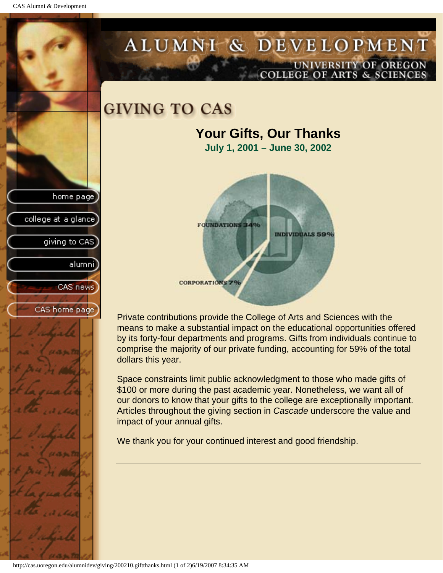CAS Alumni & Development

home page

college at a glance

giving to CAS

alumni

CAS news

CAS home page

### ALUMNI & DEVELOPMENT UNIVERSITY OF OREGON OLLEGE OF ARTS & SCIENCE

### **GIVING TO CAS**

## **Your Gifts, Our Thanks**

**July 1, 2001 – June 30, 2002**



Private contributions provide the College of Arts and Sciences with the means to make a substantial impact on the educational opportunities offered by its forty-four departments and programs. Gifts from individuals continue to comprise the majority of our private funding, accounting for 59% of the total dollars this year.

Space constraints limit public acknowledgment to those who made gifts of \$100 or more during the past academic year. Nonetheless, we want all of our donors to know that your gifts to the college are exceptionally important. Articles throughout the giving section in *Cascade* underscore the value and impact of your annual gifts.

We thank you for your continued interest and good friendship.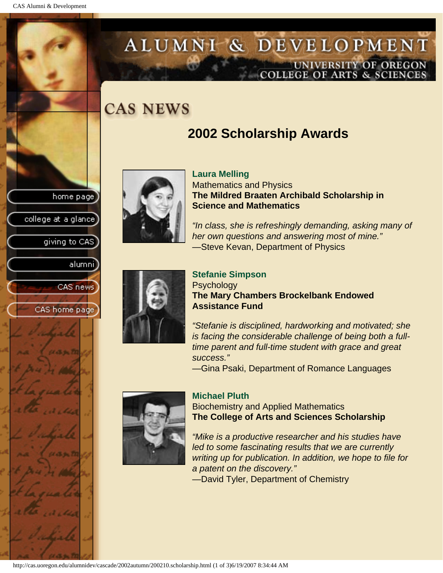college at a glance

giving to CAS

alumni

CAS news

CAS home page

### ALUMNI & DEVELOPMENT UNIVERSITY OF OREGON OLLEGE OF ARTS & SCIENCE

## **CAS NEWS**

### **2002 Scholarship Awards**



**Laura Melling** Mathematics and Physics **The Mildred Braaten Archibald Scholarship in Science and Mathematics**

*"In class, she is refreshingly demanding, asking many of her own questions and answering most of mine."* —Steve Kevan, Department of Physics



#### **Stefanie Simpson Psychology The Mary Chambers Brockelbank Endowed Assistance Fund**

*"Stefanie is disciplined, hardworking and motivated; she is facing the considerable challenge of being both a fulltime parent and full-time student with grace and great success."*

—Gina Psaki, Department of Romance Languages



#### **Michael Pluth**

Biochemistry and Applied Mathematics **The College of Arts and Sciences Scholarship**

*"Mike is a productive researcher and his studies have led to some fascinating results that we are currently writing up for publication. In addition, we hope to file for a patent on the discovery."*

—David Tyler, Department of Chemistry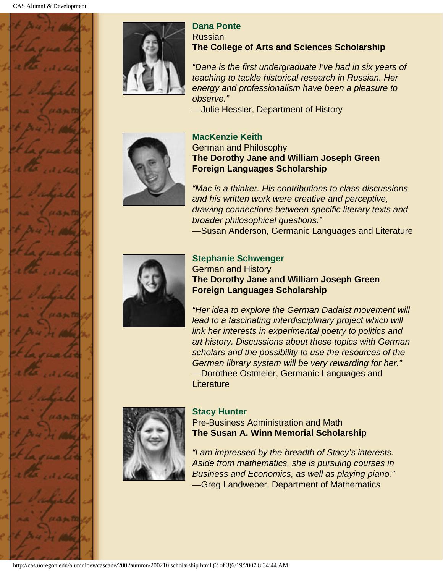

#### **Dana Ponte** Russian **The College of Arts and Sciences Scholarship**

*"Dana is the first undergraduate I've had in six years of teaching to tackle historical research in Russian. Her energy and professionalism have been a pleasure to observe."*

—Julie Hessler, Department of History



#### **MacKenzie Keith** German and Philosophy **The Dorothy Jane and William Joseph Green Foreign Languages Scholarship**

*"Mac is a thinker. His contributions to class discussions and his written work were creative and perceptive, drawing connections between specific literary texts and broader philosophical questions."* —Susan Anderson, Germanic Languages and Literature



#### **Stephanie Schwenger**

German and History **The Dorothy Jane and William Joseph Green Foreign Languages Scholarship**

*"Her idea to explore the German Dadaist movement will*  lead to a fascinating interdisciplinary project which will *link her interests in experimental poetry to politics and art history. Discussions about these topics with German scholars and the possibility to use the resources of the German library system will be very rewarding for her."* —Dorothee Ostmeier, Germanic Languages and **Literature** 



#### **Stacy Hunter**

Pre-Business Administration and Math **The Susan A. Winn Memorial Scholarship**

*"I am impressed by the breadth of Stacy's interests. Aside from mathematics, she is pursuing courses in Business and Economics, as well as playing piano."* —Greg Landweber, Department of Mathematics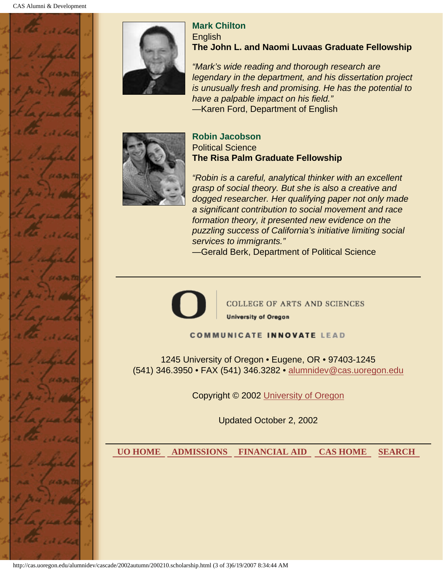

**Mark Chilton English The John L. and Naomi Luvaas Graduate Fellowship**

*"Mark's wide reading and thorough research are legendary in the department, and his dissertation project is unusually fresh and promising. He has the potential to have a palpable impact on his field."* —Karen Ford, Department of English



#### **Robin Jacobson** Political Science **The Risa Palm Graduate Fellowship**

*"Robin is a careful, analytical thinker with an excellent grasp of social theory. But she is also a creative and dogged researcher. Her qualifying paper not only made a significant contribution to social movement and race formation theory, it presented new evidence on the puzzling success of California's initiative limiting social services to immigrants."*

—Gerald Berk, Department of Political Science



**COLLEGE OF ARTS AND SCIENCES University of Oregon** 

**COMMUNICATE INNOVATE LEAD** 

1245 University of Oregon • Eugene, OR • 97403-1245 (541) 346.3950 • FAX (541) 346.3282 • alumnidev@cas.uoregon.edu

Copyright © 2002 University of Oregon

Updated October 2, 2002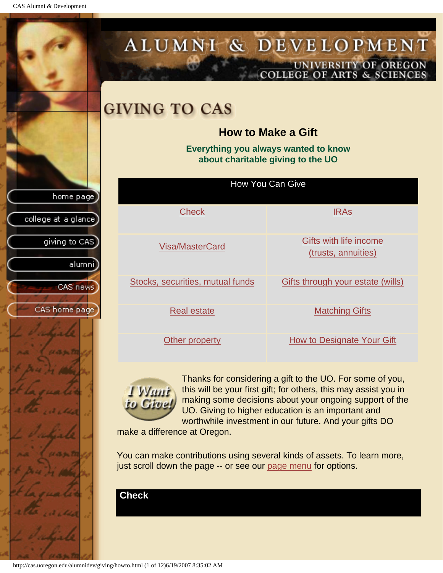CAS Alumni & Development

<span id="page-72-1"></span><span id="page-72-0"></span>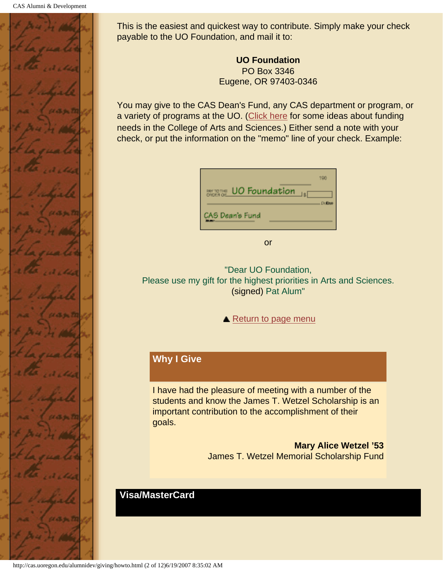

This is the easiest and quickest way to contribute. Simply make your check payable to the UO Foundation, and mail it to:

> **UO Foundation** PO Box 3346 Eugene, OR 97403-0346

You may give to the CAS Dean's Fund, any CAS department or program, or a variety of programs at the UO. [\(Click here](#page-80-1) for some ideas about funding needs in the College of Arts and Sciences.) Either send a note with your check, or put the information on the "memo" line of your check. Example:

| UO Foundation<br>BM TOTHE | 190           |
|---------------------------|---------------|
| CAS Dean's Fund           | <b>Dollar</b> |

or

"Dear UO Foundation, Please use my gift for the highest priorities in Arts and Sciences. (signed) Pat Alum"

▲ [Return to page menu](#page-72-1)

# **Why I Give**

I have had the pleasure of meeting with a number of the students and know the James T. Wetzel Scholarship is an important contribution to the accomplishment of their goals.

> **Mary Alice Wetzel '53** James T. Wetzel Memorial Scholarship Fund

#### **Visa/MasterCard**

<span id="page-73-0"></span>http://cas.uoregon.edu/alumnidev/giving/howto.html (2 of 12)6/19/2007 8:35:02 AM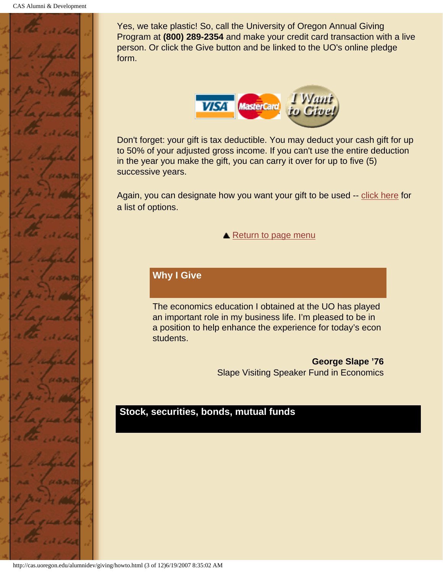

Yes, we take plastic! So, call the University of Oregon Annual Giving Program at **(800) 289-2354** and make your credit card transaction with a live person. Or click the Give button and be linked to the UO's online pledge form.



Don't forget: your gift is tax deductible. You may deduct your cash gift for up to 50% of your adjusted gross income. If you can't use the entire deduction in the year you make the gift, you can carry it over for up to five (5) successive years.

Again, you can designate how you want your gift to be used -- [click here](#page-80-1) for a list of options.

▲ [Return to page menu](#page-72-1)

# **Why I Give**

The economics education I obtained at the UO has played an important role in my business life. I'm pleased to be in a position to help enhance the experience for today's econ students.

> **George Slape '76** Slape Visiting Speaker Fund in Economics

#### <span id="page-74-0"></span>**Stock, securities, bonds, mutual funds**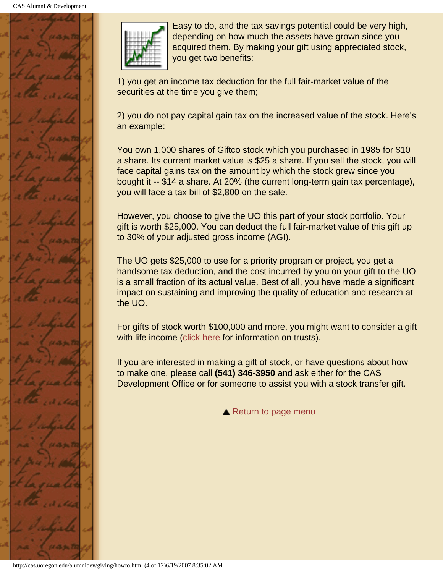



Easy to do, and the tax savings potential could be very high, depending on how much the assets have grown since you acquired them. By making your gift using appreciated stock, you get two benefits:

1) you get an income tax deduction for the full fair-market value of the securities at the time you give them;

2) you do not pay capital gain tax on the increased value of the stock. Here's an example:

You own 1,000 shares of Giftco stock which you purchased in 1985 for \$10 a share. Its current market value is \$25 a share. If you sell the stock, you will face capital gains tax on the amount by which the stock grew since you bought it -- \$14 a share. At 20% (the current long-term gain tax percentage), you will face a tax bill of \$2,800 on the sale.

However, you choose to give the UO this part of your stock portfolio. Your gift is worth \$25,000. You can deduct the full fair-market value of this gift up to 30% of your adjusted gross income (AGI).

The UO gets \$25,000 to use for a priority program or project, you get a handsome tax deduction, and the cost incurred by you on your gift to the UO is a small fraction of its actual value. Best of all, you have made a significant impact on sustaining and improving the quality of education and research at the UO.

For gifts of stock worth \$100,000 and more, you might want to consider a gift with life income ([click here](#page-79-0) for information on trusts).

If you are interested in making a gift of stock, or have questions about how to make one, please call **(541) 346-3950** and ask either for the CAS Development Office or for someone to assist you with a stock transfer gift.

**A** [Return to page menu](#page-72-1)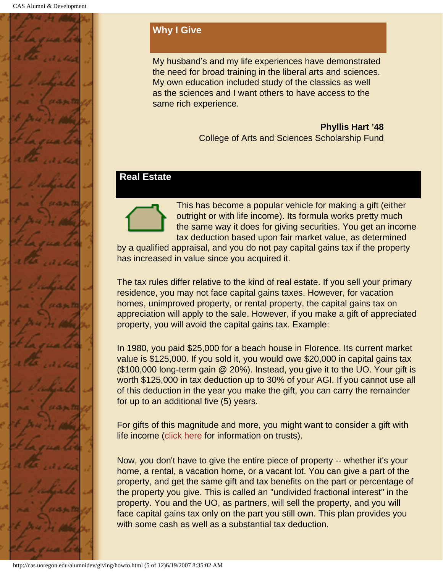

# **Why I Give**

My husband's and my life experiences have demonstrated the need for broad training in the liberal arts and sciences. My own education included study of the classics as well as the sciences and I want others to have access to the same rich experience.

> **Phyllis Hart '48** College of Arts and Sciences Scholarship Fund

#### <span id="page-76-0"></span>**Real Estate**



This has become a popular vehicle for making a gift (either outright or with life income). Its formula works pretty much the same way it does for giving securities. You get an income tax deduction based upon fair market value, as determined

by a qualified appraisal, and you do not pay capital gains tax if the property has increased in value since you acquired it.

The tax rules differ relative to the kind of real estate. If you sell your primary residence, you may not face capital gains taxes. However, for vacation homes, unimproved property, or rental property, the capital gains tax on appreciation will apply to the sale. However, if you make a gift of appreciated property, you will avoid the capital gains tax. Example:

In 1980, you paid \$25,000 for a beach house in Florence. Its current market value is \$125,000. If you sold it, you would owe \$20,000 in capital gains tax (\$100,000 long-term gain @ 20%). Instead, you give it to the UO. Your gift is worth \$125,000 in tax deduction up to 30% of your AGI. If you cannot use all of this deduction in the year you make the gift, you can carry the remainder for up to an additional five (5) years.

For gifts of this magnitude and more, you might want to consider a gift with life income ([click here](#page-79-0) for information on trusts).

Now, you don't have to give the entire piece of property -- whether it's your home, a rental, a vacation home, or a vacant lot. You can give a part of the property, and get the same gift and tax benefits on the part or percentage of the property you give. This is called an "undivided fractional interest" in the property. You and the UO, as partners, will sell the property, and you will face capital gains tax only on the part you still own. This plan provides you with some cash as well as a substantial tax deduction.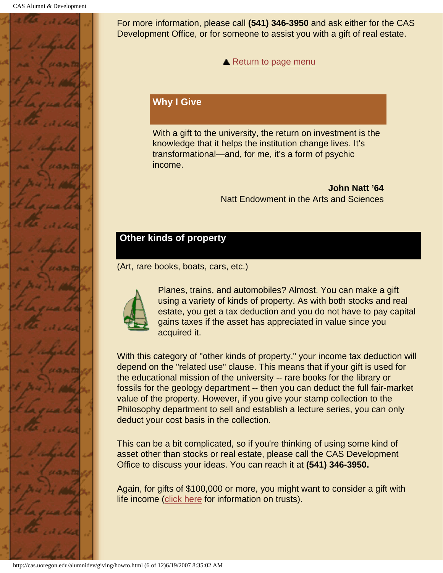

For more information, please call **(541) 346-3950** and ask either for the CAS Development Office, or for someone to assist you with a gift of real estate.

**A** [Return to page menu](#page-72-1)

#### **Why I Give**

With a gift to the university, the return on investment is the knowledge that it helps the institution change lives. It's transformational—and, for me, it's a form of psychic income.

> **John Natt '64** Natt Endowment in the Arts and Sciences

# <span id="page-77-0"></span>**Other kinds of property**

(Art, rare books, boats, cars, etc.)



Planes, trains, and automobiles? Almost. You can make a gift using a variety of kinds of property. As with both stocks and real estate, you get a tax deduction and you do not have to pay capital gains taxes if the asset has appreciated in value since you acquired it.

With this category of "other kinds of property," your income tax deduction will depend on the "related use" clause. This means that if your gift is used for the educational mission of the university -- rare books for the library or fossils for the geology department -- then you can deduct the full fair-market value of the property. However, if you give your stamp collection to the Philosophy department to sell and establish a lecture series, you can only deduct your cost basis in the collection.

This can be a bit complicated, so if you're thinking of using some kind of asset other than stocks or real estate, please call the CAS Development Office to discuss your ideas. You can reach it at **(541) 346-3950.**

Again, for gifts of \$100,000 or more, you might want to consider a gift with life income ([click here](#page-79-0) for information on trusts).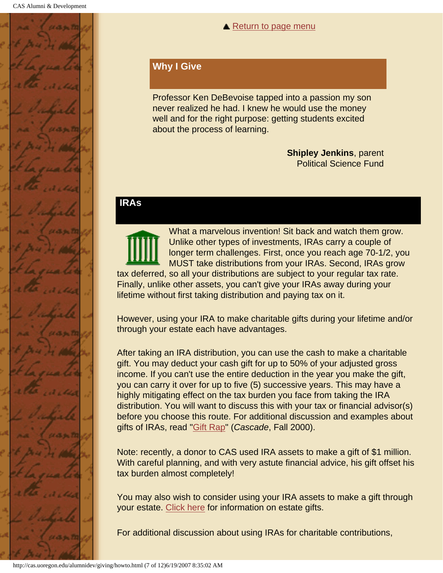

#### **▲ [Return to page menu](#page-72-1)**

#### **Why I Give**

Professor Ken DeBevoise tapped into a passion my son never realized he had. I knew he would use the money well and for the right purpose: getting students excited about the process of learning.

> **Shipley Jenkins**, parent Political Science Fund

#### <span id="page-78-0"></span>**IRAs**

What a marvelous invention! Sit back and watch them grow. Unlike other types of investments, IRAs carry a couple of longer term challenges. First, once you reach age 70-1/2, you MUST take distributions from your IRAs. Second, IRAs grow tax deferred, so all your distributions are subject to your regular tax rate. Finally, unlike other assets, you can't give your IRAs away during your lifetime without first taking distribution and paying tax on it.

However, using your IRA to make charitable gifts during your lifetime and/or through your estate each have advantages.

After taking an IRA distribution, you can use the cash to make a charitable gift. You may deduct your cash gift for up to 50% of your adjusted gross income. If you can't use the entire deduction in the year you make the gift, you can carry it over for up to five (5) successive years. This may have a highly mitigating effect on the tax burden you face from taking the IRA distribution. You will want to discuss this with your tax or financial advisor(s) before you choose this route. For additional discussion and examples about gifts of IRAs, read "Gift Rap" (*Cascade*, Fall 2000).

Note: recently, a donor to CAS used IRA assets to make a gift of \$1 million. With careful planning, and with very astute financial advice, his gift offset his tax burden almost completely!

You may also wish to consider using your IRA assets to make a gift through your estate. [Click here](#page-80-0) for information on estate gifts.

For additional discussion about using IRAs for charitable contributions,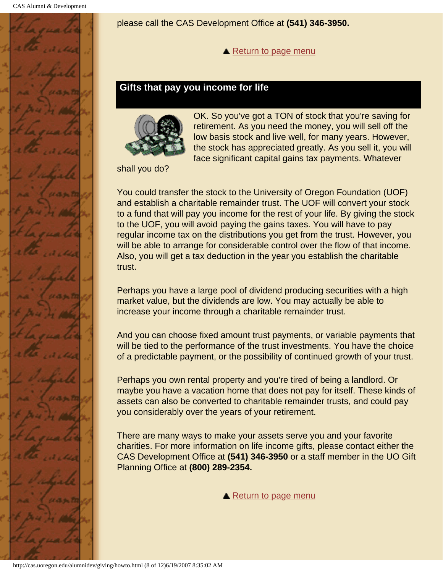<span id="page-79-0"></span>

please call the CAS Development Office at **(541) 346-3950.**

**A** [Return to page menu](#page-72-1)

#### **Gifts that pay you income for life**



OK. So you've got a TON of stock that you're saving for retirement. As you need the money, you will sell off the low basis stock and live well, for many years. However, the stock has appreciated greatly. As you sell it, you will face significant capital gains tax payments. Whatever

shall you do?

You could transfer the stock to the University of Oregon Foundation (UOF) and establish a charitable remainder trust. The UOF will convert your stock to a fund that will pay you income for the rest of your life. By giving the stock to the UOF, you will avoid paying the gains taxes. You will have to pay regular income tax on the distributions you get from the trust. However, you will be able to arrange for considerable control over the flow of that income. Also, you will get a tax deduction in the year you establish the charitable trust.

Perhaps you have a large pool of dividend producing securities with a high market value, but the dividends are low. You may actually be able to increase your income through a charitable remainder trust.

And you can choose fixed amount trust payments, or variable payments that will be tied to the performance of the trust investments. You have the choice of a predictable payment, or the possibility of continued growth of your trust.

Perhaps you own rental property and you're tired of being a landlord. Or maybe you have a vacation home that does not pay for itself. These kinds of assets can also be converted to charitable remainder trusts, and could pay you considerably over the years of your retirement.

There are many ways to make your assets serve you and your favorite charities. For more information on life income gifts, please contact either the CAS Development Office at **(541) 346-3950** or a staff member in the UO Gift Planning Office at **(800) 289-2354.**

**▲ [Return to page menu](#page-72-1)**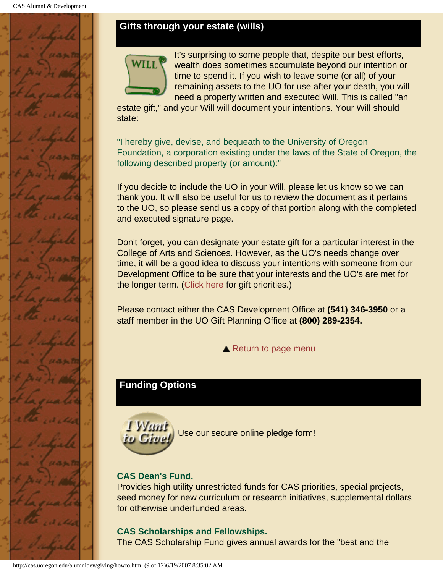# <span id="page-80-0"></span>**Gifts through your estate (wills)**



It's surprising to some people that, despite our best efforts, wealth does sometimes accumulate beyond our intention or time to spend it. If you wish to leave some (or all) of your remaining assets to the UO for use after your death, you will need a properly written and executed Will. This is called "an

estate gift," and your Will will document your intentions. Your Will should state:

"I hereby give, devise, and bequeath to the University of Oregon Foundation, a corporation existing under the laws of the State of Oregon, the following described property (or amount):"

If you decide to include the UO in your Will, please let us know so we can thank you. It will also be useful for us to review the document as it pertains to the UO, so please send us a copy of that portion along with the completed and executed signature page.

Don't forget, you can designate your estate gift for a particular interest in the College of Arts and Sciences. However, as the UO's needs change over time, it will be a good idea to discuss your intentions with someone from our Development Office to be sure that your interests and the UO's are met for the longer term. ([Click here](#page-80-1) for gift priorities.)

Please contact either the CAS Development Office at **(541) 346-3950** or a staff member in the UO Gift Planning Office at **(800) 289-2354.**

**▲ [Return to page menu](#page-72-1)** 

# <span id="page-80-1"></span>**Funding Options**



Use our secure online pledge form!

# **CAS Dean's Fund.**

Provides high utility unrestricted funds for CAS priorities, special projects, seed money for new curriculum or research initiatives, supplemental dollars for otherwise underfunded areas.

# **CAS Scholarships and Fellowships.**

The CAS Scholarship Fund gives annual awards for the "best and the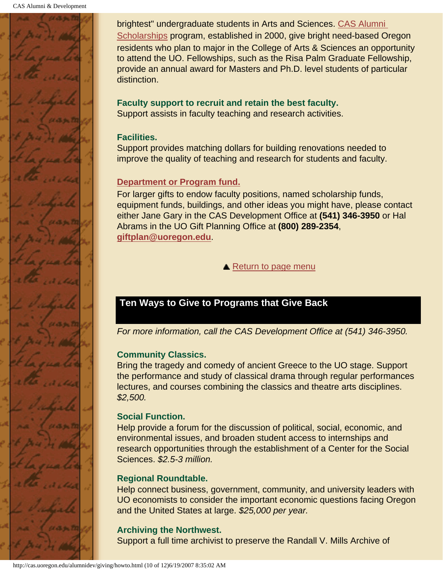

brightest" undergraduate students in Arts and Sciences. CAS Alumni Scholarships program, established in 2000, give bright need-based Oregon residents who plan to major in the College of Arts & Sciences an opportunity to attend the UO. Fellowships, such as the Risa Palm Graduate Fellowship, provide an annual award for Masters and Ph.D. level students of particular distinction.

# **Faculty support to recruit and retain the best faculty.**

Support assists in faculty teaching and research activities.

#### **Facilities.**

Support provides matching dollars for building renovations needed to improve the quality of teaching and research for students and faculty.

#### **Department or Program fund.**

For larger gifts to endow faculty positions, named scholarship funds, equipment funds, buildings, and other ideas you might have, please contact either Jane Gary in the CAS Development Office at **(541) 346-3950** or Hal Abrams in the UO Gift Planning Office at **(800) 289-2354**, **giftplan@uoregon.edu**.

**▲ [Return to page menu](#page-72-1)** 

# <span id="page-81-0"></span>**Ten Ways to Give to Programs that Give Back**

*For more information, call the CAS Development Office at (541) 346-3950.*

# **Community Classics.**

Bring the tragedy and comedy of ancient Greece to the UO stage. Support the performance and study of classical drama through regular performances lectures, and courses combining the classics and theatre arts disciplines. *\$2,500.*

# **Social Function.**

Help provide a forum for the discussion of political, social, economic, and environmental issues, and broaden student access to internships and research opportunities through the establishment of a Center for the Social Sciences. *\$2.5-3 million.*

#### **Regional Roundtable.**

Help connect business, government, community, and university leaders with UO economists to consider the important economic questions facing Oregon and the United States at large. *\$25,000 per year.*

# **Archiving the Northwest.**

Support a full time archivist to preserve the Randall V. Mills Archive of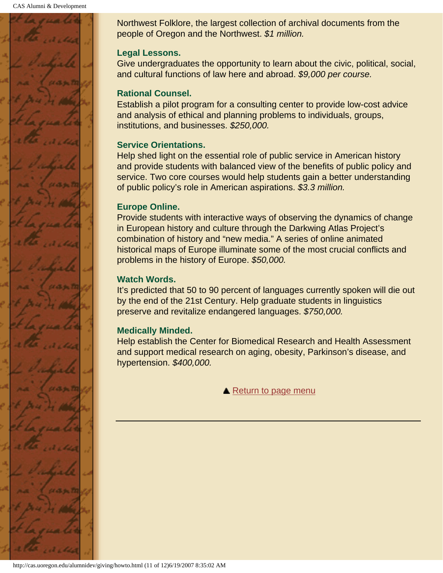

Northwest Folklore, the largest collection of archival documents from the people of Oregon and the Northwest. *\$1 million.*

#### **Legal Lessons.**

Give undergraduates the opportunity to learn about the civic, political, social, and cultural functions of law here and abroad. *\$9,000 per course.*

#### **Rational Counsel.**

Establish a pilot program for a consulting center to provide low-cost advice and analysis of ethical and planning problems to individuals, groups, institutions, and businesses. *\$250,000.*

#### **Service Orientations.**

Help shed light on the essential role of public service in American history and provide students with balanced view of the benefits of public policy and service. Two core courses would help students gain a better understanding of public policy's role in American aspirations. *\$3.3 million.*

#### **Europe Online.**

Provide students with interactive ways of observing the dynamics of change in European history and culture through the Darkwing Atlas Project's combination of history and "new media." A series of online animated historical maps of Europe illuminate some of the most crucial conflicts and problems in the history of Europe. *\$50,000.*

#### **Watch Words.**

It's predicted that 50 to 90 percent of languages currently spoken will die out by the end of the 21st Century. Help graduate students in linguistics preserve and revitalize endangered languages. *\$750,000.*

#### **Medically Minded.**

Help establish the Center for Biomedical Research and Health Assessment and support medical research on aging, obesity, Parkinson's disease, and hypertension. *\$400,000.*

[Return to page menu](#page-72-1)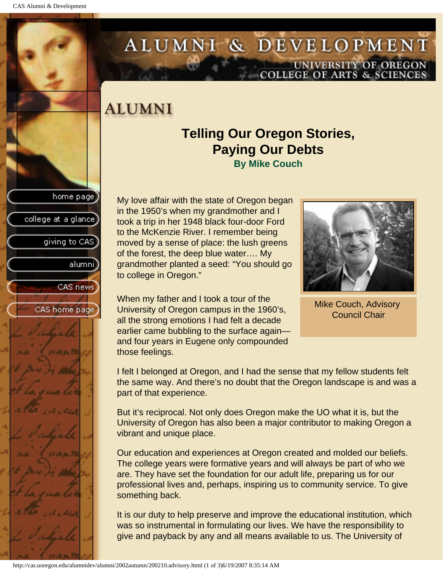

# ALUMNI & DEVELOPMENT UNIVERSITY OF OREGON<br>COLLEGE OF ARTS & SCIENCES

# **ALUMNI**

# **Telling Our Oregon Stories, Paying Our Debts By Mike Couch**

My love affair with the state of Oregon began in the 1950's when my grandmother and I took a trip in her 1948 black four-door Ford to the McKenzie River. I remember being moved by a sense of place: the lush greens of the forest, the deep blue water…. My grandmother planted a seed: "You should go to college in Oregon."



Mike Couch, Advisory Council Chair

When my father and I took a tour of the University of Oregon campus in the 1960's, all the strong emotions I had felt a decade earlier came bubbling to the surface again and four years in Eugene only compounded those feelings.

I felt I belonged at Oregon, and I had the sense that my fellow students felt the same way. And there's no doubt that the Oregon landscape is and was a part of that experience.

But it's reciprocal. Not only does Oregon make the UO what it is, but the University of Oregon has also been a major contributor to making Oregon a vibrant and unique place.

Our education and experiences at Oregon created and molded our beliefs. The college years were formative years and will always be part of who we are. They have set the foundation for our adult life, preparing us for our professional lives and, perhaps, inspiring us to community service. To give something back.

It is our duty to help preserve and improve the educational institution, which was so instrumental in formulating our lives. We have the responsibility to give and payback by any and all means available to us. The University of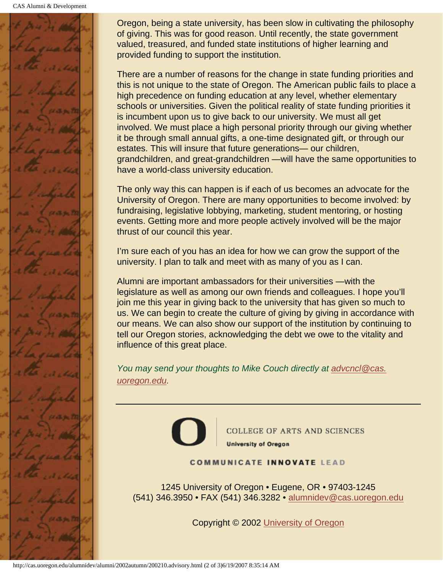CAS Alumni & Development



Oregon, being a state university, has been slow in cultivating the philosophy of giving. This was for good reason. Until recently, the state government valued, treasured, and funded state institutions of higher learning and provided funding to support the institution.

There are a number of reasons for the change in state funding priorities and this is not unique to the state of Oregon. The American public fails to place a high precedence on funding education at any level, whether elementary schools or universities. Given the political reality of state funding priorities it is incumbent upon us to give back to our university. We must all get involved. We must place a high personal priority through our giving whether it be through small annual gifts, a one-time designated gift, or through our estates. This will insure that future generations— our children, grandchildren, and great-grandchildren —will have the same opportunities to have a world-class university education.

The only way this can happen is if each of us becomes an advocate for the University of Oregon. There are many opportunities to become involved: by fundraising, legislative lobbying, marketing, student mentoring, or hosting events. Getting more and more people actively involved will be the major thrust of our council this year.

I'm sure each of you has an idea for how we can grow the support of the university. I plan to talk and meet with as many of you as I can.

Alumni are important ambassadors for their universities —with the legislature as well as among our own friends and colleagues. I hope you'll join me this year in giving back to the university that has given so much to us. We can begin to create the culture of giving by giving in accordance with our means. We can also show our support of the institution by continuing to tell our Oregon stories, acknowledging the debt we owe to the vitality and influence of this great place.

*You may send your thoughts to Mike Couch directly at advcncl@cas. uoregon.edu.*



**COLLEGE OF ARTS AND SCIENCES University of Oregon** 

#### **COMMUNICATE INNOVATE LEAD**

1245 University of Oregon • Eugene, OR • 97403-1245 (541) 346.3950 • FAX (541) 346.3282 • alumnidev@cas.uoregon.edu

Copyright © 2002 University of Oregon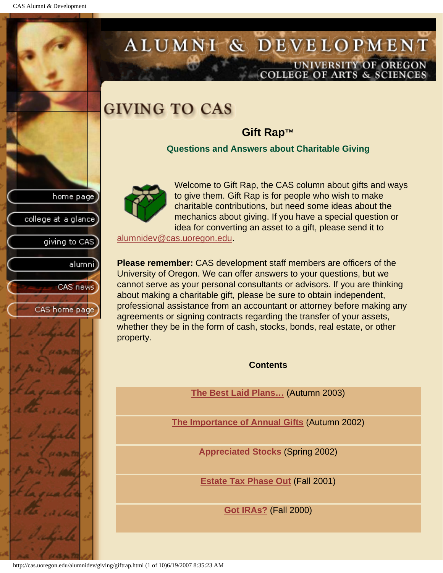CAS Alumni & Development

home page

college at a glance

giving to CAS

alumnil

CAS news

CAS home page

# ALUMNI & DEVELOPMENT UNIVERSITY OF OREGON OLLEGE OF ARTS & SCIENCE

# **GIVING TO CAS**

# **Gift Rap™**

**Questions and Answers about Charitable Giving**



Welcome to Gift Rap, the CAS column about gifts and ways to give them. Gift Rap is for people who wish to make charitable contributions, but need some ideas about the mechanics about giving. If you have a special question or idea for converting an asset to a gift, please send it to

alumnidev@cas.uoregon.edu.

**Please remember:** CAS development staff members are officers of the University of Oregon. We can offer answers to your questions, but we cannot serve as your personal consultants or advisors. If you are thinking about making a charitable gift, please be sure to obtain independent, professional assistance from an accountant or attorney before making any agreements or signing contracts regarding the transfer of your assets, whether they be in the form of cash, stocks, bonds, real estate, or other property.

**Contents**

**The Best Laid Plans…** (Autumn 2003)

**The Importance of Annual Gifts** (Autumn 2002)

**Appreciated Stocks** (Spring 2002)

**Estate Tax Phase Out** (Fall 2001)

**Got IRAs?** (Fall 2000)

http://cas.uoregon.edu/alumnidev/giving/giftrap.html (1 of 10)6/19/2007 8:35:23 AM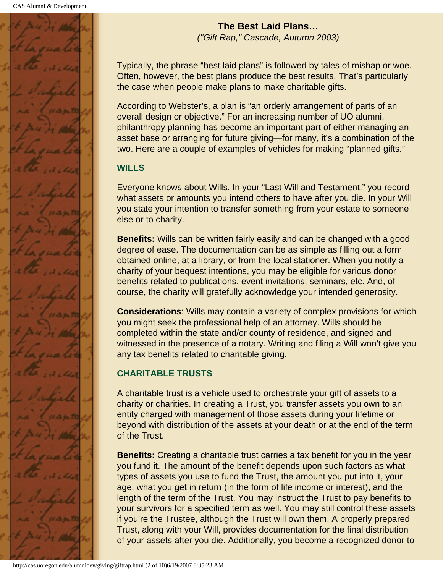

**The Best Laid Plans…** *("Gift Rap," Cascade, Autumn 2003)*

Typically, the phrase "best laid plans" is followed by tales of mishap or woe. Often, however, the best plans produce the best results. That's particularly the case when people make plans to make charitable gifts.

According to Webster's, a plan is "an orderly arrangement of parts of an overall design or objective." For an increasing number of UO alumni, philanthropy planning has become an important part of either managing an asset base or arranging for future giving—for many, it's a combination of the two. Here are a couple of examples of vehicles for making "planned gifts."

# **WILLS**

Everyone knows about Wills. In your "Last Will and Testament," you record what assets or amounts you intend others to have after you die. In your Will you state your intention to transfer something from your estate to someone else or to charity.

**Benefits:** Wills can be written fairly easily and can be changed with a good degree of ease. The documentation can be as simple as filling out a form obtained online, at a library, or from the local stationer. When you notify a charity of your bequest intentions, you may be eligible for various donor benefits related to publications, event invitations, seminars, etc. And, of course, the charity will gratefully acknowledge your intended generosity.

**Considerations**: Wills may contain a variety of complex provisions for which you might seek the professional help of an attorney. Wills should be completed within the state and/or county of residence, and signed and witnessed in the presence of a notary. Writing and filing a Will won't give you any tax benefits related to charitable giving.

# **CHARITABLE TRUSTS**

A charitable trust is a vehicle used to orchestrate your gift of assets to a charity or charities. In creating a Trust, you transfer assets you own to an entity charged with management of those assets during your lifetime or beyond with distribution of the assets at your death or at the end of the term of the Trust.

**Benefits:** Creating a charitable trust carries a tax benefit for you in the year you fund it. The amount of the benefit depends upon such factors as what types of assets you use to fund the Trust, the amount you put into it, your age, what you get in return (in the form of life income or interest), and the length of the term of the Trust. You may instruct the Trust to pay benefits to your survivors for a specified term as well. You may still control these assets if you're the Trustee, although the Trust will own them. A properly prepared Trust, along with your Will, provides documentation for the final distribution of your assets after you die. Additionally, you become a recognized donor to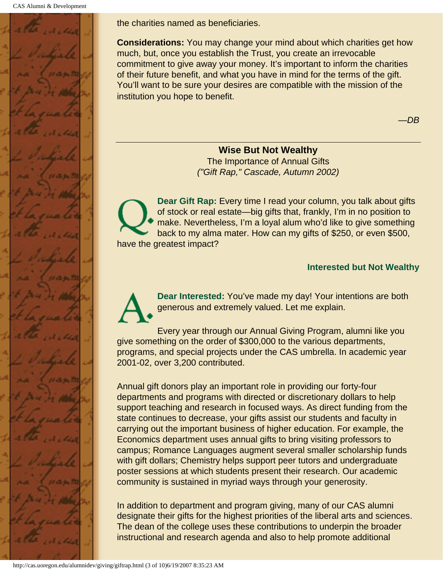

the charities named as beneficiaries.

**Considerations:** You may change your mind about which charities get how much, but, once you establish the Trust, you create an irrevocable commitment to give away your money. It's important to inform the charities of their future benefit, and what you have in mind for the terms of the gift. You'll want to be sure your desires are compatible with the mission of the institution you hope to benefit.

—*DB*

#### **Wise But Not Wealthy**

The Importance of Annual Gifts *("Gift Rap," Cascade, Autumn 2002)*

**Dear Gift Rap:** Every time I read your column, you talk about gifts of stock or real estate—big gifts that, frankly, I'm in no position to make. Nevertheless, I'm a loyal alum who'd like to give something back to my alma mater. How can my gifts of \$250, or even \$500, have the greatest impact?

#### **Interested but Not Wealthy**

**Dear Interested:** You've made my day! Your intentions are both generous and extremely valued. Let me explain.

Every year through our Annual Giving Program, alumni like you give something on the order of \$300,000 to the various departments, programs, and special projects under the CAS umbrella. In academic year 2001-02, over 3,200 contributed.

Annual gift donors play an important role in providing our forty-four departments and programs with directed or discretionary dollars to help support teaching and research in focused ways. As direct funding from the state continues to decrease, your gifts assist our students and faculty in carrying out the important business of higher education. For example, the Economics department uses annual gifts to bring visiting professors to campus; Romance Languages augment several smaller scholarship funds with gift dollars; Chemistry helps support peer tutors and undergraduate poster sessions at which students present their research. Our academic community is sustained in myriad ways through your generosity.

In addition to department and program giving, many of our CAS alumni designate their gifts for the highest priorities of the liberal arts and sciences. The dean of the college uses these contributions to underpin the broader instructional and research agenda and also to help promote additional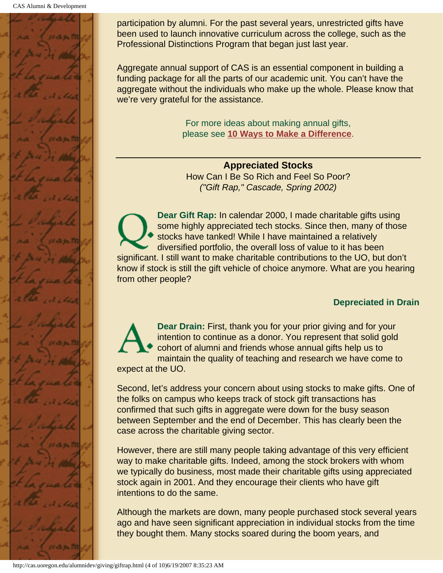

participation by alumni. For the past several years, unrestricted gifts have been used to launch innovative curriculum across the college, such as the Professional Distinctions Program that began just last year.

Aggregate annual support of CAS is an essential component in building a funding package for all the parts of our academic unit. You can't have the aggregate without the individuals who make up the whole. Please know that we're very grateful for the assistance.

> For more ideas about making annual gifts, please see **[10 Ways to Make a Difference](#page-81-0)**.

**Appreciated Stocks** How Can I Be So Rich and Feel So Poor? *("Gift Rap," Cascade, Spring 2002)*

**Dear Gift Rap:** In calendar 2000, I made charitable gifts using some highly appreciated tech stocks. Since then, many of those stocks have tanked! While I have maintained a relatively diversified portfolio, the overall loss of value to it has been significant. I still want to make charitable contributions to the UO, but don't know if stock is still the gift vehicle of choice anymore. What are you hearing from other people?

#### **Depreciated in Drain**

**Dear Drain:** First, thank you for your prior giving and for your intention to continue as a donor. You represent that solid gold cohort of alumni and friends whose annual gifts help us to maintain the quality of teaching and research we have come to expect at the UO.

Second, let's address your concern about using stocks to make gifts. One of the folks on campus who keeps track of stock gift transactions has confirmed that such gifts in aggregate were down for the busy season between September and the end of December. This has clearly been the case across the charitable giving sector.

However, there are still many people taking advantage of this very efficient way to make charitable gifts. Indeed, among the stock brokers with whom we typically do business, most made their charitable gifts using appreciated stock again in 2001. And they encourage their clients who have gift intentions to do the same.

Although the markets are down, many people purchased stock several years ago and have seen significant appreciation in individual stocks from the time they bought them. Many stocks soared during the boom years, and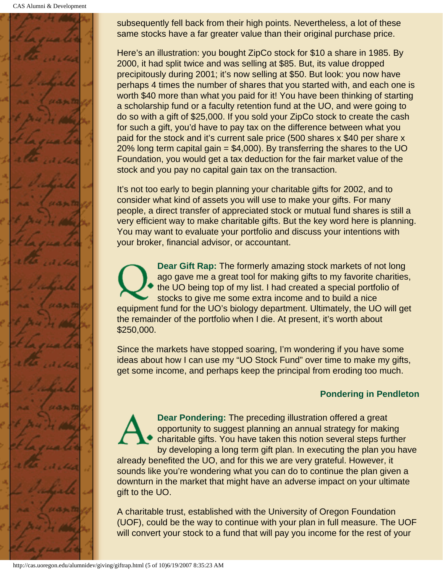CAS Alumni & Development



subsequently fell back from their high points. Nevertheless, a lot of these same stocks have a far greater value than their original purchase price.

Here's an illustration: you bought ZipCo stock for \$10 a share in 1985. By 2000, it had split twice and was selling at \$85. But, its value dropped precipitously during 2001; it's now selling at \$50. But look: you now have perhaps 4 times the number of shares that you started with, and each one is worth \$40 more than what you paid for it! You have been thinking of starting a scholarship fund or a faculty retention fund at the UO, and were going to do so with a gift of \$25,000. If you sold your ZipCo stock to create the cash for such a gift, you'd have to pay tax on the difference between what you paid for the stock and it's current sale price (500 shares x \$40 per share x 20% long term capital gain  $= $4,000$ ). By transferring the shares to the UO Foundation, you would get a tax deduction for the fair market value of the stock and you pay no capital gain tax on the transaction.

It's not too early to begin planning your charitable gifts for 2002, and to consider what kind of assets you will use to make your gifts. For many people, a direct transfer of appreciated stock or mutual fund shares is still a very efficient way to make charitable gifts. But the key word here is planning. You may want to evaluate your portfolio and discuss your intentions with your broker, financial advisor, or accountant.

**Dear Gift Rap:** The formerly amazing stock markets of not long ago gave me a great tool for making gifts to my favorite charities, the UO being top of my list. I had created a special portfolio of stocks to give me some extra income and to build a nice equipment fund for the UO's biology department. Ultimately, the UO will get the remainder of the portfolio when I die. At present, it's worth about \$250,000.

Since the markets have stopped soaring, I'm wondering if you have some ideas about how I can use my "UO Stock Fund" over time to make my gifts, get some income, and perhaps keep the principal from eroding too much.

# **Pondering in Pendleton**

**Dear Pondering:** The preceding illustration offered a great opportunity to suggest planning an annual strategy for making charitable gifts. You have taken this notion several steps further by developing a long term gift plan. In executing the plan you have already benefited the UO, and for this we are very grateful. However, it sounds like you're wondering what you can do to continue the plan given a downturn in the market that might have an adverse impact on your ultimate gift to the UO.

A charitable trust, established with the University of Oregon Foundation (UOF), could be the way to continue with your plan in full measure. The UOF will convert your stock to a fund that will pay you income for the rest of your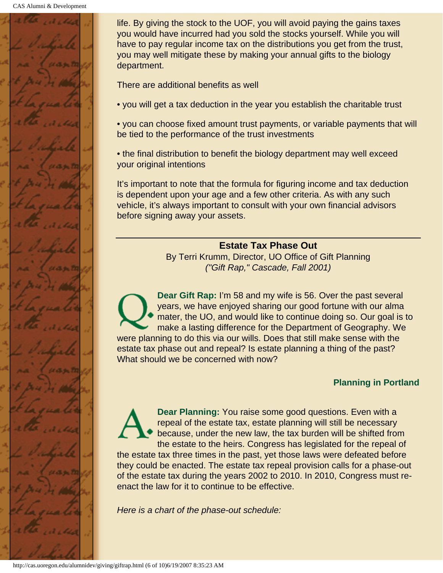

life. By giving the stock to the UOF, you will avoid paying the gains taxes you would have incurred had you sold the stocks yourself. While you will have to pay regular income tax on the distributions you get from the trust, you may well mitigate these by making your annual gifts to the biology department.

There are additional benefits as well

• you will get a tax deduction in the year you establish the charitable trust

• you can choose fixed amount trust payments, or variable payments that will be tied to the performance of the trust investments

• the final distribution to benefit the biology department may well exceed your original intentions

It's important to note that the formula for figuring income and tax deduction is dependent upon your age and a few other criteria. As with any such vehicle, it's always important to consult with your own financial advisors before signing away your assets.

#### **Estate Tax Phase Out**

By Terri Krumm, Director, UO Office of Gift Planning *("Gift Rap," Cascade, Fall 2001)*

**Dear Gift Rap:** I'm 58 and my wife is 56. Over the past several years, we have enjoyed sharing our good fortune with our alma mater, the UO, and would like to continue doing so. Our goal is to make a lasting difference for the Department of Geography. We were planning to do this via our wills. Does that still make sense with the estate tax phase out and repeal? Is estate planning a thing of the past? What should we be concerned with now?

#### **Planning in Portland**

**Dear Planning:** You raise some good questions. Even with a repeal of the estate tax, estate planning will still be necessary because, under the new law, the tax burden will be shifted from the estate to the heirs. Congress has legislated for the repeal of

the estate tax three times in the past, yet those laws were defeated before they could be enacted. The estate tax repeal provision calls for a phase-out of the estate tax during the years 2002 to 2010. In 2010, Congress must reenact the law for it to continue to be effective.

*Here is a chart of the phase-out schedule:*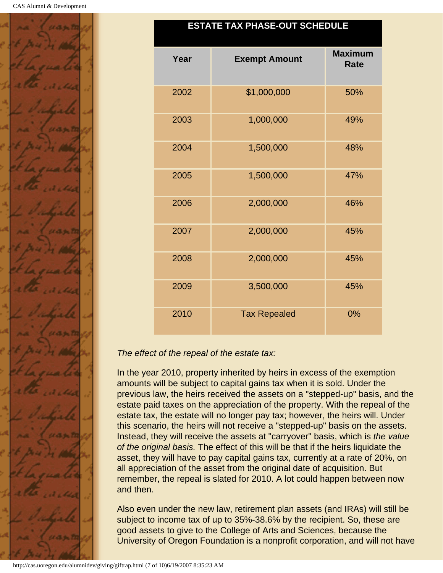

#### **ESTATE TAX PHASE-OUT SCHEDULE**

| Year | <b>Exempt Amount</b> | <b>Maximum</b><br><b>Rate</b> |
|------|----------------------|-------------------------------|
| 2002 | \$1,000,000          | 50%                           |
| 2003 | 1,000,000            | 49%                           |
| 2004 | 1,500,000            | 48%                           |
| 2005 | 1,500,000            | 47%                           |
| 2006 | 2,000,000            | 46%                           |
| 2007 | 2,000,000            | 45%                           |
| 2008 | 2,000,000            | 45%                           |
| 2009 | 3,500,000            | 45%                           |
| 2010 | <b>Tax Repealed</b>  | 0%                            |

#### *The effect of the repeal of the estate tax:*

In the year 2010, property inherited by heirs in excess of the exemption amounts will be subject to capital gains tax when it is sold. Under the previous law, the heirs received the assets on a "stepped-up" basis, and the estate paid taxes on the appreciation of the property. With the repeal of the estate tax, the estate will no longer pay tax; however, the heirs will. Under this scenario, the heirs will not receive a "stepped-up" basis on the assets. Instead, they will receive the assets at "carryover" basis, which is *the value of the original basis.* The effect of this will be that if the heirs liquidate the asset, they will have to pay capital gains tax, currently at a rate of 20%, on all appreciation of the asset from the original date of acquisition. But remember, the repeal is slated for 2010. A lot could happen between now and then.

Also even under the new law, retirement plan assets (and IRAs) will still be subject to income tax of up to 35%-38.6% by the recipient. So, these are good assets to give to the College of Arts and Sciences, because the University of Oregon Foundation is a nonprofit corporation, and will not have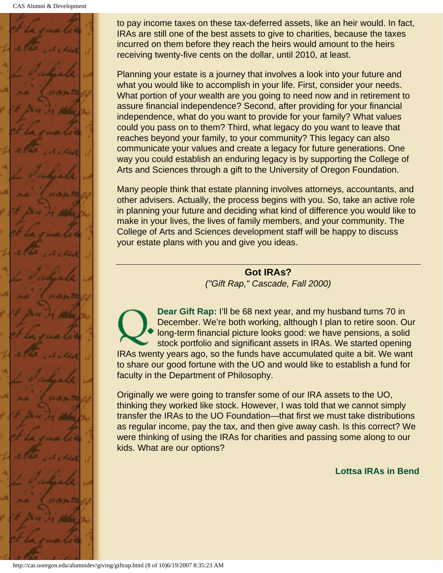CAS Alumni & Development



to pay income taxes on these tax-deferred assets, like an heir would. In fact, IRAs are still one of the best assets to give to charities, because the taxes incurred on them before they reach the heirs would amount to the heirs receiving twenty-five cents on the dollar, until 2010, at least.

Planning your estate is a journey that involves a look into your future and what you would like to accomplish in your life. First, consider your needs. What portion of your wealth are you going to need now and in retirement to assure financial independence? Second, after providing for your financial independence, what do you want to provide for your family? What values could you pass on to them? Third, what legacy do you want to leave that reaches beyond your family, to your community? This legacy can also communicate your values and create a legacy for future generations. One way you could establish an enduring legacy is by supporting the College of Arts and Sciences through a gift to the University of Oregon Foundation.

Many people think that estate planning involves attorneys, accountants, and other advisers. Actually, the process begins with you. So, take an active role in planning your future and deciding what kind of difference you would like to make in your lives, the lives of family members, and your community. The College of Arts and Sciences development staff will be happy to discuss your estate plans with you and give you ideas.

> **Got IRAs?** *("Gift Rap," Cascade, Fall 2000)*

**Dear Gift Rap:** I'll be 68 next year, and my husband turns 70 in December. We're both working, although I plan to retire soon. Our long-term financial picture looks good: we have pensions, a solid stock portfolio and significant assets in IRAs. We started opening IRAs twenty years ago, so the funds have accumulated quite a bit. We want to share our good fortune with the UO and would like to establish a fund for faculty in the Department of Philosophy.

Originally we were going to transfer some of our IRA assets to the UO, thinking they worked like stock. However, I was told that we cannot simply transfer the IRAs to the UO Foundation—that first we must take distributions as regular income, pay the tax, and then give away cash. Is this correct? We were thinking of using the IRAs for charities and passing some along to our kids. What are our options?

**Lottsa IRAs in Bend**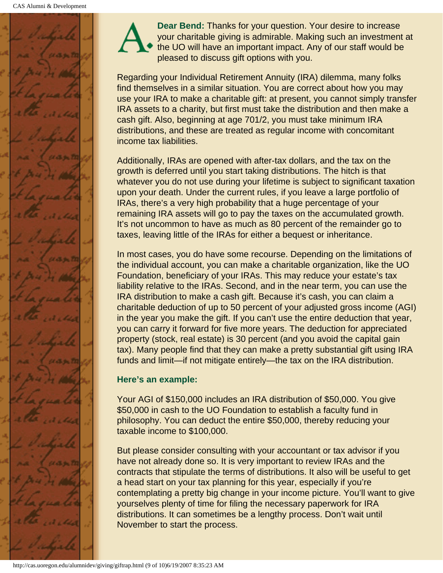

**Dear Bend:** Thanks for your question. Your desire to increase your charitable giving is admirable. Making such an investment at the UO will have an important impact. Any of our staff would be pleased to discuss gift options with you.

Regarding your Individual Retirement Annuity (IRA) dilemma, many folks find themselves in a similar situation. You are correct about how you may use your IRA to make a charitable gift: at present, you cannot simply transfer IRA assets to a charity, but first must take the distribution and then make a cash gift. Also, beginning at age 701/2, you must take minimum IRA distributions, and these are treated as regular income with concomitant income tax liabilities.

Additionally, IRAs are opened with after-tax dollars, and the tax on the growth is deferred until you start taking distributions. The hitch is that whatever you do not use during your lifetime is subject to significant taxation upon your death. Under the current rules, if you leave a large portfolio of IRAs, there's a very high probability that a huge percentage of your remaining IRA assets will go to pay the taxes on the accumulated growth. It's not uncommon to have as much as 80 percent of the remainder go to taxes, leaving little of the IRAs for either a bequest or inheritance.

In most cases, you do have some recourse. Depending on the limitations of the individual account, you can make a charitable organization, like the UO Foundation, beneficiary of your IRAs. This may reduce your estate's tax liability relative to the IRAs. Second, and in the near term, you can use the IRA distribution to make a cash gift. Because it's cash, you can claim a charitable deduction of up to 50 percent of your adjusted gross income (AGI) in the year you make the gift. If you can't use the entire deduction that year, you can carry it forward for five more years. The deduction for appreciated property (stock, real estate) is 30 percent (and you avoid the capital gain tax). Many people find that they can make a pretty substantial gift using IRA funds and limit—if not mitigate entirely—the tax on the IRA distribution.

# **Here's an example:**

Your AGI of \$150,000 includes an IRA distribution of \$50,000. You give \$50,000 in cash to the UO Foundation to establish a faculty fund in philosophy. You can deduct the entire \$50,000, thereby reducing your taxable income to \$100,000.

But please consider consulting with your accountant or tax advisor if you have not already done so. It is very important to review IRAs and the contracts that stipulate the terms of distributions. It also will be useful to get a head start on your tax planning for this year, especially if you're contemplating a pretty big change in your income picture. You'll want to give yourselves plenty of time for filing the necessary paperwork for IRA distributions. It can sometimes be a lengthy process. Don't wait until November to start the process.